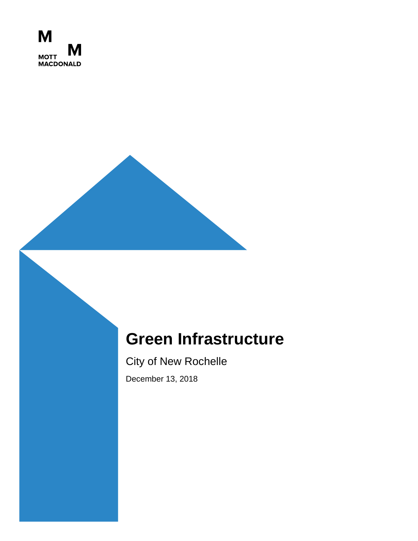

# **Green Infrastructure**

City of New Rochelle

December 13, 2018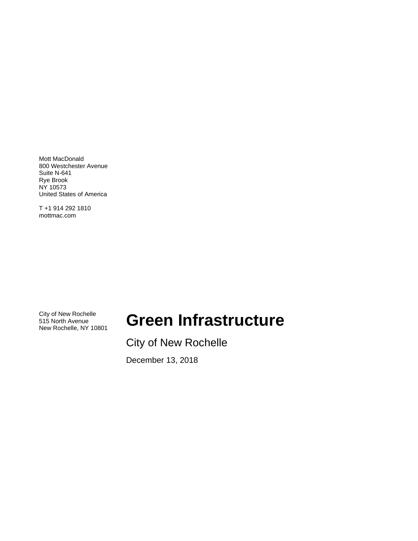Mott MacDonald 800 Westchester Avenue Suite N-641 Rye Brook NY 10573 United States of America

T +1 914 292 1810 mottmac.com

City of New Rochelle 515 North Avenue<br>New Rochelle, NY 10801

# **Green Infrastructure**

City of New Rochelle

December 13, 2018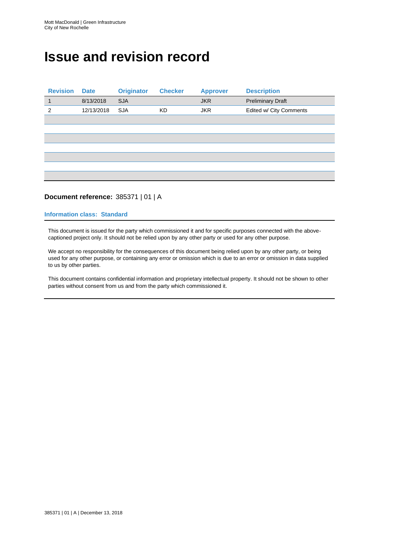## **Issue and revision record**

| <b>Revision</b> | <b>Date</b> | <b>Originator</b> | <b>Checker</b> | <b>Approver</b> | <b>Description</b>       |
|-----------------|-------------|-------------------|----------------|-----------------|--------------------------|
| $\mathbf{1}$    | 8/13/2018   | <b>SJA</b>        |                | <b>JKR</b>      | <b>Preliminary Draft</b> |
| $\overline{2}$  | 12/13/2018  | <b>SJA</b>        | <b>KD</b>      | <b>JKR</b>      | Edited w/ City Comments  |
|                 |             |                   |                |                 |                          |
|                 |             |                   |                |                 |                          |
|                 |             |                   |                |                 |                          |
|                 |             |                   |                |                 |                          |
|                 |             |                   |                |                 |                          |
|                 |             |                   |                |                 |                          |
|                 |             |                   |                |                 |                          |

## **Document reference:** 385371 | 01 | A

#### **Information class: Standard**

This document is issued for the party which commissioned it and for specific purposes connected with the abovecaptioned project only. It should not be relied upon by any other party or used for any other purpose.

We accept no responsibility for the consequences of this document being relied upon by any other party, or being used for any other purpose, or containing any error or omission which is due to an error or omission in data supplied to us by other parties.

This document contains confidential information and proprietary intellectual property. It should not be shown to other parties without consent from us and from the party which commissioned it.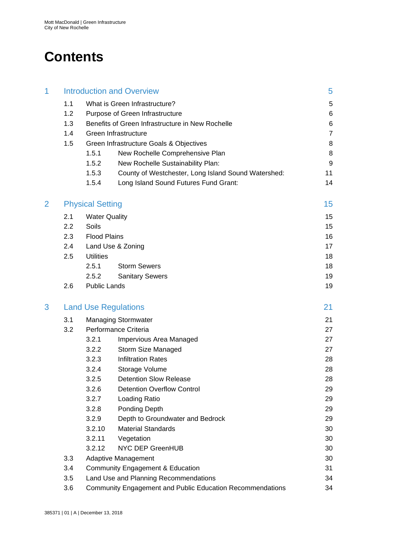## **Contents**

| 1 | <b>Introduction and Overview</b> |                                                                 |                                                     | 5              |  |
|---|----------------------------------|-----------------------------------------------------------------|-----------------------------------------------------|----------------|--|
|   | 1.1                              |                                                                 | What is Green Infrastructure?                       | 5              |  |
|   | 1.2                              | Purpose of Green Infrastructure                                 | 6                                                   |                |  |
|   | 1.3                              |                                                                 | Benefits of Green Infrastructure in New Rochelle    | 6              |  |
|   | 1.4                              |                                                                 | Green Infrastructure                                | $\overline{7}$ |  |
|   | 1.5                              |                                                                 | Green Infrastructure Goals & Objectives             |                |  |
|   |                                  | 1.5.1                                                           | New Rochelle Comprehensive Plan                     | 8              |  |
|   |                                  | 1.5.2                                                           | New Rochelle Sustainability Plan:                   | 9              |  |
|   |                                  | 1.5.3                                                           | County of Westchester, Long Island Sound Watershed: | 11             |  |
|   |                                  | 1.5.4                                                           | Long Island Sound Futures Fund Grant:               | 14             |  |
| 2 |                                  | <b>Physical Setting</b>                                         |                                                     | 15             |  |
|   | 2.1                              | <b>Water Quality</b>                                            |                                                     | 15             |  |
|   | 2.2                              | Soils                                                           |                                                     | 15             |  |
|   | 2.3                              | <b>Flood Plains</b>                                             |                                                     | 16             |  |
|   | 2.4                              |                                                                 | Land Use & Zoning                                   | 17             |  |
|   | 2.5                              | <b>Utilities</b>                                                |                                                     | 18             |  |
|   |                                  | 2.5.1                                                           | <b>Storm Sewers</b>                                 | 18             |  |
|   |                                  | 2.5.2                                                           | <b>Sanitary Sewers</b>                              | 19             |  |
|   | 2.6                              | <b>Public Lands</b>                                             |                                                     | 19             |  |
| 3 |                                  |                                                                 | <b>Land Use Regulations</b>                         | 21             |  |
|   | 3.1                              |                                                                 | <b>Managing Stormwater</b>                          | 21             |  |
|   | 3.2                              | Performance Criteria                                            | 27                                                  |                |  |
|   |                                  | 3.2.1                                                           | Impervious Area Managed                             | 27             |  |
|   |                                  | 3.2.2                                                           | Storm Size Managed                                  | 27             |  |
|   |                                  | 3.2.3                                                           | <b>Infiltration Rates</b>                           | 28             |  |
|   |                                  | 3.2.4                                                           | Storage Volume                                      | 28             |  |
|   |                                  | 3.2.5                                                           | <b>Detention Slow Release</b>                       | 28             |  |
|   |                                  | 3.2.6                                                           | <b>Detention Overflow Control</b>                   | 29             |  |
|   |                                  | 3.2.7                                                           | Loading Ratio                                       | 29             |  |
|   |                                  | 3.2.8                                                           | Ponding Depth                                       | 29             |  |
|   |                                  | 3.2.9                                                           | Depth to Groundwater and Bedrock                    | 29             |  |
|   |                                  | 3.2.10                                                          | <b>Material Standards</b>                           | 30             |  |
|   |                                  | 3.2.11                                                          | Vegetation                                          | 30             |  |
|   |                                  | 3.2.12                                                          | NYC DEP GreenHUB                                    | 30             |  |
|   | 3.3                              | Adaptive Management                                             |                                                     |                |  |
|   | 3.4                              | Community Engagement & Education                                |                                                     |                |  |
|   | 3.5                              | Land Use and Planning Recommendations<br>34                     |                                                     |                |  |
|   | 3.6                              | Community Engagement and Public Education Recommendations<br>34 |                                                     |                |  |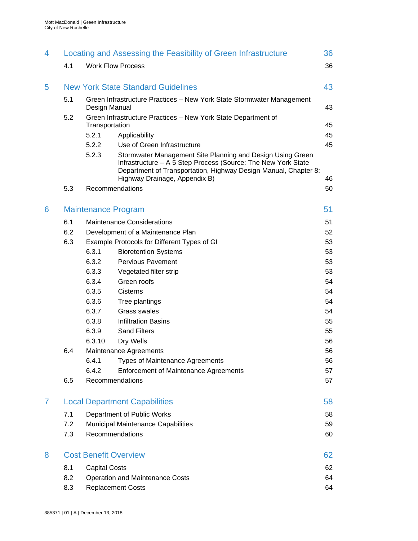| 4.1<br><b>Work Flow Process</b>                                                                                                                                                                                                          | 36 |
|------------------------------------------------------------------------------------------------------------------------------------------------------------------------------------------------------------------------------------------|----|
|                                                                                                                                                                                                                                          |    |
| <b>New York State Standard Guidelines</b><br>5                                                                                                                                                                                           | 43 |
| 5.1<br>Green Infrastructure Practices - New York State Stormwater Management<br>Design Manual                                                                                                                                            | 43 |
| 5.2<br>Green Infrastructure Practices - New York State Department of<br>Transportation                                                                                                                                                   | 45 |
| 5.2.1<br>Applicability                                                                                                                                                                                                                   | 45 |
| 5.2.2<br>Use of Green Infrastructure                                                                                                                                                                                                     | 45 |
| 5.2.3<br>Stormwater Management Site Planning and Design Using Green<br>Infrastructure - A 5 Step Process (Source: The New York State<br>Department of Transportation, Highway Design Manual, Chapter 8:<br>Highway Drainage, Appendix B) | 46 |
| Recommendations<br>5.3                                                                                                                                                                                                                   | 50 |
| <b>Maintenance Program</b><br>6                                                                                                                                                                                                          | 51 |
| 6.1<br><b>Maintenance Considerations</b>                                                                                                                                                                                                 | 51 |
| 6.2<br>Development of a Maintenance Plan                                                                                                                                                                                                 | 52 |
| 6.3<br>Example Protocols for Different Types of GI                                                                                                                                                                                       | 53 |
| 6.3.1<br><b>Bioretention Systems</b>                                                                                                                                                                                                     | 53 |
| 6.3.2<br><b>Pervious Pavement</b>                                                                                                                                                                                                        | 53 |
| 6.3.3<br>Vegetated filter strip                                                                                                                                                                                                          | 53 |
| 6.3.4<br>Green roofs                                                                                                                                                                                                                     | 54 |
| 6.3.5<br>Cisterns                                                                                                                                                                                                                        | 54 |
| 6.3.6<br>Tree plantings                                                                                                                                                                                                                  | 54 |
| 6.3.7<br><b>Grass swales</b>                                                                                                                                                                                                             | 54 |
| 6.3.8<br><b>Infiltration Basins</b>                                                                                                                                                                                                      | 55 |
| 6.3.9<br><b>Sand Filters</b>                                                                                                                                                                                                             | 55 |
| 6.3.10<br>Dry Wells                                                                                                                                                                                                                      | 56 |
| 6.4<br>Maintenance Agreements                                                                                                                                                                                                            | 56 |
| 6.4.1<br><b>Types of Maintenance Agreements</b>                                                                                                                                                                                          | 56 |
| 6.4.2<br><b>Enforcement of Maintenance Agreements</b>                                                                                                                                                                                    | 57 |
| 6.5<br>Recommendations                                                                                                                                                                                                                   | 57 |
| <b>Local Department Capabilities</b><br>7                                                                                                                                                                                                | 58 |
| 7.1<br>Department of Public Works                                                                                                                                                                                                        | 58 |
| 7.2<br>Municipal Maintenance Capabilities                                                                                                                                                                                                | 59 |
| Recommendations<br>7.3                                                                                                                                                                                                                   | 60 |
| <b>Cost Benefit Overview</b><br>8                                                                                                                                                                                                        | 62 |
| 8.1<br><b>Capital Costs</b>                                                                                                                                                                                                              | 62 |
| 8.2<br><b>Operation and Maintenance Costs</b>                                                                                                                                                                                            | 64 |
| <b>Replacement Costs</b><br>8.3                                                                                                                                                                                                          | 64 |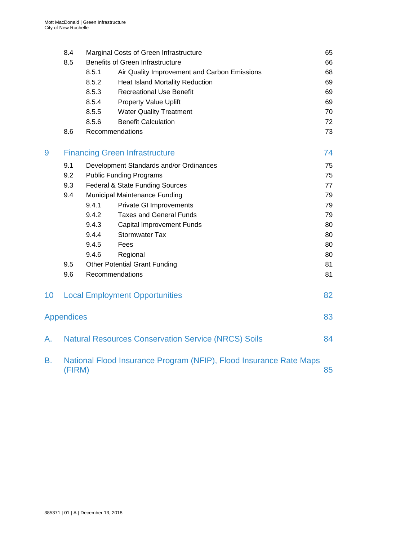|                 | 8.4               |                 | Marginal Costs of Green Infrastructure                             | 65 |
|-----------------|-------------------|-----------------|--------------------------------------------------------------------|----|
|                 | 8.5               |                 | <b>Benefits of Green Infrastructure</b>                            | 66 |
|                 |                   | 8.5.1           | Air Quality Improvement and Carbon Emissions                       | 68 |
|                 |                   | 8.5.2           | <b>Heat Island Mortality Reduction</b>                             | 69 |
|                 |                   | 8.5.3           | <b>Recreational Use Benefit</b>                                    | 69 |
|                 |                   | 8.5.4           | <b>Property Value Uplift</b>                                       | 69 |
|                 |                   | 8.5.5           | <b>Water Quality Treatment</b>                                     | 70 |
|                 |                   | 8.5.6           | <b>Benefit Calculation</b>                                         | 72 |
|                 | 8.6               | Recommendations |                                                                    | 73 |
| 9               |                   |                 | <b>Financing Green Infrastructure</b>                              | 74 |
|                 | 9.1               |                 | Development Standards and/or Ordinances                            | 75 |
|                 | 9.2               |                 | <b>Public Funding Programs</b>                                     | 75 |
|                 | 9.3               |                 | Federal & State Funding Sources                                    | 77 |
|                 | 9.4               |                 | Municipal Maintenance Funding                                      | 79 |
|                 |                   | 9.4.1           | <b>Private GI Improvements</b>                                     | 79 |
|                 |                   | 9.4.2           | <b>Taxes and General Funds</b>                                     | 79 |
|                 |                   | 9.4.3           | <b>Capital Improvement Funds</b>                                   | 80 |
|                 |                   | 9.4.4           | <b>Stormwater Tax</b>                                              | 80 |
|                 |                   | 9.4.5           | Fees                                                               | 80 |
|                 |                   | 9.4.6           | Regional                                                           | 80 |
|                 | 9.5               |                 | <b>Other Potential Grant Funding</b>                               | 81 |
|                 | 9.6               | Recommendations |                                                                    | 81 |
| 10 <sup>°</sup> |                   |                 | <b>Local Employment Opportunities</b>                              | 82 |
|                 | <b>Appendices</b> |                 |                                                                    | 83 |
| A.              |                   |                 | <b>Natural Resources Conservation Service (NRCS) Soils</b>         | 84 |
| Β.              | (FIRM)            |                 | National Flood Insurance Program (NFIP), Flood Insurance Rate Maps | 85 |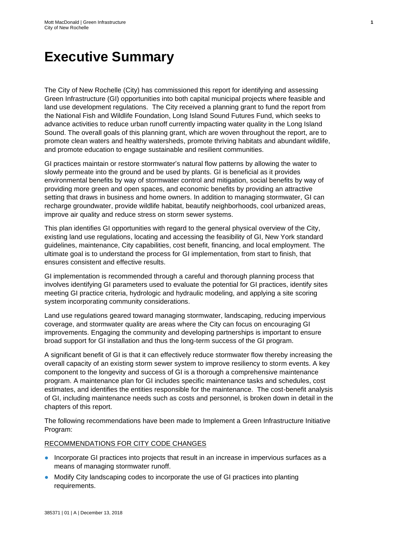## **Executive Summary**

The City of New Rochelle (City) has commissioned this report for identifying and assessing Green Infrastructure (GI) opportunities into both capital municipal projects where feasible and land use development regulations. The City received a planning grant to fund the report from the National Fish and Wildlife Foundation, Long Island Sound Futures Fund, which seeks to advance activities to reduce urban runoff currently impacting water quality in the Long Island Sound. The overall goals of this planning grant, which are woven throughout the report, are to promote clean waters and healthy watersheds, promote thriving habitats and abundant wildlife, and promote education to engage sustainable and resilient communities.

**1**

GI practices maintain or restore stormwater's natural flow patterns by allowing the water to slowly permeate into the ground and be used by plants. GI is beneficial as it provides environmental benefits by way of stormwater control and mitigation, social benefits by way of providing more green and open spaces, and economic benefits by providing an attractive setting that draws in business and home owners. In addition to managing stormwater, GI can recharge groundwater, provide wildlife habitat, beautify neighborhoods, cool urbanized areas, improve air quality and reduce stress on storm sewer systems.

This plan identifies GI opportunities with regard to the general physical overview of the City, existing land use regulations, locating and accessing the feasibility of GI, New York standard guidelines, maintenance, City capabilities, cost benefit, financing, and local employment. The ultimate goal is to understand the process for GI implementation, from start to finish, that ensures consistent and effective results.

GI implementation is recommended through a careful and thorough planning process that involves identifying GI parameters used to evaluate the potential for GI practices, identify sites meeting GI practice criteria, hydrologic and hydraulic modeling, and applying a site scoring system incorporating community considerations.

Land use regulations geared toward managing stormwater, landscaping, reducing impervious coverage, and stormwater quality are areas where the City can focus on encouraging GI improvements. Engaging the community and developing partnerships is important to ensure broad support for GI installation and thus the long-term success of the GI program.

A significant benefit of GI is that it can effectively reduce stormwater flow thereby increasing the overall capacity of an existing storm sewer system to improve resiliency to storm events. A key component to the longevity and success of GI is a thorough a comprehensive maintenance program. A maintenance plan for GI includes specific maintenance tasks and schedules, cost estimates, and identifies the entities responsible for the maintenance. The cost-benefit analysis of GI, including maintenance needs such as costs and personnel, is broken down in detail in the chapters of this report.

The following recommendations have been made to Implement a Green Infrastructure Initiative Program:

#### RECOMMENDATIONS FOR CITY CODE CHANGES

- Incorporate GI practices into projects that result in an increase in impervious surfaces as a means of managing stormwater runoff.
- Modify City landscaping codes to incorporate the use of GI practices into planting requirements.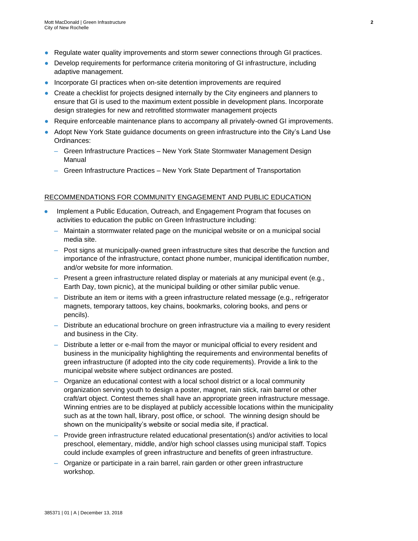- Regulate water quality improvements and storm sewer connections through GI practices.
- Develop requirements for performance criteria monitoring of GI infrastructure, including adaptive management.
- Incorporate GI practices when on-site detention improvements are required
- Create a checklist for projects designed internally by the City engineers and planners to ensure that GI is used to the maximum extent possible in development plans. Incorporate design strategies for new and retrofitted stormwater management projects
- Require enforceable maintenance plans to accompany all privately-owned GI improvements.
- Adopt New York State guidance documents on green infrastructure into the City's Land Use Ordinances:
	- Green Infrastructure Practices New York State Stormwater Management Design Manual
	- Green Infrastructure Practices New York State Department of Transportation

#### RECOMMENDATIONS FOR COMMUNITY ENGAGEMENT AND PUBLIC EDUCATION

- Implement a Public Education, Outreach, and Engagement Program that focuses on activities to education the public on Green Infrastructure including:
	- Maintain a stormwater related page on the municipal website or on a municipal social media site.
	- Post signs at municipally-owned green infrastructure sites that describe the function and importance of the infrastructure, contact phone number, municipal identification number, and/or website for more information.
	- Present a green infrastructure related display or materials at any municipal event (e.g., Earth Day, town picnic), at the municipal building or other similar public venue.
	- Distribute an item or items with a green infrastructure related message (e.g., refrigerator magnets, temporary tattoos, key chains, bookmarks, coloring books, and pens or pencils).
	- Distribute an educational brochure on green infrastructure via a mailing to every resident and business in the City.
	- Distribute a letter or e-mail from the mayor or municipal official to every resident and business in the municipality highlighting the requirements and environmental benefits of green infrastructure (if adopted into the city code requirements). Provide a link to the municipal website where subject ordinances are posted.
	- Organize an educational contest with a local school district or a local community organization serving youth to design a poster, magnet, rain stick, rain barrel or other craft/art object. Contest themes shall have an appropriate green infrastructure message. Winning entries are to be displayed at publicly accessible locations within the municipality such as at the town hall, library, post office, or school. The winning design should be shown on the municipality's website or social media site, if practical.
	- Provide green infrastructure related educational presentation(s) and/or activities to local preschool, elementary, middle, and/or high school classes using municipal staff. Topics could include examples of green infrastructure and benefits of green infrastructure.
	- Organize or participate in a rain barrel, rain garden or other green infrastructure workshop.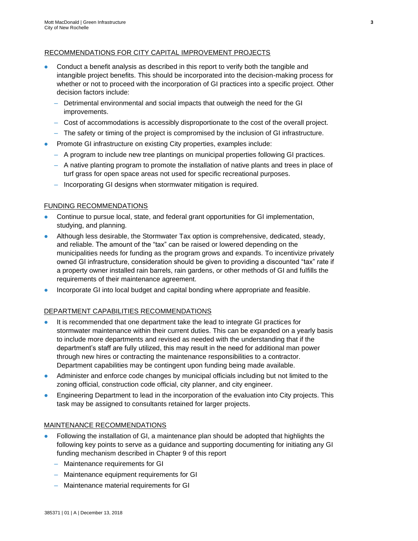## RECOMMENDATIONS FOR CITY CAPITAL IMPROVEMENT PROJECTS

- Conduct a benefit analysis as described in this report to verify both the tangible and intangible project benefits. This should be incorporated into the decision-making process for whether or not to proceed with the incorporation of GI practices into a specific project. Other decision factors include:
	- Detrimental environmental and social impacts that outweigh the need for the GI improvements.
	- Cost of accommodations is accessibly disproportionate to the cost of the overall project.
	- The safety or timing of the project is compromised by the inclusion of GI infrastructure.
- Promote GI infrastructure on existing City properties, examples include:
	- A program to include new tree plantings on municipal properties following GI practices.
	- A native planting program to promote the installation of native plants and trees in place of turf grass for open space areas not used for specific recreational purposes.
	- Incorporating GI designs when stormwater mitigation is required.

## FUNDING RECOMMENDATIONS

- Continue to pursue local, state, and federal grant opportunities for GI implementation, studying, and planning.
- Although less desirable, the Stormwater Tax option is comprehensive, dedicated, steady, and reliable. The amount of the "tax" can be raised or lowered depending on the municipalities needs for funding as the program grows and expands. To incentivize privately owned GI infrastructure, consideration should be given to providing a discounted "tax" rate if a property owner installed rain barrels, rain gardens, or other methods of GI and fulfills the requirements of their maintenance agreement.
- Incorporate GI into local budget and capital bonding where appropriate and feasible.

#### DEPARTMENT CAPABILITIES RECOMMENDATIONS

- It is recommended that one department take the lead to integrate GI practices for stormwater maintenance within their current duties. This can be expanded on a yearly basis to include more departments and revised as needed with the understanding that if the department's staff are fully utilized, this may result in the need for additional man power through new hires or contracting the maintenance responsibilities to a contractor. Department capabilities may be contingent upon funding being made available.
- Administer and enforce code changes by municipal officials including but not limited to the zoning official, construction code official, city planner, and city engineer.
- Engineering Department to lead in the incorporation of the evaluation into City projects. This task may be assigned to consultants retained for larger projects.

#### MAINTENANCE RECOMMENDATIONS

- Following the installation of GI, a maintenance plan should be adopted that highlights the following key points to serve as a guidance and supporting documenting for initiating any GI funding mechanism described in Chapter 9 of this report
	- Maintenance requirements for GI
	- Maintenance equipment requirements for GI
	- Maintenance material requirements for GI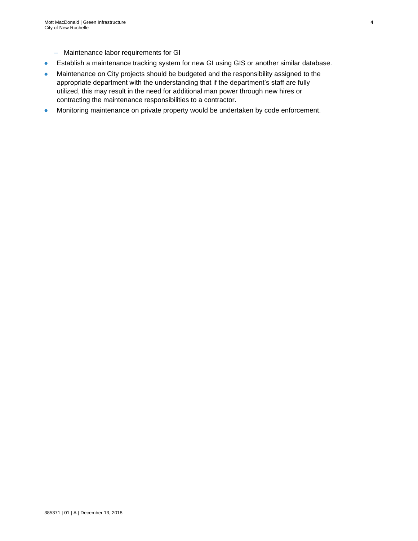- Maintenance labor requirements for GI
- Establish a maintenance tracking system for new GI using GIS or another similar database.
- Maintenance on City projects should be budgeted and the responsibility assigned to the appropriate department with the understanding that if the department's staff are fully utilized, this may result in the need for additional man power through new hires or contracting the maintenance responsibilities to a contractor.
- Monitoring maintenance on private property would be undertaken by code enforcement.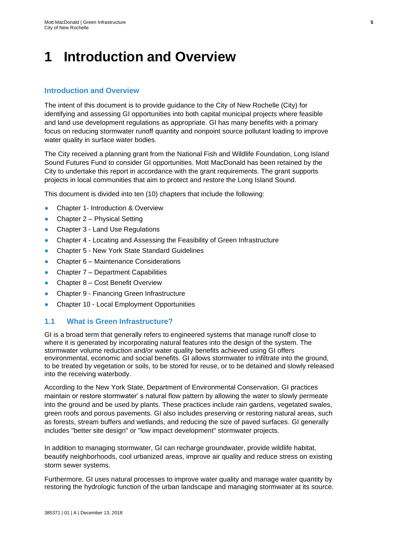## <span id="page-10-0"></span>**1 Introduction and Overview**

## **Introduction and Overview**

The intent of this document is to provide guidance to the City of New Rochelle (City) for identifying and assessing GI opportunities into both capital municipal projects where feasible and land use development regulations as appropriate. GI has many benefits with a primary focus on reducing stormwater runoff quantity and nonpoint source pollutant loading to improve water quality in surface water bodies.

The City received a planning grant from the National Fish and Wildlife Foundation, Long Island Sound Futures Fund to consider GI opportunities. Mott MacDonald has been retained by the City to undertake this report in accordance with the grant requirements. The grant supports projects in local communities that aim to protect and restore the Long Island Sound.

This document is divided into ten (10) chapters that include the following:

- Chapter 1- Introduction & Overview
- Chapter  $2$  Physical Setting
- Chapter 3 Land Use Regulations
- Chapter 4 Locating and Assessing the Feasibility of Green Infrastructure
- Chapter 5 New York State Standard Guidelines
- Chapter 6 Maintenance Considerations
- Chapter 7 Department Capabilities
- Chapter 8 Cost Benefit Overview
- Chapter 9 Financing Green Infrastructure
- Chapter 10 Local Employment Opportunities

## <span id="page-10-1"></span>**1.1 What is Green Infrastructure?**

GI is a broad term that generally refers to engineered systems that manage runoff close to where it is generated by incorporating natural features into the design of the system. The stormwater volume reduction and/or water quality benefits achieved using GI offers environmental, economic and social benefits. GI allows stormwater to infiltrate into the ground, to be treated by vegetation or soils, to be stored for reuse, or to be detained and slowly released into the receiving waterbody.

According to the New York State, Department of Environmental Conservation, GI practices maintain or restore stormwater' s natural flow pattern by allowing the water to slowly permeate into the ground and be used by plants. These practices include rain gardens, vegetated swales, green roofs and porous pavements. GI also includes preserving or restoring natural areas, such as forests, stream buffers and wetlands, and reducing the size of paved surfaces. GI generally includes "better site design" or "low impact development" stormwater projects.

In addition to managing stormwater, GI can recharge groundwater, provide wildlife habitat, beautify neighborhoods, cool urbanized areas, improve air quality and reduce stress on existing storm sewer systems.

Furthermore, GI uses natural processes to improve water quality and manage water quantity by restoring the hydrologic function of the urban landscape and managing stormwater at its source.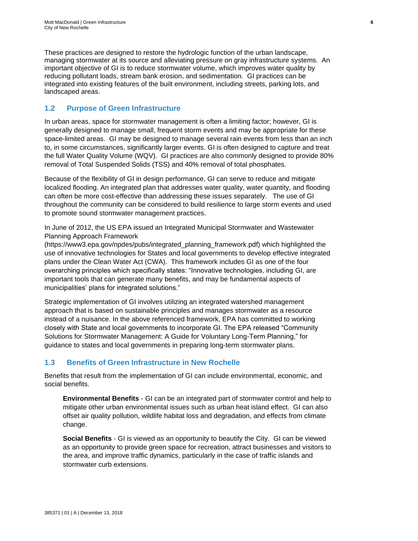These practices are designed to restore the hydrologic function of the urban landscape, managing stormwater at its source and alleviating pressure on gray infrastructure systems. An important objective of GI is to reduce stormwater volume, which improves water quality by reducing pollutant loads, stream bank erosion, and sedimentation. GI practices can be integrated into existing features of the built environment, including streets, parking lots, and landscaped areas.

## <span id="page-11-0"></span>**1.2 Purpose of Green Infrastructure**

In urban areas, space for stormwater management is often a limiting factor; however, GI is generally designed to manage small, frequent storm events and may be appropriate for these space-limited areas. GI may be designed to manage several rain events from less than an inch to, in some circumstances, significantly larger events. GI is often designed to capture and treat the full Water Quality Volume (WQV). GI practices are also commonly designed to provide 80% removal of Total Suspended Solids (TSS) and 40% removal of total phosphates.

Because of the flexibility of GI in design performance, GI can serve to reduce and mitigate localized flooding. An integrated plan that addresses water quality, water quantity, and flooding can often be more cost-effective than addressing these issues separately. The use of GI throughout the community can be considered to build resilience to large storm events and used to promote sound stormwater management practices.

In June of 2012, the US EPA issued an Integrated Municipal Stormwater and Wastewater Planning Approach Framework

(https://www3.epa.gov/npdes/pubs/integrated\_planning\_framework.pdf) which highlighted the use of innovative technologies for States and local governments to develop effective integrated plans under the Clean Water Act (CWA). This framework includes GI as one of the four overarching principles which specifically states: "Innovative technologies, including GI, are important tools that can generate many benefits, and may be fundamental aspects of municipalities' plans for integrated solutions."

Strategic implementation of GI involves utilizing an integrated watershed management approach that is based on sustainable principles and manages stormwater as a resource instead of a nuisance. In the above referenced framework, EPA has committed to working closely with State and local governments to incorporate GI. The EPA released "Community Solutions for Stormwater Management: A Guide for Voluntary Long-Term Planning," for guidance to states and local governments in preparing long-term stormwater plans.

## <span id="page-11-1"></span>**1.3 Benefits of Green Infrastructure in New Rochelle**

Benefits that result from the implementation of GI can include environmental, economic, and social benefits.

**Environmental Benefits** - GI can be an integrated part of stormwater control and help to mitigate other urban environmental issues such as urban heat island effect. GI can also offset air quality pollution, wildlife habitat loss and degradation, and effects from climate change.

**Social Benefits** - GI is viewed as an opportunity to beautify the City. GI can be viewed as an opportunity to provide green space for recreation, attract businesses and visitors to the area, and improve traffic dynamics, particularly in the case of traffic islands and stormwater curb extensions.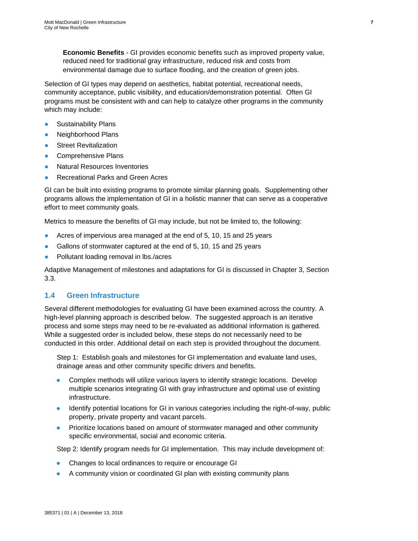**Economic Benefits** - GI provides economic benefits such as improved property value, reduced need for traditional gray infrastructure, reduced risk and costs from environmental damage due to surface flooding, and the creation of green jobs.

Selection of GI types may depend on aesthetics, habitat potential, recreational needs, community acceptance, public visibility, and education/demonstration potential. Often GI programs must be consistent with and can help to catalyze other programs in the community which may include:

- **Sustainability Plans**
- Neighborhood Plans
- **Street Revitalization**
- Comprehensive Plans
- **Natural Resources Inventories**
- **Recreational Parks and Green Acres**

GI can be built into existing programs to promote similar planning goals. Supplementing other programs allows the implementation of GI in a holistic manner that can serve as a cooperative effort to meet community goals.

Metrics to measure the benefits of GI may include, but not be limited to, the following:

- Acres of impervious area managed at the end of 5, 10, 15 and 25 years
- Gallons of stormwater captured at the end of 5, 10, 15 and 25 years
- Pollutant loading removal in lbs./acres

Adaptive Management of milestones and adaptations for GI is discussed in Chapter 3, Section 3.3.

### <span id="page-12-0"></span>**1.4 Green Infrastructure**

Several different methodologies for evaluating GI have been examined across the country. A high-level planning approach is described below. The suggested approach is an iterative process and some steps may need to be re-evaluated as additional information is gathered. While a suggested order is included below, these steps do not necessarily need to be conducted in this order. Additional detail on each step is provided throughout the document.

Step 1: Establish goals and milestones for GI implementation and evaluate land uses, drainage areas and other community specific drivers and benefits.

- Complex methods will utilize various layers to identify strategic locations. Develop multiple scenarios integrating GI with gray infrastructure and optimal use of existing infrastructure.
- Identify potential locations for GI in various categories including the right-of-way, public property, private property and vacant parcels.
- Prioritize locations based on amount of stormwater managed and other community specific environmental, social and economic criteria.

Step 2: Identify program needs for GI implementation. This may include development of:

- Changes to local ordinances to require or encourage GI
- A community vision or coordinated GI plan with existing community plans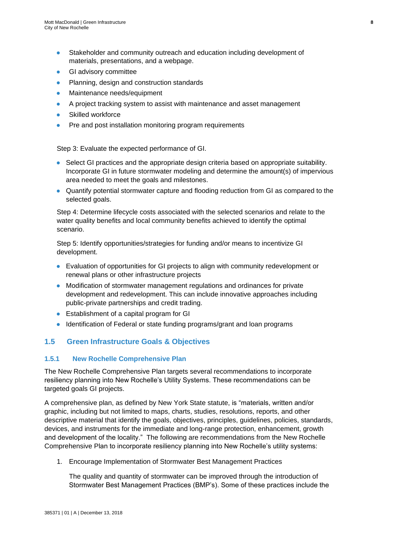- Stakeholder and community outreach and education including development of materials, presentations, and a webpage.
- **GI advisory committee**
- Planning, design and construction standards
- Maintenance needs/equipment
- A project tracking system to assist with maintenance and asset management
- Skilled workforce
- Pre and post installation monitoring program requirements

Step 3: Evaluate the expected performance of GI.

- Select GI practices and the appropriate design criteria based on appropriate suitability. Incorporate GI in future stormwater modeling and determine the amount(s) of impervious area needed to meet the goals and milestones.
- Quantify potential stormwater capture and flooding reduction from GI as compared to the selected goals.

Step 4: Determine lifecycle costs associated with the selected scenarios and relate to the water quality benefits and local community benefits achieved to identify the optimal scenario.

Step 5: Identify opportunities/strategies for funding and/or means to incentivize GI development.

- Evaluation of opportunities for GI projects to align with community redevelopment or renewal plans or other infrastructure projects
- Modification of stormwater management regulations and ordinances for private development and redevelopment. This can include innovative approaches including public-private partnerships and credit trading.
- Establishment of a capital program for GI
- Identification of Federal or state funding programs/grant and loan programs

## <span id="page-13-0"></span>**1.5 Green Infrastructure Goals & Objectives**

#### <span id="page-13-1"></span>**1.5.1 New Rochelle Comprehensive Plan**

The New Rochelle Comprehensive Plan targets several recommendations to incorporate resiliency planning into New Rochelle's Utility Systems. These recommendations can be targeted goals GI projects.

A comprehensive plan, as defined by New York State statute, is "materials, written and/or graphic, including but not limited to maps, charts, studies, resolutions, reports, and other descriptive material that identify the goals, objectives, principles, guidelines, policies, standards, devices, and instruments for the immediate and long-range protection, enhancement, growth and development of the locality." The following are recommendations from the New Rochelle Comprehensive Plan to incorporate resiliency planning into New Rochelle's utility systems:

1. Encourage Implementation of Stormwater Best Management Practices

The quality and quantity of stormwater can be improved through the introduction of Stormwater Best Management Practices (BMP's). Some of these practices include the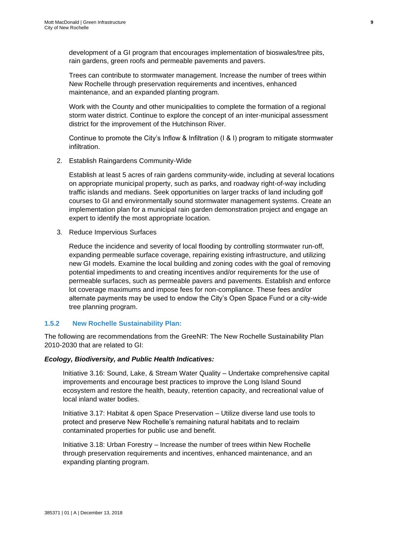development of a GI program that encourages implementation of bioswales/tree pits, rain gardens, green roofs and permeable pavements and pavers.

Trees can contribute to stormwater management. Increase the number of trees within New Rochelle through preservation requirements and incentives, enhanced maintenance, and an expanded planting program.

Work with the County and other municipalities to complete the formation of a regional storm water district. Continue to explore the concept of an inter-municipal assessment district for the improvement of the Hutchinson River.

Continue to promote the City's Inflow & Infiltration (I & I) program to mitigate stormwater infiltration.

2. Establish Raingardens Community-Wide

Establish at least 5 acres of rain gardens community-wide, including at several locations on appropriate municipal property, such as parks, and roadway right-of-way including traffic islands and medians. Seek opportunities on larger tracks of land including golf courses to GI and environmentally sound stormwater management systems. Create an implementation plan for a municipal rain garden demonstration project and engage an expert to identify the most appropriate location.

3. Reduce Impervious Surfaces

Reduce the incidence and severity of local flooding by controlling stormwater run-off, expanding permeable surface coverage, repairing existing infrastructure, and utilizing new GI models. Examine the local building and zoning codes with the goal of removing potential impediments to and creating incentives and/or requirements for the use of permeable surfaces, such as permeable pavers and pavements. Establish and enforce lot coverage maximums and impose fees for non-compliance. These fees and/or alternate payments may be used to endow the City's Open Space Fund or a city-wide tree planning program.

## <span id="page-14-0"></span>**1.5.2 New Rochelle Sustainability Plan:**

The following are recommendations from the GreeNR: The New Rochelle Sustainability Plan 2010-2030 that are related to GI:

## *Ecology, Biodiversity, and Public Health Indicatives:*

Initiative 3.16: Sound, Lake, & Stream Water Quality – Undertake comprehensive capital improvements and encourage best practices to improve the Long Island Sound ecosystem and restore the health, beauty, retention capacity, and recreational value of local inland water bodies.

Initiative 3.17: Habitat & open Space Preservation – Utilize diverse land use tools to protect and preserve New Rochelle's remaining natural habitats and to reclaim contaminated properties for public use and benefit.

Initiative 3.18: Urban Forestry – Increase the number of trees within New Rochelle through preservation requirements and incentives, enhanced maintenance, and an expanding planting program.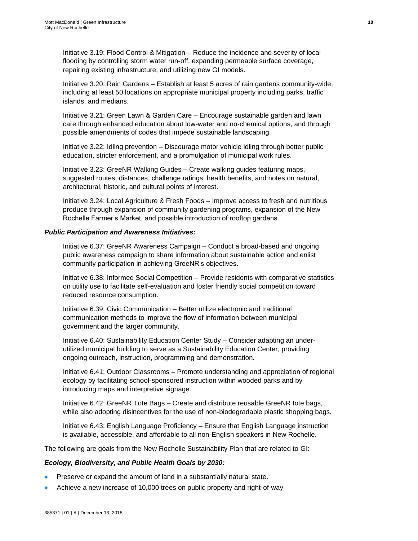Initiative 3.19: Flood Control & Mitigation – Reduce the incidence and severity of local flooding by controlling storm water run-off, expanding permeable surface coverage, repairing existing infrastructure, and utilizing new GI models.

Initiative 3.20: Rain Gardens – Establish at least 5 acres of rain gardens community-wide, including at least 50 locations on appropriate municipal property including parks, traffic islands, and medians.

Initiative 3.21: Green Lawn & Garden Care – Encourage sustainable garden and lawn care through enhanced education about low-water and no-chemical options, and through possible amendments of codes that impede sustainable landscaping.

Initiative 3.22: Idling prevention – Discourage motor vehicle idling through better public education, stricter enforcement, and a promulgation of municipal work rules.

Initiative 3.23: GreeNR Walking Guides – Create walking guides featuring maps, suggested routes, distances, challenge ratings, health benefits, and notes on natural, architectural, historic, and cultural points of interest.

Initiative 3.24: Local Agriculture & Fresh Foods – Improve access to fresh and nutritious produce through expansion of community gardening programs, expansion of the New Rochelle Farmer's Market, and possible introduction of rooftop gardens.

#### *Public Participation and Awareness Initiatives:*

Initiative 6.37: GreeNR Awareness Campaign – Conduct a broad-based and ongoing public awareness campaign to share information about sustainable action and enlist community participation in achieving GreeNR's objectives.

Initiative 6.38: Informed Social Competition – Provide residents with comparative statistics on utility use to facilitate self-evaluation and foster friendly social competition toward reduced resource consumption.

Initiative 6.39: Civic Communication – Better utilize electronic and traditional communication methods to improve the flow of information between municipal government and the larger community.

Initiative 6.40: Sustainability Education Center Study – Consider adapting an underutilized municipal building to serve as a Sustainability Education Center, providing ongoing outreach, instruction, programming and demonstration.

Initiative 6.41: Outdoor Classrooms – Promote understanding and appreciation of regional ecology by facilitating school-sponsored instruction within wooded parks and by introducing maps and interpretive signage.

Initiative 6.42: GreeNR Tote Bags – Create and distribute reusable GreeNR tote bags, while also adopting disincentives for the use of non-biodegradable plastic shopping bags.

Initiative 6.43: English Language Proficiency – Ensure that English Language instruction is available, accessible, and affordable to all non-English speakers in New Rochelle.

The following are goals from the New Rochelle Sustainability Plan that are related to GI:

#### *Ecology, Biodiversity, and Public Health Goals by 2030:*

- Preserve or expand the amount of land in a substantially natural state.
- Achieve a new increase of 10,000 trees on public property and right-of-way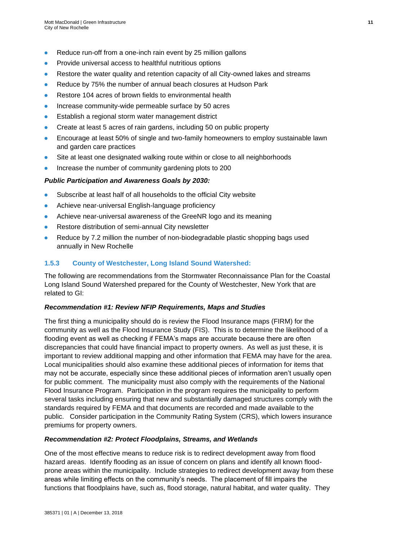- Reduce run-off from a one-inch rain event by 25 million gallons
- Provide universal access to healthful nutritious options
- Restore the water quality and retention capacity of all City-owned lakes and streams
- Reduce by 75% the number of annual beach closures at Hudson Park
- Restore 104 acres of brown fields to environmental health
- Increase community-wide permeable surface by 50 acres
- Establish a regional storm water management district
- Create at least 5 acres of rain gardens, including 50 on public property
- Encourage at least 50% of single and two-family homeowners to employ sustainable lawn and garden care practices
- Site at least one designated walking route within or close to all neighborhoods
- Increase the number of community gardening plots to 200

#### *Public Participation and Awareness Goals by 2030:*

- Subscribe at least half of all households to the official City website
- Achieve near-universal English-language proficiency
- Achieve near-universal awareness of the GreeNR logo and its meaning
- Restore distribution of semi-annual City newsletter
- Reduce by 7.2 million the number of non-biodegradable plastic shopping bags used annually in New Rochelle

## <span id="page-16-0"></span>**1.5.3 County of Westchester, Long Island Sound Watershed:**

The following are recommendations from the Stormwater Reconnaissance Plan for the Coastal Long Island Sound Watershed prepared for the County of Westchester, New York that are related to GI:

#### *Recommendation #1: Review NFIP Requirements, Maps and Studies*

The first thing a municipality should do is review the Flood Insurance maps (FIRM) for the community as well as the Flood Insurance Study (FIS). This is to determine the likelihood of a flooding event as well as checking if FEMA's maps are accurate because there are often discrepancies that could have financial impact to property owners. As well as just these, it is important to review additional mapping and other information that FEMA may have for the area. Local municipalities should also examine these additional pieces of information for items that may not be accurate, especially since these additional pieces of information aren't usually open for public comment. The municipality must also comply with the requirements of the National Flood Insurance Program. Participation in the program requires the municipality to perform several tasks including ensuring that new and substantially damaged structures comply with the standards required by FEMA and that documents are recorded and made available to the public. Consider participation in the Community Rating System (CRS), which lowers insurance premiums for property owners.

#### *Recommendation #2: Protect Floodplains, Streams, and Wetlands*

One of the most effective means to reduce risk is to redirect development away from flood hazard areas. Identify flooding as an issue of concern on plans and identify all known floodprone areas within the municipality. Include strategies to redirect development away from these areas while limiting effects on the community's needs. The placement of fill impairs the functions that floodplains have, such as, flood storage, natural habitat, and water quality. They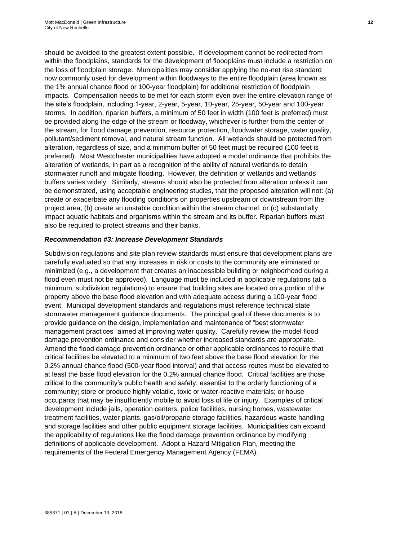should be avoided to the greatest extent possible. If development cannot be redirected from within the floodplains, standards for the development of floodplains must include a restriction on the loss of floodplain storage. Municipalities may consider applying the no-net rise standard now commonly used for development within floodways to the entire floodplain (area known as the 1% annual chance flood or 100-year floodplain) for additional restriction of floodplain impacts. Compensation needs to be met for each storm even over the entire elevation range of the site's floodplain, including 1-year, 2-year, 5-year, 10-year, 25-year, 50-year and 100-year storms. In addition, riparian buffers, a minimum of 50 feet in width (100 feet is preferred) must be provided along the edge of the stream or floodway, whichever is further from the center of the stream, for flood damage prevention, resource protection, floodwater storage, water quality, pollutant/sediment removal, and natural stream function. All wetlands should be protected from alteration, regardless of size, and a minimum buffer of 50 feet must be required (100 feet is preferred). Most Westchester municipalities have adopted a model ordinance that prohibits the alteration of wetlands, in part as a recognition of the ability of natural wetlands to detain stormwater runoff and mitigate flooding. However, the definition of wetlands and wetlands buffers varies widely. Similarly, streams should also be protected from alteration unless it can be demonstrated, using acceptable engineering studies, that the proposed alteration will not: (a) create or exacerbate any flooding conditions on properties upstream or downstream from the project area, (b) create an unstable condition within the stream channel, or (c) substantially impact aquatic habitats and organisms within the stream and its buffer. Riparian buffers must also be required to protect streams and their banks.

#### *Recommendation #3: Increase Development Standards*

Subdivision regulations and site plan review standards must ensure that development plans are carefully evaluated so that any increases in risk or costs to the community are eliminated or minimized (e.g., a development that creates an inaccessible building or neighborhood during a flood even must not be approved). Language must be included in applicable regulations (at a minimum, subdivision regulations) to ensure that building sites are located on a portion of the property above the base flood elevation and with adequate access during a 100-year flood event. Municipal development standards and regulations must reference technical state stormwater management guidance documents. The principal goal of these documents is to provide guidance on the design, implementation and maintenance of "best stormwater management practices" aimed at improving water quality. Carefully review the model flood damage prevention ordinance and consider whether increased standards are appropriate. Amend the flood damage prevention ordinance or other applicable ordinances to require that critical facilities be elevated to a minimum of two feet above the base flood elevation for the 0.2% annual chance flood (500-year flood interval) and that access routes must be elevated to at least the base flood elevation for the 0.2% annual chance flood. Critical facilities are those critical to the community's public health and safety; essential to the orderly functioning of a community; store or produce highly volatile, toxic or water-reactive materials; or house occupants that may be insufficiently mobile to avoid loss of life or injury. Examples of critical development include jails, operation centers, police facilities, nursing homes, wastewater treatment facilities, water plants, gas/oil/propane storage facilities, hazardous waste handling and storage facilities and other public equipment storage facilities. Municipalities can expand the applicability of regulations like the flood damage prevention ordinance by modifying definitions of applicable development. Adopt a Hazard Mitigation Plan, meeting the requirements of the Federal Emergency Management Agency (FEMA).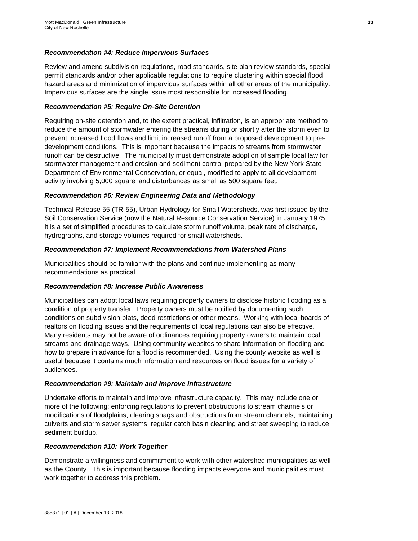### *Recommendation #4: Reduce Impervious Surfaces*

Review and amend subdivision regulations, road standards, site plan review standards, special permit standards and/or other applicable regulations to require clustering within special flood hazard areas and minimization of impervious surfaces within all other areas of the municipality. Impervious surfaces are the single issue most responsible for increased flooding.

#### *Recommendation #5: Require On-Site Detention*

Requiring on-site detention and, to the extent practical, infiltration, is an appropriate method to reduce the amount of stormwater entering the streams during or shortly after the storm even to prevent increased flood flows and limit increased runoff from a proposed development to predevelopment conditions. This is important because the impacts to streams from stormwater runoff can be destructive. The municipality must demonstrate adoption of sample local law for stormwater management and erosion and sediment control prepared by the New York State Department of Environmental Conservation, or equal, modified to apply to all development activity involving 5,000 square land disturbances as small as 500 square feet.

#### *Recommendation #6: Review Engineering Data and Methodology*

Technical Release 55 (TR-55), Urban Hydrology for Small Watersheds, was first issued by the Soil Conservation Service (now the Natural Resource Conservation Service) in January 1975. It is a set of simplified procedures to calculate storm runoff volume, peak rate of discharge, hydrographs, and storage volumes required for small watersheds.

#### *Recommendation #7: Implement Recommendations from Watershed Plans*

Municipalities should be familiar with the plans and continue implementing as many recommendations as practical.

#### *Recommendation #8: Increase Public Awareness*

Municipalities can adopt local laws requiring property owners to disclose historic flooding as a condition of property transfer. Property owners must be notified by documenting such conditions on subdivision plats, deed restrictions or other means. Working with local boards of realtors on flooding issues and the requirements of local regulations can also be effective. Many residents may not be aware of ordinances requiring property owners to maintain local streams and drainage ways. Using community websites to share information on flooding and how to prepare in advance for a flood is recommended. Using the county website as well is useful because it contains much information and resources on flood issues for a variety of audiences.

#### *Recommendation #9: Maintain and Improve Infrastructure*

Undertake efforts to maintain and improve infrastructure capacity. This may include one or more of the following: enforcing regulations to prevent obstructions to stream channels or modifications of floodplains, clearing snags and obstructions from stream channels, maintaining culverts and storm sewer systems, regular catch basin cleaning and street sweeping to reduce sediment buildup.

#### *Recommendation #10: Work Together*

Demonstrate a willingness and commitment to work with other watershed municipalities as well as the County. This is important because flooding impacts everyone and municipalities must work together to address this problem.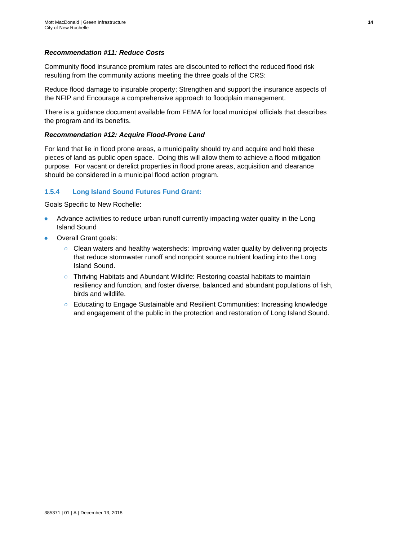## *Recommendation #11: Reduce Costs*

Community flood insurance premium rates are discounted to reflect the reduced flood risk resulting from the community actions meeting the three goals of the CRS:

Reduce flood damage to insurable property; Strengthen and support the insurance aspects of the NFIP and Encourage a comprehensive approach to floodplain management.

There is a guidance document available from FEMA for local municipal officials that describes the program and its benefits.

#### *Recommendation #12: Acquire Flood-Prone Land*

For land that lie in flood prone areas, a municipality should try and acquire and hold these pieces of land as public open space. Doing this will allow them to achieve a flood mitigation purpose. For vacant or derelict properties in flood prone areas, acquisition and clearance should be considered in a municipal flood action program.

### <span id="page-19-0"></span>**1.5.4 Long Island Sound Futures Fund Grant:**

Goals Specific to New Rochelle:

- Advance activities to reduce urban runoff currently impacting water quality in the Long Island Sound
- Overall Grant goals:
	- Clean waters and healthy watersheds: Improving water quality by delivering projects that reduce stormwater runoff and nonpoint source nutrient loading into the Long Island Sound.
	- Thriving Habitats and Abundant Wildlife: Restoring coastal habitats to maintain resiliency and function, and foster diverse, balanced and abundant populations of fish, birds and wildlife.
	- Educating to Engage Sustainable and Resilient Communities: Increasing knowledge and engagement of the public in the protection and restoration of Long Island Sound.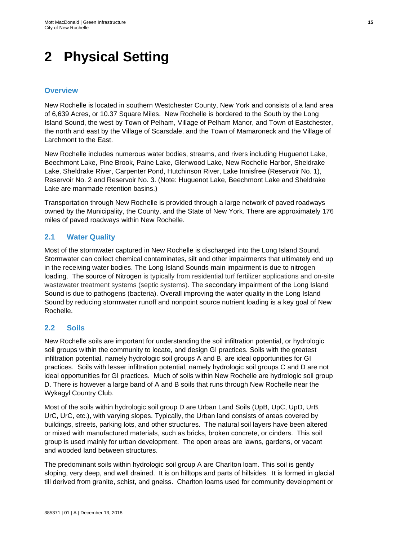## <span id="page-20-0"></span>**2 Physical Setting**

## **Overview**

New Rochelle is located in southern Westchester County, New York and consists of a land area of 6,639 Acres, or 10.37 Square Miles. New Rochelle is bordered to the South by the Long Island Sound, the west by Town of Pelham, Village of Pelham Manor, and Town of Eastchester, the north and east by the Village of Scarsdale, and the Town of Mamaroneck and the Village of Larchmont to the East.

New Rochelle includes numerous water bodies, streams, and rivers including Huguenot Lake, Beechmont Lake, Pine Brook, Paine Lake, Glenwood Lake, New Rochelle Harbor, Sheldrake Lake, Sheldrake River, Carpenter Pond, Hutchinson River, Lake Innisfree (Reservoir No. 1), Reservoir No. 2 and Reservoir No. 3. (Note: Huguenot Lake, Beechmont Lake and Sheldrake Lake are manmade retention basins.)

Transportation through New Rochelle is provided through a large network of paved roadways owned by the Municipality, the County, and the State of New York. There are approximately 176 miles of paved roadways within New Rochelle.

## <span id="page-20-1"></span>**2.1 Water Quality**

Most of the stormwater captured in New Rochelle is discharged into the Long Island Sound. Stormwater can collect chemical contaminates, silt and other impairments that ultimately end up in the receiving water bodies. The Long Island Sounds main impairment is due to nitrogen loading. The source of Nitrogen is typically from residential turf fertilizer applications and on-site wastewater treatment systems (septic systems). The secondary impairment of the Long Island Sound is due to pathogens (bacteria). Overall improving the water quality in the Long Island Sound by reducing stormwater runoff and nonpoint source nutrient loading is a key goal of New Rochelle.

## <span id="page-20-2"></span>**2.2 Soils**

New Rochelle soils are important for understanding the soil infiltration potential, or hydrologic soil groups within the community to locate, and design GI practices. Soils with the greatest infiltration potential, namely hydrologic soil groups A and B, are ideal opportunities for GI practices. Soils with lesser infiltration potential, namely hydrologic soil groups C and D are not ideal opportunities for GI practices. Much of soils within New Rochelle are hydrologic soil group D. There is however a large band of A and B soils that runs through New Rochelle near the Wykagyl Country Club.

Most of the soils within hydrologic soil group D are Urban Land Soils (UpB, UpC, UpD, UrB, UrC, UrC, etc.), with varying slopes. Typically, the Urban land consists of areas covered by buildings, streets, parking lots, and other structures. The natural soil layers have been altered or mixed with manufactured materials, such as bricks, broken concrete, or cinders. This soil group is used mainly for urban development. The open areas are lawns, gardens, or vacant and wooded land between structures.

The predominant soils within hydrologic soil group A are Charlton loam. This soil is gently sloping, very deep, and well drained. It is on hilltops and parts of hillsides. It is formed in glacial till derived from granite, schist, and gneiss. Charlton loams used for community development or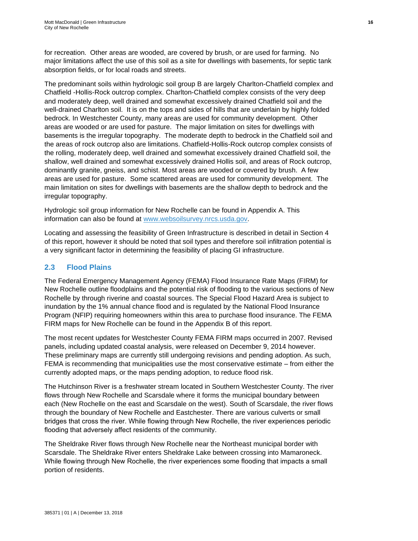for recreation. Other areas are wooded, are covered by brush, or are used for farming. No major limitations affect the use of this soil as a site for dwellings with basements, for septic tank absorption fields, or for local roads and streets.

The predominant soils within hydrologic soil group B are largely Charlton-Chatfield complex and Chatfield -Hollis-Rock outcrop complex. Charlton-Chatfield complex consists of the very deep and moderately deep, well drained and somewhat excessively drained Chatfield soil and the well-drained Charlton soil. It is on the tops and sides of hills that are underlain by highly folded bedrock. In Westchester County, many areas are used for community development. Other areas are wooded or are used for pasture. The major limitation on sites for dwellings with basements is the irregular topography. The moderate depth to bedrock in the Chatfield soil and the areas of rock outcrop also are limitations. Chatfield-Hollis-Rock outcrop complex consists of the rolling, moderately deep, well drained and somewhat excessively drained Chatfield soil, the shallow, well drained and somewhat excessively drained Hollis soil, and areas of Rock outcrop, dominantly granite, gneiss, and schist. Most areas are wooded or covered by brush. A few areas are used for pasture. Some scattered areas are used for community development. The main limitation on sites for dwellings with basements are the shallow depth to bedrock and the irregular topography.

Hydrologic soil group information for New Rochelle can be found in Appendix A. This information can also be found at [www.websoilsurvey.nrcs.usda.gov.](http://www.websoilsurvey.nrcs.usda.gov/)

Locating and assessing the feasibility of Green Infrastructure is described in detail in Section 4 of this report, however it should be noted that soil types and therefore soil infiltration potential is a very significant factor in determining the feasibility of placing GI infrastructure.

## <span id="page-21-0"></span>**2.3 Flood Plains**

The Federal Emergency Management Agency (FEMA) Flood Insurance Rate Maps (FIRM) for New Rochelle outline floodplains and the potential risk of flooding to the various sections of New Rochelle by through riverine and coastal sources. The Special Flood Hazard Area is subject to inundation by the 1% annual chance flood and is regulated by the National Flood Insurance Program (NFIP) requiring homeowners within this area to purchase flood insurance. The FEMA FIRM maps for New Rochelle can be found in the Appendix B of this report.

The most recent updates for Westchester County FEMA FIRM maps occurred in 2007. Revised panels, including updated coastal analysis, were released on December 9, 2014 however. These preliminary maps are currently still undergoing revisions and pending adoption. As such, FEMA is recommending that municipalities use the most conservative estimate – from either the currently adopted maps, or the maps pending adoption, to reduce flood risk.

The Hutchinson River is a freshwater stream located in Southern Westchester County. The river flows through New Rochelle and Scarsdale where it forms the municipal boundary between each (New Rochelle on the east and Scarsdale on the west). South of Scarsdale, the river flows through the boundary of New Rochelle and Eastchester. There are various culverts or small bridges that cross the river. While flowing through New Rochelle, the river experiences periodic flooding that adversely affect residents of the community.

The Sheldrake River flows through New Rochelle near the Northeast municipal border with Scarsdale. The Sheldrake River enters Sheldrake Lake between crossing into Mamaroneck. While flowing through New Rochelle, the river experiences some flooding that impacts a small portion of residents.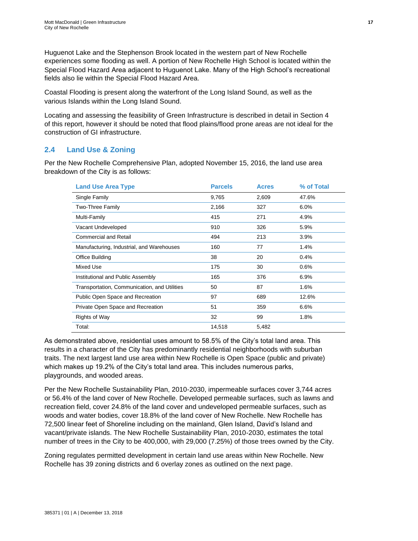Huguenot Lake and the Stephenson Brook located in the western part of New Rochelle experiences some flooding as well. A portion of New Rochelle High School is located within the Special Flood Hazard Area adjacent to Huguenot Lake. Many of the High School's recreational fields also lie within the Special Flood Hazard Area.

Coastal Flooding is present along the waterfront of the Long Island Sound, as well as the various Islands within the Long Island Sound.

Locating and assessing the feasibility of Green Infrastructure is described in detail in Section 4 of this report, however it should be noted that flood plains/flood prone areas are not ideal for the construction of GI infrastructure.

## <span id="page-22-0"></span>**2.4 Land Use & Zoning**

Per the New Rochelle Comprehensive Plan, adopted November 15, 2016, the land use area breakdown of the City is as follows:

| <b>Land Use Area Type</b>                    | <b>Parcels</b> | <b>Acres</b> | % of Total |
|----------------------------------------------|----------------|--------------|------------|
| Single Family                                | 9,765          | 2,609        | 47.6%      |
| Two-Three Family                             | 2,166          | 327          | 6.0%       |
| Multi-Family                                 | 415            | 271          | 4.9%       |
| Vacant Undeveloped                           | 910            | 326          | 5.9%       |
| <b>Commercial and Retail</b>                 | 494            | 213          | 3.9%       |
| Manufacturing, Industrial, and Warehouses    | 160            | 77           | 1.4%       |
| Office Building                              | 38             | 20           | 0.4%       |
| Mixed Use                                    | 175            | 30           | 0.6%       |
| Institutional and Public Assembly            | 165            | 376          | 6.9%       |
| Transportation, Communication, and Utilities | 50             | 87           | 1.6%       |
| Public Open Space and Recreation             | 97             | 689          | 12.6%      |
| Private Open Space and Recreation            | 51             | 359          | 6.6%       |
| Rights of Way                                | 32             | 99           | 1.8%       |
| Total:                                       | 14,518         | 5,482        |            |

As demonstrated above, residential uses amount to 58.5% of the City's total land area. This results in a character of the City has predominantly residential neighborhoods with suburban traits. The next largest land use area within New Rochelle is Open Space (public and private) which makes up 19.2% of the City's total land area. This includes numerous parks, playgrounds, and wooded areas.

Per the New Rochelle Sustainability Plan, 2010-2030, impermeable surfaces cover 3,744 acres or 56.4% of the land cover of New Rochelle. Developed permeable surfaces, such as lawns and recreation field, cover 24.8% of the land cover and undeveloped permeable surfaces, such as woods and water bodies, cover 18.8% of the land cover of New Rochelle. New Rochelle has 72,500 linear feet of Shoreline including on the mainland, Glen Island, David's Island and vacant/private islands. The New Rochelle Sustainability Plan, 2010-2030, estimates the total number of trees in the City to be 400,000, with 29,000 (7.25%) of those trees owned by the City.

Zoning regulates permitted development in certain land use areas within New Rochelle. New Rochelle has 39 zoning districts and 6 overlay zones as outlined on the next page.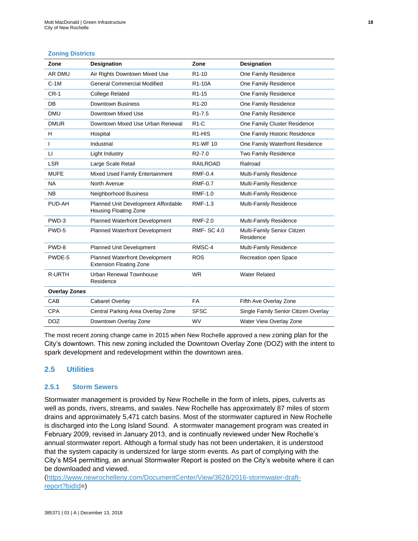#### **Zoning Districts**

| Zone                 | <b>Designation</b>                                                  | Zone                            | <b>Designation</b>                       |
|----------------------|---------------------------------------------------------------------|---------------------------------|------------------------------------------|
| AR DMU               | Air Rights Downtown Mixed Use                                       | R <sub>1-10</sub>               | One Family Residence                     |
| $C-1M$               | <b>General Commercial Modified</b>                                  | R <sub>1</sub> -10A             | One Family Residence                     |
| $CR-1$               | <b>College Related</b>                                              | R <sub>1</sub> -15              | One Family Residence                     |
| DB                   | Downtown Business                                                   | R <sub>1</sub> -20              | One Family Residence                     |
| <b>DMU</b>           | Downtown Mixed Use                                                  | R <sub>1</sub> -7.5             | One Family Residence                     |
| <b>DMUR</b>          | Downtown Mixed Use Urban Renewal                                    | $R1-C$                          | One Family Cluster Residence             |
| H                    | Hospital                                                            | R <sub>1</sub> -H <sub>IS</sub> | One Family Historic Residence            |
| I                    | Industrial                                                          | R1-WF 10                        | One Family Waterfront Residence          |
| $\sqcup$             | Light Industry                                                      | R <sub>2</sub> -7.0             | Two Family Residence                     |
| <b>LSR</b>           | Large Scale Retail                                                  | <b>RAILROAD</b>                 | Railroad                                 |
| <b>MUFE</b>          | Mixed Used Family Entertainment                                     | <b>RMF-0.4</b>                  | Multi-Family Residence                   |
| <b>NA</b>            | North Avenue                                                        | <b>RMF-0.7</b>                  | Multi-Family Residence                   |
| <b>NB</b>            | Neighborhood Business                                               | <b>RMF-1.0</b>                  | Multi-Family Residence                   |
| PUD-AH               | Planned Unit Development Affordable<br><b>Housing Floating Zone</b> | <b>RMF-1.3</b>                  | Multi-Family Residence                   |
| PWD-3                | Planned Waterfront Development                                      | <b>RMF-2.0</b>                  | Multi-Family Residence                   |
| PWD-5                | <b>Planned Waterfront Development</b>                               | <b>RMF-SC 4.0</b>               | Multi-Family Senior Citizen<br>Residence |
| PWD-8                | Planned Unit Development                                            | RMSC-4                          | Multi-Family Residence                   |
| PWDE-5               | Planned Waterfront Development<br><b>Extension Floating Zone</b>    | <b>ROS</b>                      | Recreation open Space                    |
| <b>R-URTH</b>        | <b>Urban Renewal Townhouse</b><br>Residence                         | <b>WR</b>                       | <b>Water Related</b>                     |
| <b>Overlay Zones</b> |                                                                     |                                 |                                          |
| CAB                  | Cabaret Overlay                                                     | <b>FA</b>                       | Fifth Ave Overlay Zone                   |
| <b>CPA</b>           | Central Parking Area Overlay Zone                                   | <b>SFSC</b>                     | Single Family Senior Citizen Overlay     |
| <b>DOZ</b>           | Downtown Overlay Zone                                               | <b>WV</b>                       | Water View Overlay Zone                  |

The most recent zoning change came in 2015 when New Rochelle approved a new zoning plan for the City's downtown. This new zoning included the Downtown Overlay Zone (DOZ) with the intent to spark development and redevelopment within the downtown area.

## <span id="page-23-0"></span>**2.5 Utilities**

## <span id="page-23-1"></span>**2.5.1 Storm Sewers**

Stormwater management is provided by New Rochelle in the form of inlets, pipes, culverts as well as ponds, rivers, streams, and swales. New Rochelle has approximately 87 miles of storm drains and approximately 5,471 catch basins. Most of the stormwater captured in New Rochelle is discharged into the Long Island Sound. A stormwater management program was created in February 2009, revised in January 2013, and is continually reviewed under New Rochelle's annual stormwater report. Although a formal study has not been undertaken, it is understood that the system capacity is undersized for large storm events. As part of complying with the City's MS4 permitting, an annual Stormwater Report is posted on the City's website where it can be downloaded and viewed.

[\(https://www.newrochelleny.com/DocumentCenter/View/3628/2016-stormwater-draft](https://www.newrochelleny.com/DocumentCenter/View/3628/2016-stormwater-draft-report?bidId)[report?bidId=](https://www.newrochelleny.com/DocumentCenter/View/3628/2016-stormwater-draft-report?bidId))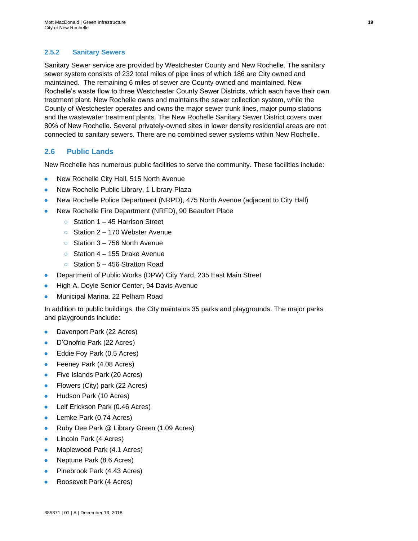## <span id="page-24-0"></span>**2.5.2 Sanitary Sewers**

Sanitary Sewer service are provided by Westchester County and New Rochelle. The sanitary sewer system consists of 232 total miles of pipe lines of which 186 are City owned and maintained. The remaining 6 miles of sewer are County owned and maintained. New Rochelle's waste flow to three Westchester County Sewer Districts, which each have their own treatment plant. New Rochelle owns and maintains the sewer collection system, while the County of Westchester operates and owns the major sewer trunk lines, major pump stations and the wastewater treatment plants. The New Rochelle Sanitary Sewer District covers over 80% of New Rochelle. Several privately-owned sites in lower density residential areas are not connected to sanitary sewers. There are no combined sewer systems within New Rochelle.

## <span id="page-24-1"></span>**2.6 Public Lands**

New Rochelle has numerous public facilities to serve the community. These facilities include:

- New Rochelle City Hall, 515 North Avenue
- New Rochelle Public Library, 1 Library Plaza
- New Rochelle Police Department (NRPD), 475 North Avenue (adjacent to City Hall)
- New Rochelle Fire Department (NRFD), 90 Beaufort Place
	- Station 1 45 Harrison Street
	- Station 2 170 Webster Avenue
	- $\circ$  Station 3 756 North Avenue
	- Station 4 155 Drake Avenue
	- Station 5 456 Stratton Road
- Department of Public Works (DPW) City Yard, 235 East Main Street
- High A. Doyle Senior Center, 94 Davis Avenue
- Municipal Marina, 22 Pelham Road

In addition to public buildings, the City maintains 35 parks and playgrounds. The major parks and playgrounds include:

- Davenport Park (22 Acres)
- D'Onofrio Park (22 Acres)
- Eddie Foy Park (0.5 Acres)
- Feeney Park (4.08 Acres)
- Five Islands Park (20 Acres)
- Flowers (City) park (22 Acres)
- Hudson Park (10 Acres)
- Leif Erickson Park (0.46 Acres)
- Lemke Park (0.74 Acres)
- Ruby Dee Park @ Library Green (1.09 Acres)
- Lincoln Park (4 Acres)
- Maplewood Park (4.1 Acres)
- Neptune Park (8.6 Acres)
- Pinebrook Park (4.43 Acres)
- Roosevelt Park (4 Acres)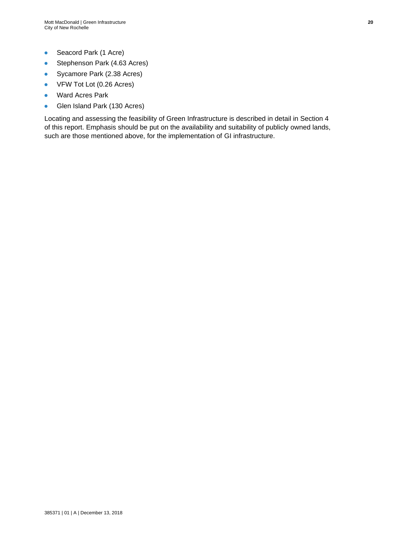- Seacord Park (1 Acre)
- Stephenson Park (4.63 Acres)
- Sycamore Park (2.38 Acres)
- VFW Tot Lot (0.26 Acres)
- Ward Acres Park
- Glen Island Park (130 Acres)

Locating and assessing the feasibility of Green Infrastructure is described in detail in Section 4 of this report. Emphasis should be put on the availability and suitability of publicly owned lands, such are those mentioned above, for the implementation of GI infrastructure.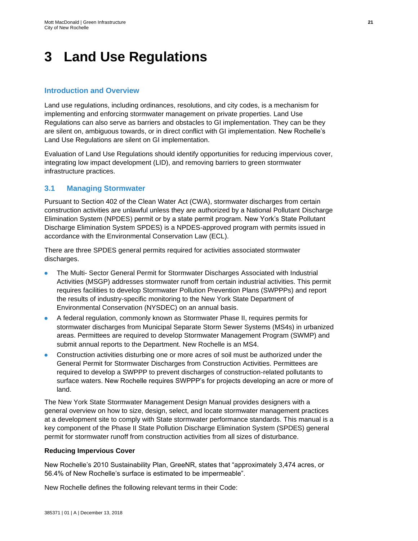## <span id="page-26-0"></span>**3 Land Use Regulations**

## **Introduction and Overview**

Land use regulations, including ordinances, resolutions, and city codes, is a mechanism for implementing and enforcing stormwater management on private properties. Land Use Regulations can also serve as barriers and obstacles to GI implementation. They can be they are silent on, ambiguous towards, or in direct conflict with GI implementation. New Rochelle's Land Use Regulations are silent on GI implementation.

Evaluation of Land Use Regulations should identify opportunities for reducing impervious cover, integrating low impact development (LID), and removing barriers to green stormwater infrastructure practices.

## <span id="page-26-1"></span>**3.1 Managing Stormwater**

Pursuant to Section 402 of the Clean Water Act (CWA), stormwater discharges from certain construction activities are unlawful unless they are authorized by a National Pollutant Discharge Elimination System (NPDES) permit or by a state permit program. New York's State Pollutant Discharge Elimination System SPDES) is a NPDES-approved program with permits issued in accordance with the Environmental Conservation Law (ECL).

There are three SPDES general permits required for activities associated stormwater discharges.

- The Multi- Sector General Permit for Stormwater Discharges Associated with Industrial Activities (MSGP) addresses stormwater runoff from certain industrial activities. This permit requires facilities to develop Stormwater Pollution Prevention Plans (SWPPPs) and report the results of industry-specific monitoring to the New York State Department of Environmental Conservation (NYSDEC) on an annual basis.
- A federal regulation, commonly known as Stormwater Phase II, requires permits for stormwater discharges from Municipal Separate Storm Sewer Systems (MS4s) in urbanized areas. Permittees are required to develop Stormwater Management Program (SWMP) and submit annual reports to the Department. New Rochelle is an MS4.
- Construction activities disturbing one or more acres of soil must be authorized under the General Permit for Stormwater Discharges from Construction Activities. Permittees are required to develop a SWPPP to prevent discharges of construction-related pollutants to surface waters. New Rochelle requires SWPPP's for projects developing an acre or more of land.

The New York State Stormwater Management Design Manual provides designers with a general overview on how to size, design, select, and locate stormwater management practices at a development site to comply with State stormwater performance standards. This manual is a key component of the Phase II State Pollution Discharge Elimination System (SPDES) general permit for stormwater runoff from construction activities from all sizes of disturbance.

#### **Reducing Impervious Cover**

New Rochelle's 2010 Sustainability Plan, GreeNR, states that "approximately 3,474 acres, or 56.4% of New Rochelle's surface is estimated to be impermeable".

New Rochelle defines the following relevant terms in their Code: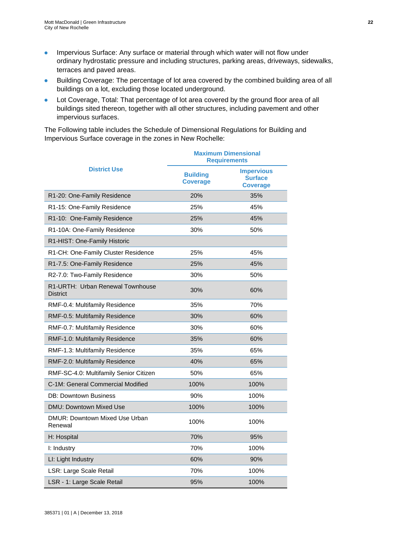- Impervious Surface: Any surface or material through which water will not flow under ordinary hydrostatic pressure and including structures, parking areas, driveways, sidewalks, terraces and paved areas.
- Building Coverage: The percentage of lot area covered by the combined building area of all buildings on a lot, excluding those located underground.
- Lot Coverage, Total: That percentage of lot area covered by the ground floor area of all buildings sited thereon, together with all other structures, including pavement and other impervious surfaces.

The Following table includes the Schedule of Dimensional Regulations for Building and Impervious Surface coverage in the zones in New Rochelle:

|                                                     | <b>Maximum Dimensional</b><br><b>Requirements</b> |                                                        |  |
|-----------------------------------------------------|---------------------------------------------------|--------------------------------------------------------|--|
| <b>District Use</b>                                 | <b>Building</b><br><b>Coverage</b>                | <b>Impervious</b><br><b>Surface</b><br><b>Coverage</b> |  |
| R1-20: One-Family Residence                         | 20%                                               | 35%                                                    |  |
| R1-15: One-Family Residence                         | 25%                                               | 45%                                                    |  |
| R1-10: One-Family Residence                         | 25%                                               | 45%                                                    |  |
| R1-10A: One-Family Residence                        | 30%                                               | 50%                                                    |  |
| R1-HIST: One-Family Historic                        |                                                   |                                                        |  |
| R1-CH: One-Family Cluster Residence                 | 25%                                               | 45%                                                    |  |
| R1-7.5: One-Family Residence                        | 25%                                               | 45%                                                    |  |
| R2-7.0: Two-Family Residence                        | 30%                                               | 50%                                                    |  |
| R1-URTH: Urban Renewal Townhouse<br><b>District</b> | 30%                                               | 60%                                                    |  |
| RMF-0.4: Multifamily Residence                      | 35%                                               | 70%                                                    |  |
| RMF-0.5: Multifamily Residence                      | 30%                                               | 60%                                                    |  |
| RMF-0.7: Multifamily Residence                      | 30%                                               | 60%                                                    |  |
| RMF-1.0: Multifamily Residence                      | 35%                                               | 60%                                                    |  |
| RMF-1.3: Multifamily Residence                      | 35%                                               | 65%                                                    |  |
| RMF-2.0: Multifamily Residence                      | 40%                                               | 65%                                                    |  |
| RMF-SC-4.0: Multifamily Senior Citizen              | 50%                                               | 65%                                                    |  |
| C-1M: General Commercial Modified                   | 100%                                              | 100%                                                   |  |
| <b>DB: Downtown Business</b>                        | 90%                                               | 100%                                                   |  |
| DMU: Downtown Mixed Use                             | 100%                                              | 100%                                                   |  |
| DMUR: Downtown Mixed Use Urban<br>Renewal           | 100%                                              | 100%                                                   |  |
| H: Hospital                                         | 70%                                               | 95%                                                    |  |
| I: Industry                                         | 70%                                               | 100%                                                   |  |
| LI: Light Industry                                  | 60%                                               | 90%                                                    |  |
| LSR: Large Scale Retail                             | 70%                                               | 100%                                                   |  |
| LSR - 1: Large Scale Retail                         | 95%                                               | 100%                                                   |  |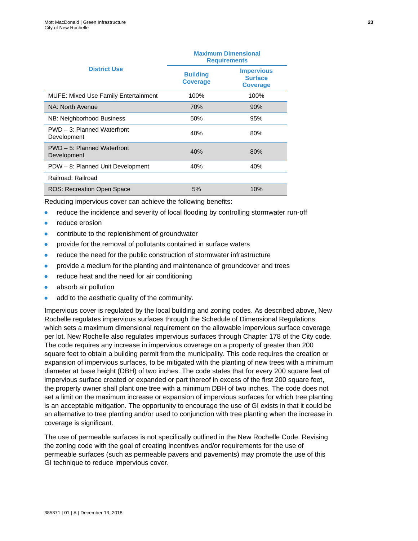|                                             | <b>Maximum Dimensional</b><br><b>Requirements</b> |                                                        |  |
|---------------------------------------------|---------------------------------------------------|--------------------------------------------------------|--|
| <b>District Use</b>                         | <b>Building</b><br><b>Coverage</b>                | <b>Impervious</b><br><b>Surface</b><br><b>Coverage</b> |  |
| <b>MUFE: Mixed Use Family Entertainment</b> | 100%                                              | 100%                                                   |  |
| NA: North Avenue                            | <b>70%</b>                                        | 90%                                                    |  |
| NB: Neighborhood Business                   | 50%                                               | 95%                                                    |  |
| PWD - 3: Planned Waterfront<br>Development  | 40%                                               | 80%                                                    |  |
| PWD - 5: Planned Waterfront<br>Development  | 40%                                               | 80%                                                    |  |
| PDW - 8: Planned Unit Development           | 40%                                               | 40%                                                    |  |
| Railroad: Railroad                          |                                                   |                                                        |  |
| <b>ROS: Recreation Open Space</b>           | 5%                                                | 10%                                                    |  |

Reducing impervious cover can achieve the following benefits:

- reduce the incidence and severity of local flooding by controlling stormwater run-off
- reduce erosion
- contribute to the replenishment of groundwater
- provide for the removal of pollutants contained in surface waters
- reduce the need for the public construction of stormwater infrastructure
- provide a medium for the planting and maintenance of groundcover and trees
- reduce heat and the need for air conditioning
- absorb air pollution
- add to the aesthetic quality of the community.

Impervious cover is regulated by the local building and zoning codes. As described above, New Rochelle regulates impervious surfaces through the Schedule of Dimensional Regulations which sets a maximum dimensional requirement on the allowable impervious surface coverage per lot. New Rochelle also regulates impervious surfaces through Chapter 178 of the City code. The code requires any increase in impervious coverage on a property of greater than 200 square feet to obtain a building permit from the municipality. This code requires the creation or expansion of impervious surfaces, to be mitigated with the planting of new trees with a minimum diameter at base height (DBH) of two inches. The code states that for every 200 square feet of impervious surface created or expanded or part thereof in excess of the first 200 square feet, the property owner shall plant one tree with a minimum DBH of two inches. The code does not set a limit on the maximum increase or expansion of impervious surfaces for which tree planting is an acceptable mitigation. The opportunity to encourage the use of GI exists in that it could be an alternative to tree planting and/or used to conjunction with tree planting when the increase in coverage is significant.

The use of permeable surfaces is not specifically outlined in the New Rochelle Code. Revising the zoning code with the goal of creating incentives and/or requirements for the use of permeable surfaces (such as permeable pavers and pavements) may promote the use of this GI technique to reduce impervious cover.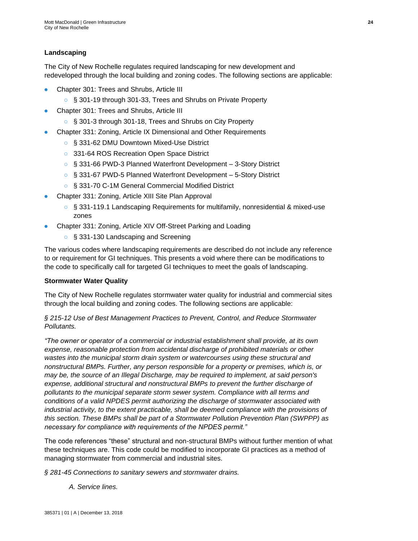## **Landscaping**

The City of New Rochelle regulates required landscaping for new development and redeveloped through the local building and zoning codes. The following sections are applicable:

- Chapter 301: Trees and Shrubs, Article III
	- § 301-19 through 301-33, Trees and Shrubs on Private Property
- Chapter 301: Trees and Shrubs, Article III
	- § 301-3 through 301-18, Trees and Shrubs on City Property
- Chapter 331: Zoning, Article IX Dimensional and Other Requirements
	- § 331-62 DMU Downtown Mixed-Use District
	- 331-64 ROS Recreation Open Space District
	- § 331-66 PWD-3 Planned Waterfront Development 3-Story District
	- § 331-67 PWD-5 Planned Waterfront Development 5-Story District
	- § 331-70 C-1M General Commercial Modified District
- Chapter 331: Zoning, Article XIII Site Plan Approval
	- § 331-119.1 Landscaping Requirements for multifamily, nonresidential & mixed-use zones
- Chapter 331: Zoning, Article XIV Off-Street Parking and Loading
	- § 331-130 Landscaping and Screening

The various codes where landscaping requirements are described do not include any reference to or requirement for GI techniques. This presents a void where there can be modifications to the code to specifically call for targeted GI techniques to meet the goals of landscaping.

#### **Stormwater Water Quality**

The City of New Rochelle regulates stormwater water quality for industrial and commercial sites through the local building and zoning codes. The following sections are applicable:

## *§ 215-12 Use of Best Management Practices to Prevent, Control, and Reduce Stormwater Pollutants.*

*"The owner or operator of a commercial or industrial establishment shall provide, at its own expense, reasonable protection from accidental discharge of prohibited materials or other wastes into the municipal storm drain system or watercourses using these structural and nonstructural BMPs. Further, any person responsible for a property or premises, which is, or may be, the source of an Illegal Discharge, may be required to implement, at said person's expense, additional structural and nonstructural BMPs to prevent the further discharge of pollutants to the municipal separate storm sewer system. Compliance with all terms and conditions of a valid NPDES permit authorizing the discharge of stormwater associated with industrial activity, to the extent practicable, shall be deemed compliance with the provisions of this section. These BMPs shall be part of a Stormwater Pollution Prevention Plan (SWPPP) as necessary for compliance with requirements of the NPDES permit."*

The code references "these" structural and non-structural BMPs without further mention of what these techniques are. This code could be modified to incorporate GI practices as a method of managing stormwater from commercial and industrial sites.

*§ 281-45 Connections to sanitary sewers and stormwater drains.* 

*[A.](https://www.ecode360.com/6737282#6737282) Service lines.*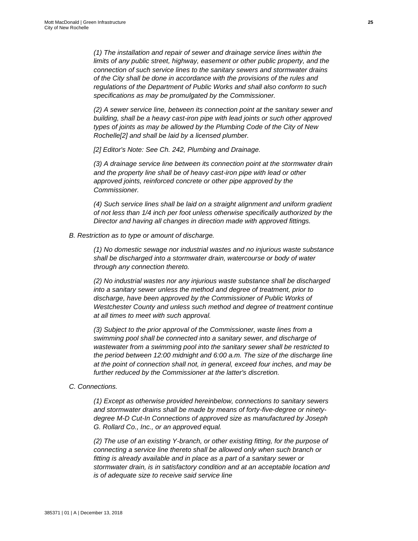*(1) The installation and repair of sewer and drainage service lines within the limits of any public street, highway, easement or other public property, and the connection of such service lines to the sanitary sewers and stormwater drains of the City shall be done in accordance with the provisions of the rules and regulations of the Department of Public Works and shall also conform to such specifications as may be promulgated by the Commissioner.*

*[\(2\)](https://www.ecode360.com/6737284#6737284) A sewer service line, between its connection point at the sanitary sewer and building, shall be a heavy cast-iron pipe with lead joints or such other approved types of joints as may be allowed by the Plumbing Code of the City of New Rochell[e\[2\]](https://www.ecode360.com/6737281?highlight=stormwater#ft6737284-2) and shall be laid by a licensed plumber.*

*[\[2\]](https://www.ecode360.com/6737281?highlight=stormwater#ref6737284-2) Editor's Note: See Ch. [242,](https://www.ecode360.com/6736112#6736112) Plumbing and Drainage.*

*[\(3\)](https://www.ecode360.com/6737285#6737285) A drainage service line between its connection point at the stormwater drain and the property line shall be of heavy cast-iron pipe with lead or other approved joints, reinforced concrete or other pipe approved by the Commissioner.*

*[\(4\)](https://www.ecode360.com/6737286#6737286) Such service lines shall be laid on a straight alignment and uniform gradient of not less than 1/4 inch per foot unless otherwise specifically authorized by the Director and having all changes in direction made with approved fittings.*

#### *[B.](https://www.ecode360.com/6737287#6737287) Restriction as to type or amount of discharge.*

*[\(1\)](https://www.ecode360.com/6737288#6737288) No domestic sewage nor industrial wastes and no injurious waste substance shall be discharged into a stormwater drain, watercourse or body of water through any connection thereto.*

*[\(2\)](https://www.ecode360.com/6737289#6737289) No industrial wastes nor any injurious waste substance shall be discharged into a sanitary sewer unless the method and degree of treatment, prior to discharge, have been approved by the Commissioner of Public Works of Westchester County and unless such method and degree of treatment continue at all times to meet with such approval.*

*[\(3\)](https://www.ecode360.com/6737290#6737290) Subject to the prior approval of the Commissioner, waste lines from a swimming pool shall be connected into a sanitary sewer, and discharge of wastewater from a swimming pool into the sanitary sewer shall be restricted to the period between 12:00 midnight and 6:00 a.m. The size of the discharge line at the point of connection shall not, in general, exceed four inches, and may be further reduced by the Commissioner at the latter's discretion.*

## *[C.](https://www.ecode360.com/6737291#6737291) Connections.*

*[\(1\)](https://www.ecode360.com/6737292#6737292) Except as otherwise provided hereinbelow, connections to sanitary sewers and stormwater drains shall be made by means of forty-five-degree or ninetydegree M-D Cut-In Connections of approved size as manufactured by Joseph G. Rollard Co., Inc., or an approved equal.*

*[\(2\)](https://www.ecode360.com/6737293#6737293) The use of an existing Y-branch, or other existing fitting, for the purpose of connecting a service line thereto shall be allowed only when such branch or fitting is already available and in place as a part of a sanitary sewer or stormwater drain, is in satisfactory condition and at an acceptable location and is of adequate size to receive said service line*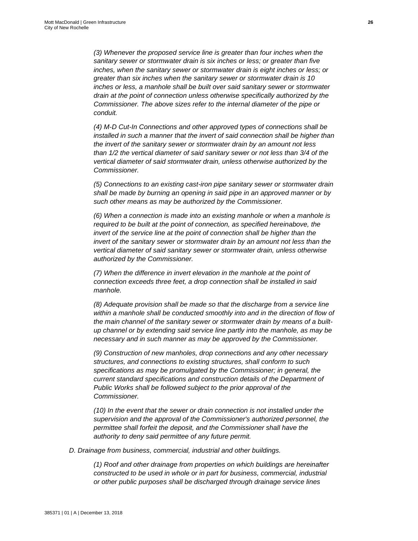*[\(3\)](https://www.ecode360.com/6737294#6737294) Whenever the proposed service line is greater than four inches when the sanitary sewer or stormwater drain is six inches or less; or greater than five inches, when the sanitary sewer or stormwater drain is eight inches or less; or greater than six inches when the sanitary sewer or stormwater drain is 10 inches or less, a manhole shall be built over said sanitary sewer or stormwater drain at the point of connection unless otherwise specifically authorized by the Commissioner. The above sizes refer to the internal diameter of the pipe or conduit.*

*[\(4\)](https://www.ecode360.com/6737295#6737295) M-D Cut-In Connections and other approved types of connections shall be installed in such a manner that the invert of said connection shall be higher than the invert of the sanitary sewer or stormwater drain by an amount not less than 1/2 the vertical diameter of said sanitary sewer or not less than 3/4 of the vertical diameter of said stormwater drain, unless otherwise authorized by the Commissioner.*

*[\(5\)](https://www.ecode360.com/6737296#6737296) Connections to an existing cast-iron pipe sanitary sewer or stormwater drain shall be made by burning an opening in said pipe in an approved manner or by such other means as may be authorized by the Commissioner.*

*[\(6\)](https://www.ecode360.com/6737297#6737297) When a connection is made into an existing manhole or when a manhole is required to be built at the point of connection, as specified hereinabove, the invert of the service line at the point of connection shall be higher than the invert of the sanitary sewer or stormwater drain by an amount not less than the vertical diameter of said sanitary sewer or stormwater drain, unless otherwise authorized by the Commissioner.*

*[\(7\)](https://www.ecode360.com/6737298#6737298) When the difference in invert elevation in the manhole at the point of connection exceeds three feet, a drop connection shall be installed in said manhole.*

*[\(8\)](https://www.ecode360.com/6737299#6737299) Adequate provision shall be made so that the discharge from a service line within a manhole shall be conducted smoothly into and in the direction of flow of the main channel of the sanitary sewer or stormwater drain by means of a builtup channel or by extending said service line partly into the manhole, as may be necessary and in such manner as may be approved by the Commissioner.*

*[\(9\)](https://www.ecode360.com/6737300#6737300) Construction of new manholes, drop connections and any other necessary structures, and connections to existing structures, shall conform to such specifications as may be promulgated by the Commissioner; in general, the current standard specifications and construction details of the Department of Public Works shall be followed subject to the prior approval of the Commissioner.*

*[\(10\)](https://www.ecode360.com/6737301#6737301) In the event that the sewer or drain connection is not installed under the supervision and the approval of the Commissioner's authorized personnel, the permittee shall forfeit the deposit, and the Commissioner shall have the authority to deny said permittee of any future permit.*

*[D.](https://www.ecode360.com/6737302#6737302) Drainage from business, commercial, industrial and other buildings.*

*[\(1\)](https://www.ecode360.com/6737303#6737303) Roof and other drainage from properties on which buildings are hereinafter constructed to be used in whole or in part for business, commercial, industrial or other public purposes shall be discharged through drainage service lines*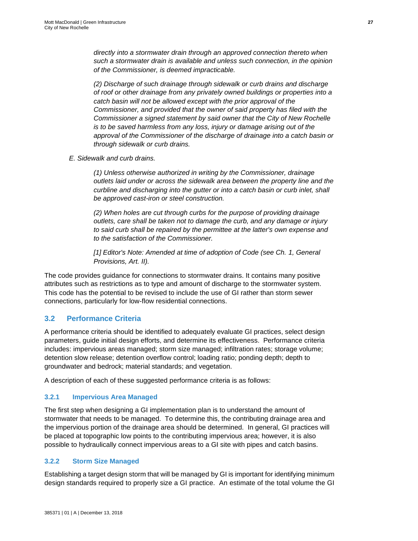*directly into a stormwater drain through an approved connection thereto when such a stormwater drain is available and unless such connection, in the opinion of the Commissioner, is deemed impracticable.*

*[\(2\)](https://www.ecode360.com/6737304#6737304) Discharge of such drainage through sidewalk or curb drains and discharge of roof or other drainage from any privately owned buildings or properties into a catch basin will not be allowed except with the prior approval of the Commissioner, and provided that the owner of said property has filed with the Commissioner a signed statement by said owner that the City of New Rochelle is to be saved harmless from any loss, injury or damage arising out of the approval of the Commissioner of the discharge of drainage into a catch basin or through sidewalk or curb drains.*

*[E.](https://www.ecode360.com/6737305#6737305) Sidewalk and curb drains.*

*[\(1\)](https://www.ecode360.com/6737306#6737306) Unless otherwise authorized in writing by the Commissioner, drainage outlets laid under or across the sidewalk area between the property line and the curbline and discharging into the gutter or into a catch basin or curb inlet, shall be approved cast-iron or steel construction.*

*[\(2\)](https://www.ecode360.com/6737307#6737307) When holes are cut through curbs for the purpose of providing drainage outlets, care shall be taken not to damage the curb, and any damage or injury to said curb shall be repaired by the permittee at the latter's own expense and to the satisfaction of the Commissioner.*

*[\[1\]](https://www.ecode360.com/6737281?highlight=stormwater#ref6737281-1) Editor's Note: Amended at time of adoption of Code (see Ch. [1,](https://www.ecode360.com/6732643#6732643) General Provisions, Art. [II\)](https://www.ecode360.com/6732662#6732662).*

The code provides guidance for connections to stormwater drains. It contains many positive attributes such as restrictions as to type and amount of discharge to the stormwater system. This code has the potential to be revised to include the use of GI rather than storm sewer connections, particularly for low-flow residential connections.

## <span id="page-32-0"></span>**3.2 Performance Criteria**

A performance criteria should be identified to adequately evaluate GI practices, select design parameters, guide initial design efforts, and determine its effectiveness. Performance criteria includes: impervious areas managed; storm size managed; infiltration rates; storage volume; detention slow release; detention overflow control; loading ratio; ponding depth; depth to groundwater and bedrock; material standards; and vegetation.

A description of each of these suggested performance criteria is as follows:

#### <span id="page-32-1"></span>**3.2.1 Impervious Area Managed**

The first step when designing a GI implementation plan is to understand the amount of stormwater that needs to be managed. To determine this, the contributing drainage area and the impervious portion of the drainage area should be determined. In general, GI practices will be placed at topographic low points to the contributing impervious area; however, it is also possible to hydraulically connect impervious areas to a GI site with pipes and catch basins.

#### <span id="page-32-2"></span>**3.2.2 Storm Size Managed**

Establishing a target design storm that will be managed by GI is important for identifying minimum design standards required to properly size a GI practice. An estimate of the total volume the GI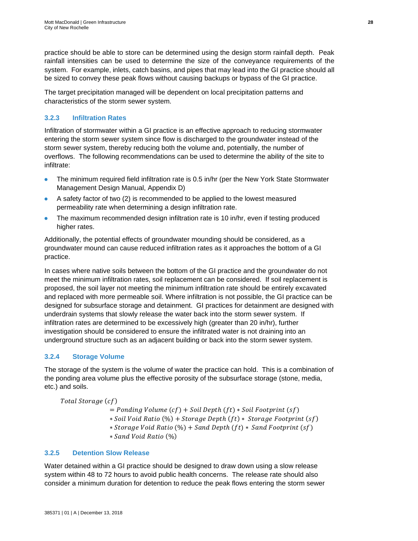practice should be able to store can be determined using the design storm rainfall depth. Peak rainfall intensities can be used to determine the size of the conveyance requirements of the system. For example, inlets, catch basins, and pipes that may lead into the GI practice should all be sized to convey these peak flows without causing backups or bypass of the GI practice.

The target precipitation managed will be dependent on local precipitation patterns and characteristics of the storm sewer system.

## <span id="page-33-0"></span>**3.2.3 Infiltration Rates**

Infiltration of stormwater within a GI practice is an effective approach to reducing stormwater entering the storm sewer system since flow is discharged to the groundwater instead of the storm sewer system, thereby reducing both the volume and, potentially, the number of overflows. The following recommendations can be used to determine the ability of the site to infiltrate:

- The minimum required field infiltration rate is 0.5 in/hr (per the New York State Stormwater Management Design Manual, Appendix D)
- A safety factor of two (2) is recommended to be applied to the lowest measured permeability rate when determining a design infiltration rate.
- The maximum recommended design infiltration rate is 10 in/hr, even if testing produced higher rates.

Additionally, the potential effects of groundwater mounding should be considered, as a groundwater mound can cause reduced infiltration rates as it approaches the bottom of a GI practice.

In cases where native soils between the bottom of the GI practice and the groundwater do not meet the minimum infiltration rates, soil replacement can be considered. If soil replacement is proposed, the soil layer not meeting the minimum infiltration rate should be entirely excavated and replaced with more permeable soil. Where infiltration is not possible, the GI practice can be designed for subsurface storage and detainment. GI practices for detainment are designed with underdrain systems that slowly release the water back into the storm sewer system. If infiltration rates are determined to be excessively high (greater than 20 in/hr), further investigation should be considered to ensure the infiltrated water is not draining into an underground structure such as an adjacent building or back into the storm sewer system.

## <span id="page-33-1"></span>**3.2.4 Storage Volume**

The storage of the system is the volume of water the practice can hold. This is a combination of the ponding area volume plus the effective porosity of the subsurface storage (stone, media, etc.) and soils.

Total Storage (cf)

 $=$  Ponding Volume (cf) + Soil Depth (ft)  $*$  Soil Footprint (sf)

- $*$  Soil Void Ratio (%) + Storage Depth (ft)  $*$  Storage Footprint (sf)
- $*$  Storage Void Ratio  $(\%) +$  Sand Depth  $(ft) *$  Sand Footprint  $(sf)$

∗ (%)

## <span id="page-33-2"></span>**3.2.5 Detention Slow Release**

Water detained within a GI practice should be designed to draw down using a slow release system within 48 to 72 hours to avoid public health concerns. The release rate should also consider a minimum duration for detention to reduce the peak flows entering the storm sewer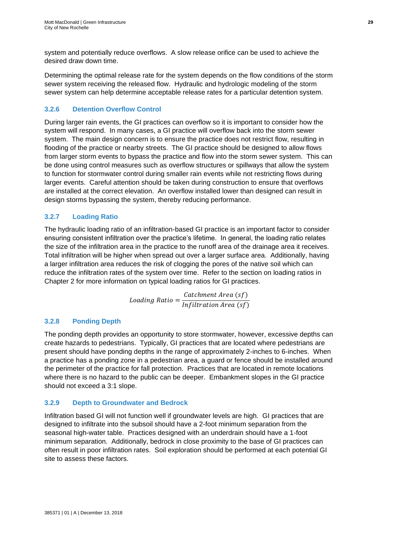system and potentially reduce overflows. A slow release orifice can be used to achieve the desired draw down time.

Determining the optimal release rate for the system depends on the flow conditions of the storm sewer system receiving the released flow. Hydraulic and hydrologic modeling of the storm sewer system can help determine acceptable release rates for a particular detention system.

## <span id="page-34-0"></span>**3.2.6 Detention Overflow Control**

During larger rain events, the GI practices can overflow so it is important to consider how the system will respond. In many cases, a GI practice will overflow back into the storm sewer system. The main design concern is to ensure the practice does not restrict flow, resulting in flooding of the practice or nearby streets. The GI practice should be designed to allow flows from larger storm events to bypass the practice and flow into the storm sewer system. This can be done using control measures such as overflow structures or spillways that allow the system to function for stormwater control during smaller rain events while not restricting flows during larger events. Careful attention should be taken during construction to ensure that overflows are installed at the correct elevation. An overflow installed lower than designed can result in design storms bypassing the system, thereby reducing performance.

## <span id="page-34-1"></span>**3.2.7 Loading Ratio**

The hydraulic loading ratio of an infiltration-based GI practice is an important factor to consider ensuring consistent infiltration over the practice's lifetime. In general, the loading ratio relates the size of the infiltration area in the practice to the runoff area of the drainage area it receives. Total infiltration will be higher when spread out over a larger surface area. Additionally, having a larger infiltration area reduces the risk of clogging the pores of the native soil which can reduce the infiltration rates of the system over time. Refer to the section on loading ratios in Chapter 2 for more information on typical loading ratios for GI practices.

> Loading Ratio  $=\frac{Catchment Area(sf)}{1 - G(t)}$ Infiltration Area (sf)

## <span id="page-34-2"></span>**3.2.8 Ponding Depth**

The ponding depth provides an opportunity to store stormwater, however, excessive depths can create hazards to pedestrians. Typically, GI practices that are located where pedestrians are present should have ponding depths in the range of approximately 2-inches to 6-inches. When a practice has a ponding zone in a pedestrian area, a guard or fence should be installed around the perimeter of the practice for fall protection. Practices that are located in remote locations where there is no hazard to the public can be deeper. Embankment slopes in the GI practice should not exceed a 3:1 slope.

## <span id="page-34-3"></span>**3.2.9 Depth to Groundwater and Bedrock**

Infiltration based GI will not function well if groundwater levels are high. GI practices that are designed to infiltrate into the subsoil should have a 2-foot minimum separation from the seasonal high-water table. Practices designed with an underdrain should have a 1-foot minimum separation. Additionally, bedrock in close proximity to the base of GI practices can often result in poor infiltration rates. Soil exploration should be performed at each potential GI site to assess these factors.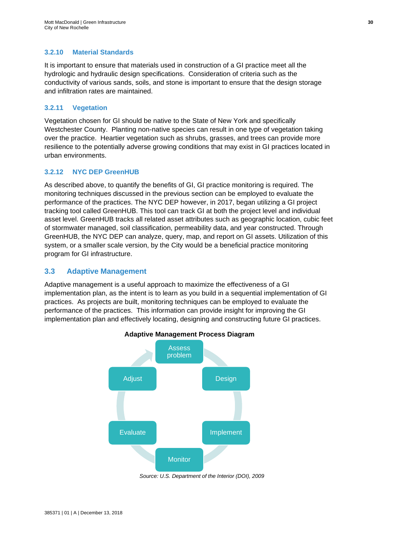## <span id="page-35-0"></span>**3.2.10 Material Standards**

It is important to ensure that materials used in construction of a GI practice meet all the hydrologic and hydraulic design specifications. Consideration of criteria such as the conductivity of various sands, soils, and stone is important to ensure that the design storage and infiltration rates are maintained.

### <span id="page-35-1"></span>**3.2.11 Vegetation**

Vegetation chosen for GI should be native to the State of New York and specifically Westchester County. Planting non-native species can result in one type of vegetation taking over the practice. Heartier vegetation such as shrubs, grasses, and trees can provide more resilience to the potentially adverse growing conditions that may exist in GI practices located in urban environments.

## <span id="page-35-2"></span>**3.2.12 NYC DEP GreenHUB**

As described above, to quantify the benefits of GI, GI practice monitoring is required. The monitoring techniques discussed in the previous section can be employed to evaluate the performance of the practices. The NYC DEP however, in 2017, began utilizing a GI project tracking tool called GreenHUB. This tool can track GI at both the project level and individual asset level. GreenHUB tracks all related asset attributes such as geographic location, cubic feet of stormwater managed, soil classification, permeability data, and year constructed. Through GreenHUB, the NYC DEP can analyze, query, map, and report on GI assets. Utilization of this system, or a smaller scale version, by the City would be a beneficial practice monitoring program for GI infrastructure.

## <span id="page-35-3"></span>**3.3 Adaptive Management**

Adaptive management is a useful approach to maximize the effectiveness of a GI implementation plan, as the intent is to learn as you build in a sequential implementation of GI practices. As projects are built, monitoring techniques can be employed to evaluate the performance of the practices. This information can provide insight for improving the GI implementation plan and effectively locating, designing and constructing future GI practices.



#### **Adaptive Management Process Diagram**

*Source: U.S. Department of the Interior (DOI), 2009*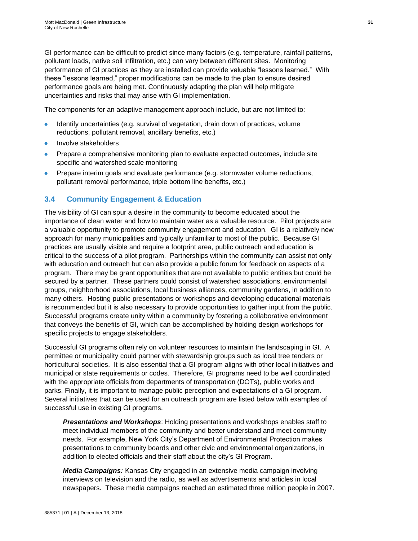GI performance can be difficult to predict since many factors (e.g. temperature, rainfall patterns, pollutant loads, native soil infiltration, etc.) can vary between different sites. Monitoring performance of GI practices as they are installed can provide valuable "lessons learned." With these "lessons learned," proper modifications can be made to the plan to ensure desired performance goals are being met. Continuously adapting the plan will help mitigate uncertainties and risks that may arise with GI implementation.

The components for an adaptive management approach include, but are not limited to:

- Identify uncertainties (e.g. survival of vegetation, drain down of practices, volume reductions, pollutant removal, ancillary benefits, etc.)
- Involve stakeholders
- Prepare a comprehensive monitoring plan to evaluate expected outcomes, include site specific and watershed scale monitoring
- Prepare interim goals and evaluate performance (e.g. stormwater volume reductions, pollutant removal performance, triple bottom line benefits, etc.)

## **3.4 Community Engagement & Education**

The visibility of GI can spur a desire in the community to become educated about the importance of clean water and how to maintain water as a valuable resource. Pilot projects are a valuable opportunity to promote community engagement and education. GI is a relatively new approach for many municipalities and typically unfamiliar to most of the public. Because GI practices are usually visible and require a footprint area, public outreach and education is critical to the success of a pilot program. Partnerships within the community can assist not only with education and outreach but can also provide a public forum for feedback on aspects of a program. There may be grant opportunities that are not available to public entities but could be secured by a partner. These partners could consist of watershed associations, environmental groups, neighborhood associations, local business alliances, community gardens, in addition to many others. Hosting public presentations or workshops and developing educational materials is recommended but it is also necessary to provide opportunities to gather input from the public. Successful programs create unity within a community by fostering a collaborative environment that conveys the benefits of GI, which can be accomplished by holding design workshops for specific projects to engage stakeholders.

Successful GI programs often rely on volunteer resources to maintain the landscaping in GI. A permittee or municipality could partner with stewardship groups such as local tree tenders or horticultural societies. It is also essential that a GI program aligns with other local initiatives and municipal or state requirements or codes. Therefore, GI programs need to be well coordinated with the appropriate officials from departments of transportation (DOTs), public works and parks. Finally, it is important to manage public perception and expectations of a GI program. Several initiatives that can be used for an outreach program are listed below with examples of successful use in existing GI programs.

*Presentations and Workshops*: Holding presentations and workshops enables staff to meet individual members of the community and better understand and meet community needs. For example, New York City's Department of Environmental Protection makes presentations to community boards and other civic and environmental organizations, in addition to elected officials and their staff about the city's GI Program.

*Media Campaigns:* Kansas City engaged in an extensive media campaign involving interviews on television and the radio, as well as advertisements and articles in local newspapers. These media campaigns reached an estimated three million people in 2007.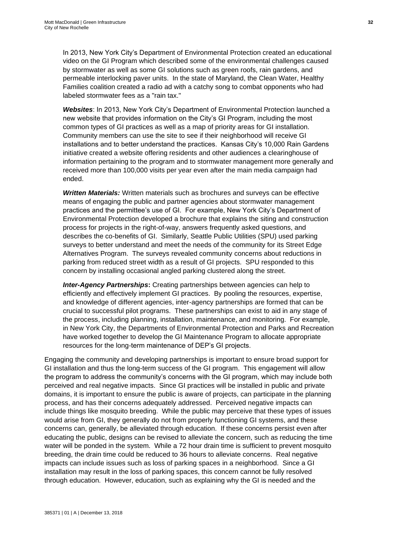In 2013, New York City's Department of Environmental Protection created an educational video on the GI Program which described some of the environmental challenges caused by stormwater as well as some GI solutions such as green roofs, rain gardens, and permeable interlocking paver units. In the state of Maryland, the Clean Water, Healthy Families coalition created a radio ad with a catchy song to combat opponents who had labeled stormwater fees as a "rain tax."

*Websites*: In 2013, New York City's Department of Environmental Protection launched a new website that provides information on the City's GI Program, including the most common types of GI practices as well as a map of priority areas for GI installation. Community members can use the site to see if their neighborhood will receive GI installations and to better understand the practices. Kansas City's 10,000 Rain Gardens initiative created a website offering residents and other audiences a clearinghouse of information pertaining to the program and to stormwater management more generally and received more than 100,000 visits per year even after the main media campaign had ended.

*Written Materials:* Written materials such as brochures and surveys can be effective means of engaging the public and partner agencies about stormwater management practices and the permittee's use of GI. For example, New York City's Department of Environmental Protection developed a brochure that explains the siting and construction process for projects in the right-of-way, answers frequently asked questions, and describes the co-benefits of GI. Similarly, Seattle Public Utilities (SPU) used parking surveys to better understand and meet the needs of the community for its Street Edge Alternatives Program. The surveys revealed community concerns about reductions in parking from reduced street width as a result of GI projects. SPU responded to this concern by installing occasional angled parking clustered along the street.

*Inter-Agency Partnerships***:** Creating partnerships between agencies can help to efficiently and effectively implement GI practices. By pooling the resources, expertise, and knowledge of different agencies, inter-agency partnerships are formed that can be crucial to successful pilot programs. These partnerships can exist to aid in any stage of the process, including planning, installation, maintenance, and monitoring. For example, in New York City, the Departments of Environmental Protection and Parks and Recreation have worked together to develop the GI Maintenance Program to allocate appropriate resources for the long-term maintenance of DEP's GI projects.

Engaging the community and developing partnerships is important to ensure broad support for GI installation and thus the long-term success of the GI program. This engagement will allow the program to address the community's concerns with the GI program, which may include both perceived and real negative impacts. Since GI practices will be installed in public and private domains, it is important to ensure the public is aware of projects, can participate in the planning process, and has their concerns adequately addressed. Perceived negative impacts can include things like mosquito breeding. While the public may perceive that these types of issues would arise from GI, they generally do not from properly functioning GI systems, and these concerns can, generally, be alleviated through education. If these concerns persist even after educating the public, designs can be revised to alleviate the concern, such as reducing the time water will be ponded in the system. While a 72 hour drain time is sufficient to prevent mosquito breeding, the drain time could be reduced to 36 hours to alleviate concerns. Real negative impacts can include issues such as loss of parking spaces in a neighborhood. Since a GI installation may result in the loss of parking spaces, this concern cannot be fully resolved through education. However, education, such as explaining why the GI is needed and the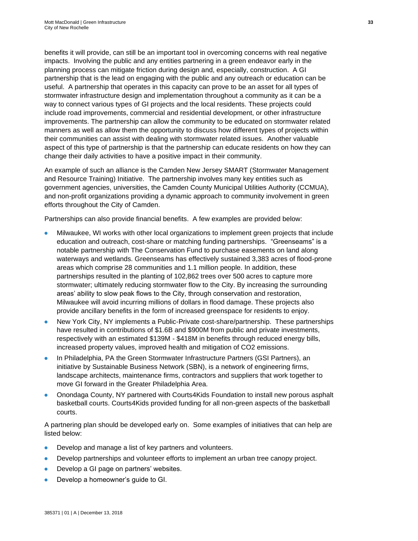benefits it will provide, can still be an important tool in overcoming concerns with real negative impacts. Involving the public and any entities partnering in a green endeavor early in the planning process can mitigate friction during design and, especially, construction. A GI partnership that is the lead on engaging with the public and any outreach or education can be useful. A partnership that operates in this capacity can prove to be an asset for all types of stormwater infrastructure design and implementation throughout a community as it can be a way to connect various types of GI projects and the local residents. These projects could include road improvements, commercial and residential development, or other infrastructure improvements. The partnership can allow the community to be educated on stormwater related manners as well as allow them the opportunity to discuss how different types of projects within their communities can assist with dealing with stormwater related issues. Another valuable aspect of this type of partnership is that the partnership can educate residents on how they can change their daily activities to have a positive impact in their community.

An example of such an alliance is the Camden New Jersey SMART (Stormwater Management and Resource Training) Initiative. The partnership involves many key entities such as government agencies, universities, the Camden County Municipal Utilities Authority (CCMUA), and non-profit organizations providing a dynamic approach to community involvement in green efforts throughout the City of Camden.

Partnerships can also provide financial benefits. A few examples are provided below:

- Milwaukee, WI works with other local organizations to implement green projects that include education and outreach, cost-share or matching funding partnerships. "Greenseams" is a notable partnership with The Conservation Fund to purchase easements on land along waterways and wetlands. Greenseams has effectively sustained 3,383 acres of flood-prone areas which comprise 28 communities and 1.1 million people. In addition, these partnerships resulted in the planting of 102,862 trees over 500 acres to capture more stormwater; ultimately reducing stormwater flow to the City. By increasing the surrounding areas' ability to slow peak flows to the City, through conservation and restoration, Milwaukee will avoid incurring millions of dollars in flood damage. These projects also provide ancillary benefits in the form of increased greenspace for residents to enjoy.
- New York City, NY implements a Public-Private cost-share/partnership. These partnerships have resulted in contributions of \$1.6B and \$900M from public and private investments, respectively with an estimated \$139M - \$418M in benefits through reduced energy bills, increased property values, improved health and mitigation of CO2 emissions.
- In Philadelphia, PA the Green Stormwater Infrastructure Partners (GSI Partners), an initiative by Sustainable Business Network (SBN), is a network of engineering firms, landscape architects, maintenance firms, contractors and suppliers that work together to move GI forward in the Greater Philadelphia Area.
- Onondaga County, NY partnered with Courts4Kids Foundation to install new porous asphalt basketball courts. Courts4Kids provided funding for all non-green aspects of the basketball courts.

A partnering plan should be developed early on. Some examples of initiatives that can help are listed below:

- Develop and manage a list of key partners and volunteers.
- Develop partnerships and volunteer efforts to implement an urban tree canopy project.
- Develop a GI page on partners' websites.
- Develop a homeowner's guide to GI.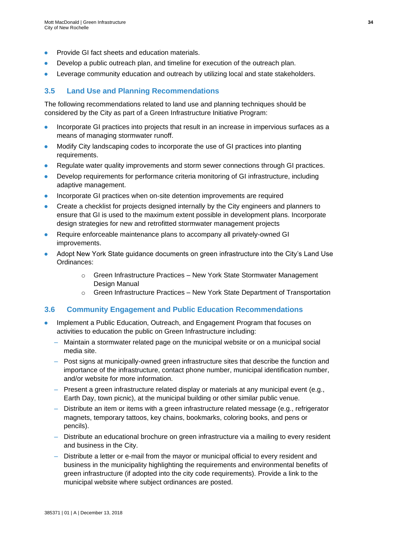- Provide GI fact sheets and education materials.
- Develop a public outreach plan, and timeline for execution of the outreach plan.
- Leverage community education and outreach by utilizing local and state stakeholders.

## **3.5 Land Use and Planning Recommendations**

The following recommendations related to land use and planning techniques should be considered by the City as part of a Green Infrastructure Initiative Program:

- Incorporate GI practices into projects that result in an increase in impervious surfaces as a means of managing stormwater runoff.
- Modify City landscaping codes to incorporate the use of GI practices into planting requirements.
- Regulate water quality improvements and storm sewer connections through GI practices.
- Develop requirements for performance criteria monitoring of GI infrastructure, including adaptive management.
- Incorporate GI practices when on-site detention improvements are required
- Create a checklist for projects designed internally by the City engineers and planners to ensure that GI is used to the maximum extent possible in development plans. Incorporate design strategies for new and retrofitted stormwater management projects
- Require enforceable maintenance plans to accompany all privately-owned GI improvements.
- Adopt New York State guidance documents on green infrastructure into the City's Land Use Ordinances:
	- $\circ$  Green Infrastructure Practices New York State Stormwater Management Design Manual
	- o Green Infrastructure Practices New York State Department of Transportation

### **3.6 Community Engagement and Public Education Recommendations**

- Implement a Public Education, Outreach, and Engagement Program that focuses on activities to education the public on Green Infrastructure including:
	- Maintain a stormwater related page on the municipal website or on a municipal social media site.
	- Post signs at municipally-owned green infrastructure sites that describe the function and importance of the infrastructure, contact phone number, municipal identification number, and/or website for more information.
	- Present a green infrastructure related display or materials at any municipal event (e.g., Earth Day, town picnic), at the municipal building or other similar public venue.
	- Distribute an item or items with a green infrastructure related message (e.g., refrigerator magnets, temporary tattoos, key chains, bookmarks, coloring books, and pens or pencils).
	- Distribute an educational brochure on green infrastructure via a mailing to every resident and business in the City.
	- Distribute a letter or e-mail from the mayor or municipal official to every resident and business in the municipality highlighting the requirements and environmental benefits of green infrastructure (if adopted into the city code requirements). Provide a link to the municipal website where subject ordinances are posted.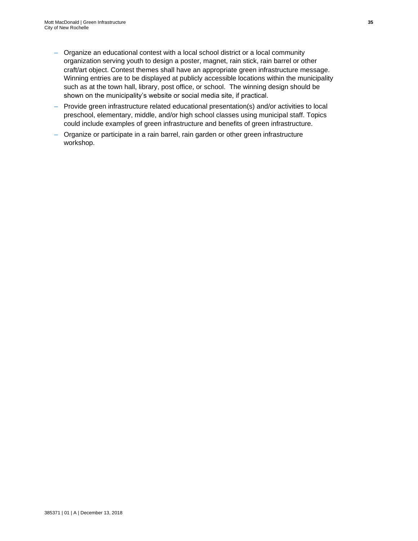- Organize an educational contest with a local school district or a local community organization serving youth to design a poster, magnet, rain stick, rain barrel or other craft/art object. Contest themes shall have an appropriate green infrastructure message. Winning entries are to be displayed at publicly accessible locations within the municipality such as at the town hall, library, post office, or school. The winning design should be shown on the municipality's website or social media site, if practical.
- Provide green infrastructure related educational presentation(s) and/or activities to local preschool, elementary, middle, and/or high school classes using municipal staff. Topics could include examples of green infrastructure and benefits of green infrastructure.
- Organize or participate in a rain barrel, rain garden or other green infrastructure workshop.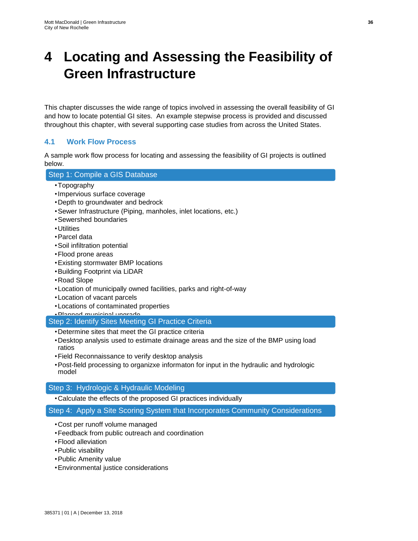# **4 Locating and Assessing the Feasibility of Green Infrastructure**

This chapter discusses the wide range of topics involved in assessing the overall feasibility of GI and how to locate potential GI sites. An example stepwise process is provided and discussed throughout this chapter, with several supporting case studies from across the United States.

## **4.1 Work Flow Process**

A sample work flow process for locating and assessing the feasibility of GI projects is outlined below.

## Step 1: Compile a GIS Database

- •Topography
- •Impervious surface coverage
- •Depth to groundwater and bedrock
- •Sewer Infrastructure (Piping, manholes, inlet locations, etc.)
- •Sewershed boundaries
- •Utilities
- •Parcel data
- •Soil infiltration potential
- •Flood prone areas
- •Existing stormwater BMP locations
- •Building Footprint via LiDAR
- •Road Slope
- •Location of municipally owned facilities, parks and right-of-way
- •Location of vacant parcels
- •Locations of contaminated properties

•Planned municipal upgrade

Step 2: Identify Sites Meeting GI Practice Criteria

- •Determine sites that meet the GI practice criteria
- •Desktop analysis used to estimate drainage areas and the size of the BMP using load ratios
- •Field Reconnaissance to verify desktop analysis
- •Post-field processing to organizxe informaton for input in the hydraulic and hydrologic model

### Step 3: Hydrologic & Hydraulic Modeling

•Calculate the effects of the proposed GI practices individually

Step 4: Apply a Site Scoring System that Incorporates Community Considerations

- •Cost per runoff volume managed
- •Feedback from public outreach and coordination
- •Flood alleviation
- •Public visability
- •Public Amenity value
- •Environmental justice considerations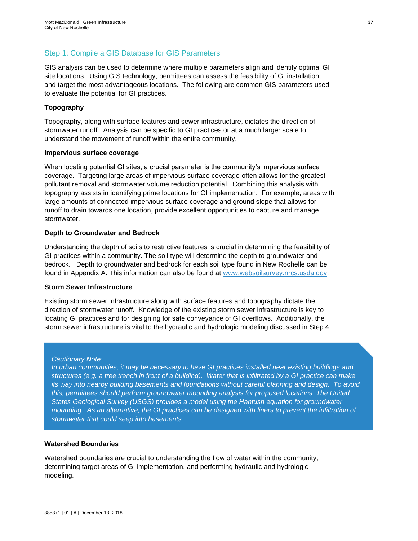## Step 1: Compile a GIS Database for GIS Parameters

GIS analysis can be used to determine where multiple parameters align and identify optimal GI site locations. Using GIS technology, permittees can assess the feasibility of GI installation, and target the most advantageous locations. The following are common GIS parameters used to evaluate the potential for GI practices.

#### **Topography**

Topography, along with surface features and sewer infrastructure, dictates the direction of stormwater runoff. Analysis can be specific to GI practices or at a much larger scale to understand the movement of runoff within the entire community.

#### **Impervious surface coverage**

When locating potential GI sites, a crucial parameter is the community's impervious surface coverage. Targeting large areas of impervious surface coverage often allows for the greatest pollutant removal and stormwater volume reduction potential. Combining this analysis with topography assists in identifying prime locations for GI implementation. For example, areas with large amounts of connected impervious surface coverage and ground slope that allows for runoff to drain towards one location, provide excellent opportunities to capture and manage stormwater.

#### **Depth to Groundwater and Bedrock**

Understanding the depth of soils to restrictive features is crucial in determining the feasibility of GI practices within a community. The soil type will determine the depth to groundwater and bedrock. Depth to groundwater and bedrock for each soil type found in New Rochelle can be found in Appendix A. This information can also be found at [www.websoilsurvey.nrcs.usda.gov.](http://www.websoilsurvey.nrcs.usda.gov/) 

#### **Storm Sewer Infrastructure**

Existing storm sewer infrastructure along with surface features and topography dictate the direction of stormwater runoff. Knowledge of the existing storm sewer infrastructure is key to locating GI practices and for designing for safe conveyance of GI overflows. Additionally, the storm sewer infrastructure is vital to the hydraulic and hydrologic modeling discussed in Step 4.

#### *Cautionary Note:*

*In urban communities, it may be necessary to have GI practices installed near existing buildings and structures (e.g. a tree trench in front of a building). Water that is infiltrated by a GI practice can make its way into nearby building basements and foundations without careful planning and design. To avoid this, permittees should perform groundwater mounding analysis for proposed locations. The United States Geological Survey (USGS) provides a model using the Hantush equation for groundwater mounding. As an alternative, the GI practices can be designed with liners to prevent the infiltration of stormwater that could seep into basements.* 

#### **Watershed Boundaries**

Watershed boundaries are crucial to understanding the flow of water within the community, determining target areas of GI implementation, and performing hydraulic and hydrologic modeling.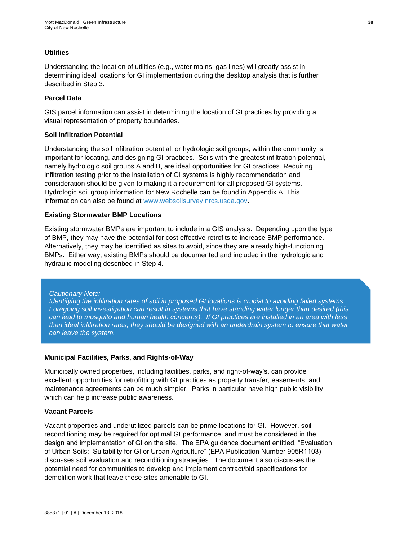#### **Utilities**

Understanding the location of utilities (e.g., water mains, gas lines) will greatly assist in determining ideal locations for GI implementation during the desktop analysis that is further described in Step 3.

#### **Parcel Data**

GIS parcel information can assist in determining the location of GI practices by providing a visual representation of property boundaries.

#### **Soil Infiltration Potential**

Understanding the soil infiltration potential, or hydrologic soil groups, within the community is important for locating, and designing GI practices. Soils with the greatest infiltration potential, namely hydrologic soil groups A and B, are ideal opportunities for GI practices. Requiring infiltration testing prior to the installation of GI systems is highly recommendation and consideration should be given to making it a requirement for all proposed GI systems. Hydrologic soil group information for New Rochelle can be found in Appendix A. This information can also be found at [www.websoilsurvey.nrcs.usda.gov.](http://www.websoilsurvey.nrcs.usda.gov/)

#### **Existing Stormwater BMP Locations**

Existing stormwater BMPs are important to include in a GIS analysis. Depending upon the type of BMP, they may have the potential for cost effective retrofits to increase BMP performance. Alternatively, they may be identified as sites to avoid, since they are already high-functioning BMPs. Either way, existing BMPs should be documented and included in the hydrologic and hydraulic modeling described in Step 4.

#### *Cautionary Note:*

*Identifying the infiltration rates of soil in proposed GI locations is crucial to avoiding failed systems. Foregoing soil investigation can result in systems that have standing water longer than desired (this can lead to mosquito and human health concerns). If GI practices are installed in an area with less than ideal infiltration rates, they should be designed with an underdrain system to ensure that water can leave the system.*

#### **Municipal Facilities, Parks, and Rights-of-Way**

Municipally owned properties, including facilities, parks, and right-of-way's, can provide excellent opportunities for retrofitting with GI practices as property transfer, easements, and maintenance agreements can be much simpler. Parks in particular have high public visibility which can help increase public awareness.

#### **Vacant Parcels**

Vacant properties and underutilized parcels can be prime locations for GI. However, soil reconditioning may be required for optimal GI performance, and must be considered in the design and implementation of GI on the site. The EPA guidance document entitled, "Evaluation of Urban Soils: Suitability for GI or Urban Agriculture" (EPA Publication Number 905R1103) discusses soil evaluation and reconditioning strategies. The document also discusses the potential need for communities to develop and implement contract/bid specifications for demolition work that leave these sites amenable to GI.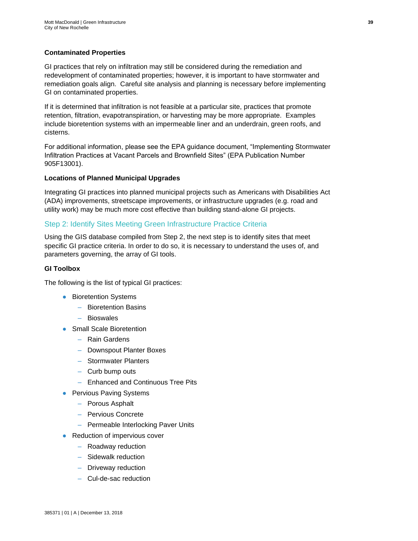#### **Contaminated Properties**

GI practices that rely on infiltration may still be considered during the remediation and redevelopment of contaminated properties; however, it is important to have stormwater and remediation goals align. Careful site analysis and planning is necessary before implementing GI on contaminated properties.

If it is determined that infiltration is not feasible at a particular site, practices that promote retention, filtration, evapotranspiration, or harvesting may be more appropriate. Examples include bioretention systems with an impermeable liner and an underdrain, green roofs, and cisterns.

For additional information, please see the EPA guidance document, "Implementing Stormwater Infiltration Practices at Vacant Parcels and Brownfield Sites" (EPA Publication Number 905F13001).

#### **Locations of Planned Municipal Upgrades**

Integrating GI practices into planned municipal projects such as Americans with Disabilities Act (ADA) improvements, streetscape improvements, or infrastructure upgrades (e.g. road and utility work) may be much more cost effective than building stand-alone GI projects.

#### Step 2: Identify Sites Meeting Green Infrastructure Practice Criteria

Using the GIS database compiled from Step 2, the next step is to identify sites that meet specific GI practice criteria. In order to do so, it is necessary to understand the uses of, and parameters governing, the array of GI tools.

#### **GI Toolbox**

The following is the list of typical GI practices:

- Bioretention Systems
	- Bioretention Basins
	- Bioswales
- Small Scale Bioretention
	- Rain Gardens
	- Downspout Planter Boxes
	- Stormwater Planters
	- Curb bump outs
	- Enhanced and Continuous Tree Pits
- Pervious Paving Systems
	- Porous Asphalt
	- Pervious Concrete
	- Permeable Interlocking Paver Units
- Reduction of impervious cover
	- Roadway reduction
	- Sidewalk reduction
	- Driveway reduction
	- Cul-de-sac reduction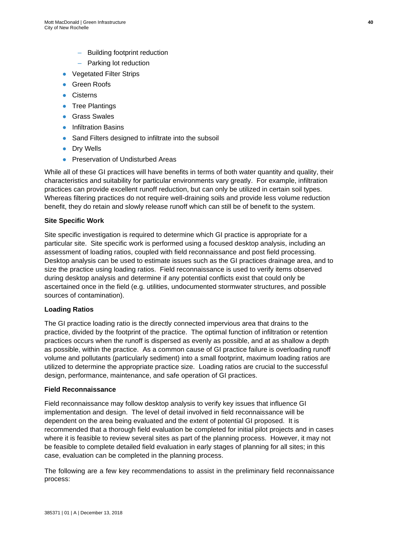- Building footprint reduction
- Parking lot reduction
- Vegetated Filter Strips
- Green Roofs
- Cisterns
- Tree Plantings
- Grass Swales
- Infiltration Basins
- Sand Filters designed to infiltrate into the subsoil
- Dry Wells
- Preservation of Undisturbed Areas

While all of these GI practices will have benefits in terms of both water quantity and quality, their characteristics and suitability for particular environments vary greatly. For example, infiltration practices can provide excellent runoff reduction, but can only be utilized in certain soil types. Whereas filtering practices do not require well-draining soils and provide less volume reduction benefit, they do retain and slowly release runoff which can still be of benefit to the system.

#### **Site Specific Work**

Site specific investigation is required to determine which GI practice is appropriate for a particular site. Site specific work is performed using a focused desktop analysis, including an assessment of loading ratios, coupled with field reconnaissance and post field processing. Desktop analysis can be used to estimate issues such as the GI practices drainage area, and to size the practice using loading ratios. Field reconnaissance is used to verify items observed during desktop analysis and determine if any potential conflicts exist that could only be ascertained once in the field (e.g. utilities, undocumented stormwater structures, and possible sources of contamination).

#### **Loading Ratios**

The GI practice loading ratio is the directly connected impervious area that drains to the practice, divided by the footprint of the practice. The optimal function of infiltration or retention practices occurs when the runoff is dispersed as evenly as possible, and at as shallow a depth as possible, within the practice. As a common cause of GI practice failure is overloading runoff volume and pollutants (particularly sediment) into a small footprint, maximum loading ratios are utilized to determine the appropriate practice size. Loading ratios are crucial to the successful design, performance, maintenance, and safe operation of GI practices.

#### **Field Reconnaissance**

Field reconnaissance may follow desktop analysis to verify key issues that influence GI implementation and design. The level of detail involved in field reconnaissance will be dependent on the area being evaluated and the extent of potential GI proposed. It is recommended that a thorough field evaluation be completed for initial pilot projects and in cases where it is feasible to review several sites as part of the planning process. However, it may not be feasible to complete detailed field evaluation in early stages of planning for all sites; in this case, evaluation can be completed in the planning process.

The following are a few key recommendations to assist in the preliminary field reconnaissance process: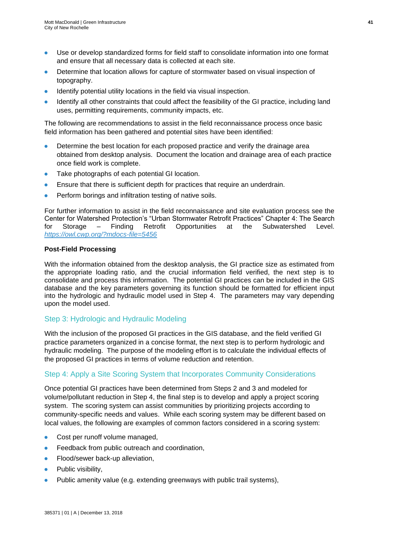- Use or develop standardized forms for field staff to consolidate information into one format and ensure that all necessary data is collected at each site.
- Determine that location allows for capture of stormwater based on visual inspection of topography.
- Identify potential utility locations in the field via visual inspection.
- Identify all other constraints that could affect the feasibility of the GI practice, including land uses, permitting requirements, community impacts, etc.

The following are recommendations to assist in the field reconnaissance process once basic field information has been gathered and potential sites have been identified:

- Determine the best location for each proposed practice and verify the drainage area obtained from desktop analysis. Document the location and drainage area of each practice once field work is complete.
- Take photographs of each potential GI location.
- Ensure that there is sufficient depth for practices that require an underdrain.
- Perform borings and infiltration testing of native soils.

For further information to assist in the field reconnaissance and site evaluation process see the Center for Watershed Protection's "Urban Stormwater Retrofit Practices" Chapter 4: The Search for Storage – Finding Retrofit Opportunities at the Subwatershed Level. *<https://owl.cwp.org/?mdocs-file=5456>*

#### **Post-Field Processing**

With the information obtained from the desktop analysis, the GI practice size as estimated from the appropriate loading ratio, and the crucial information field verified, the next step is to consolidate and process this information. The potential GI practices can be included in the GIS database and the key parameters governing its function should be formatted for efficient input into the hydrologic and hydraulic model used in Step 4. The parameters may vary depending upon the model used.

## Step 3: Hydrologic and Hydraulic Modeling

With the inclusion of the proposed GI practices in the GIS database, and the field verified GI practice parameters organized in a concise format, the next step is to perform hydrologic and hydraulic modeling. The purpose of the modeling effort is to calculate the individual effects of the proposed GI practices in terms of volume reduction and retention.

## Step 4: Apply a Site Scoring System that Incorporates Community Considerations

Once potential GI practices have been determined from Steps 2 and 3 and modeled for volume/pollutant reduction in Step 4, the final step is to develop and apply a project scoring system. The scoring system can assist communities by prioritizing projects according to community-specific needs and values. While each scoring system may be different based on local values, the following are examples of common factors considered in a scoring system:

- Cost per runoff volume managed,
- Feedback from public outreach and coordination,
- **•** Flood/sewer back-up alleviation,
- Public visibility,
- Public amenity value (e.g. extending greenways with public trail systems),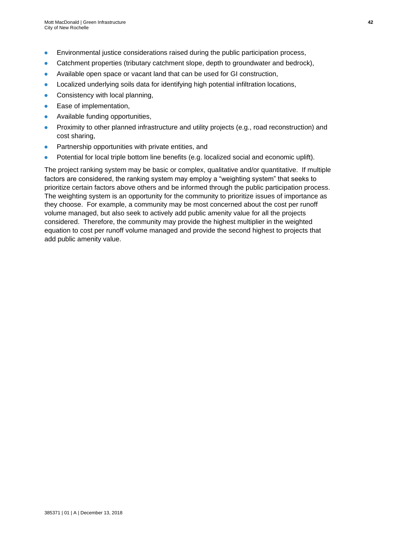- Environmental justice considerations raised during the public participation process,
- Catchment properties (tributary catchment slope, depth to groundwater and bedrock),
- Available open space or vacant land that can be used for GI construction,
- Localized underlying soils data for identifying high potential infiltration locations,
- Consistency with local planning,
- Ease of implementation,
- Available funding opportunities,
- Proximity to other planned infrastructure and utility projects (e.g., road reconstruction) and cost sharing,
- Partnership opportunities with private entities, and
- Potential for local triple bottom line benefits (e.g. localized social and economic uplift).

The project ranking system may be basic or complex, qualitative and/or quantitative. If multiple factors are considered, the ranking system may employ a "weighting system" that seeks to prioritize certain factors above others and be informed through the public participation process. The weighting system is an opportunity for the community to prioritize issues of importance as they choose. For example, a community may be most concerned about the cost per runoff volume managed, but also seek to actively add public amenity value for all the projects considered. Therefore, the community may provide the highest multiplier in the weighted equation to cost per runoff volume managed and provide the second highest to projects that add public amenity value.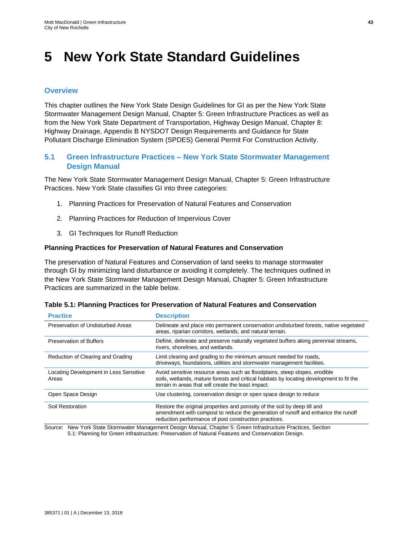## **5 New York State Standard Guidelines**

### **Overview**

This chapter outlines the New York State Design Guidelines for GI as per the New York State Stormwater Management Design Manual, Chapter 5: Green Infrastructure Practices as well as from the New York State Department of Transportation, Highway Design Manual, Chapter 8: Highway Drainage, Appendix B NYSDOT Design Requirements and Guidance for State Pollutant Discharge Elimination System (SPDES) General Permit For Construction Activity.

## **5.1 Green Infrastructure Practices – New York State Stormwater Management Design Manual**

The New York State Stormwater Management Design Manual, Chapter 5: Green Infrastructure Practices. New York State classifies GI into three categories:

- 1. Planning Practices for Preservation of Natural Features and Conservation
- 2. Planning Practices for Reduction of Impervious Cover
- 3. GI Techniques for Runoff Reduction

#### **Planning Practices for Preservation of Natural Features and Conservation**

The preservation of Natural Features and Conservation of land seeks to manage stormwater through GI by minimizing land disturbance or avoiding it completely. The techniques outlined in the New York State Stormwater Management Design Manual, Chapter 5: Green Infrastructure Practices are summarized in the table below.

| Table 5.1: Planning Practices for Preservation of Natural Features and Conservation |  |  |
|-------------------------------------------------------------------------------------|--|--|
|-------------------------------------------------------------------------------------|--|--|

| <b>Practice</b>                                 | <b>Description</b>                                                                                                                                                                                                            |
|-------------------------------------------------|-------------------------------------------------------------------------------------------------------------------------------------------------------------------------------------------------------------------------------|
| Preservation of Undisturbed Areas               | Delineate and place into permanent conservation undisturbed forests, native vegetated<br>areas, riparian corridors, wetlands, and natural terrain.                                                                            |
| <b>Preservation of Buffers</b>                  | Define, delineate and preserve naturally vegetated buffers along perennial streams,<br>rivers, shorelines, and wetlands.                                                                                                      |
| Reduction of Clearing and Grading               | Limit clearing and grading to the minimum amount needed for roads,<br>driveways, foundations, utilities and stormwater management facilities.                                                                                 |
| Locating Development in Less Sensitive<br>Areas | Avoid sensitive resource areas such as floodplains, steep slopes, erodible<br>soils, wetlands, mature forests and critical habitats by locating development to fit the<br>terrain in areas that will create the least impact. |
| Open Space Design                               | Use clustering, conservation design or open space design to reduce                                                                                                                                                            |
| Soil Restoration                                | Restore the original properties and porosity of the soil by deep till and<br>amendment with compost to reduce the generation of runoff and enhance the runoff<br>reduction performance of post construction practices.        |

Source: New York State Stormwater Management Design Manual, Chapter 5: Green Infrastructure Practices, Section 5.1: Planning for Green Infrastructure: Preservation of Natural Features and Conservation Design.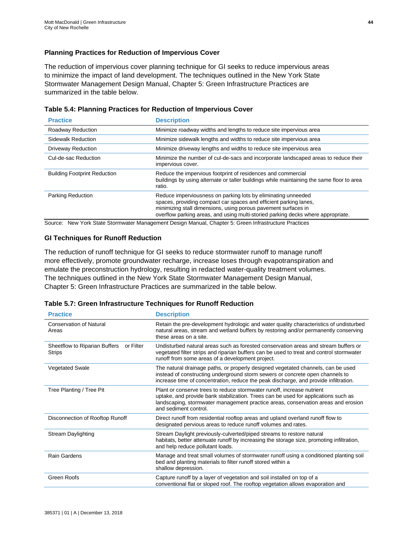#### **Planning Practices for Reduction of Impervious Cover**

The reduction of impervious cover planning technique for GI seeks to reduce impervious areas to minimize the impact of land development. The techniques outlined in the New York State Stormwater Management Design Manual, Chapter 5: Green Infrastructure Practices are summarized in the table below.

| <b>Practice</b>                     | <b>Description</b>                                                                                                                                                                                                                                                                       |
|-------------------------------------|------------------------------------------------------------------------------------------------------------------------------------------------------------------------------------------------------------------------------------------------------------------------------------------|
| Roadway Reduction                   | Minimize roadway widths and lengths to reduce site impervious area                                                                                                                                                                                                                       |
| Sidewalk Reduction                  | Minimize sidewalk lengths and widths to reduce site impervious area                                                                                                                                                                                                                      |
| <b>Driveway Reduction</b>           | Minimize driveway lengths and widths to reduce site impervious area                                                                                                                                                                                                                      |
| Cul-de-sac Reduction                | Minimize the number of cul-de-sacs and incorporate landscaped areas to reduce their<br>impervious cover.                                                                                                                                                                                 |
| <b>Building Footprint Reduction</b> | Reduce the impervious footprint of residences and commercial<br>buildings by using alternate or taller buildings while maintaining the same floor to area<br>ratio.                                                                                                                      |
| <b>Parking Reduction</b>            | Reduce imperviousness on parking lots by eliminating unneeded<br>spaces, providing compact car spaces and efficient parking lanes,<br>minimizing stall dimensions, using porous pavement surfaces in<br>overflow parking areas, and using multi-storied parking decks where appropriate. |

| Table 5.4: Planning Practices for Reduction of Impervious Cover |  |  |  |  |  |  |
|-----------------------------------------------------------------|--|--|--|--|--|--|
|-----------------------------------------------------------------|--|--|--|--|--|--|

Source: New York State Stormwater Management Design Manual, Chapter 5: Green Infrastructure Practices

#### **GI Techniques for Runoff Reduction**

The reduction of runoff technique for GI seeks to reduce stormwater runoff to manage runoff more effectively, promote groundwater recharge, increase loses through evapotranspiration and emulate the preconstruction hydrology, resulting in redacted water-quality treatment volumes. The techniques outlined in the New York State Stormwater Management Design Manual, Chapter 5: Green Infrastructure Practices are summarized in the table below.

#### **Table 5.7: Green Infrastructure Techniques for Runoff Reduction**

| <b>Practice</b>                                             | <b>Description</b>                                                                                                                                                                                                                                                         |
|-------------------------------------------------------------|----------------------------------------------------------------------------------------------------------------------------------------------------------------------------------------------------------------------------------------------------------------------------|
| <b>Conservation of Natural</b><br>Areas                     | Retain the pre-development hydrologic and water quality characteristics of undisturbed<br>natural areas, stream and wetland buffers by restoring and/or permanently conserving<br>these areas on a site.                                                                   |
| Sheetflow to Riparian Buffers<br>or Filter<br><b>Strips</b> | Undisturbed natural areas such as forested conservation areas and stream buffers or<br>vegetated filter strips and riparian buffers can be used to treat and control stormwater<br>runoff from some areas of a development project.                                        |
| <b>Vegetated Swale</b>                                      | The natural drainage paths, or properly designed vegetated channels, can be used<br>instead of constructing underground storm sewers or concrete open channels to<br>increase time of concentration, reduce the peak discharge, and provide infiltration.                  |
| Tree Planting / Tree Pit                                    | Plant or conserve trees to reduce stormwater runoff, increase nutrient<br>uptake, and provide bank stabilization. Trees can be used for applications such as<br>landscaping, stormwater management practice areas, conservation areas and erosion<br>and sediment control. |
| Disconnection of Rooftop Runoff                             | Direct runoff from residential rooftop areas and upland overland runoff flow to<br>designated pervious areas to reduce runoff volumes and rates.                                                                                                                           |
| <b>Stream Daylighting</b>                                   | Stream Daylight previously-culverted/piped streams to restore natural<br>habitats, better attenuate runoff by increasing the storage size, promoting infiltration,<br>and help reduce pollutant loads.                                                                     |
| <b>Rain Gardens</b>                                         | Manage and treat small volumes of stormwater runoff using a conditioned planting soil<br>bed and planting materials to filter runoff stored within a<br>shallow depression.                                                                                                |
| Green Roofs                                                 | Capture runoff by a layer of vegetation and soil installed on top of a<br>conventional flat or sloped roof. The rooftop vegetation allows evaporation and                                                                                                                  |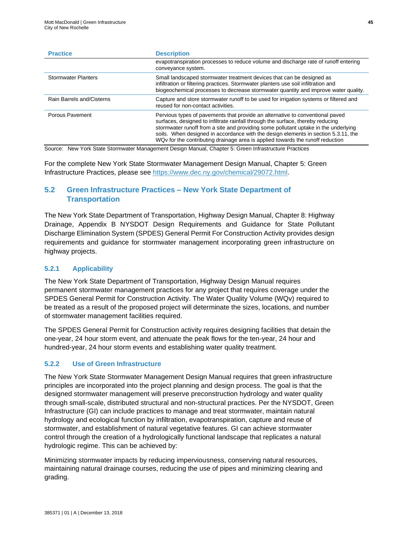| <b>Practice</b>            | <b>Description</b>                                                                                                                                                                                                                                                                                                                                                                                                              |
|----------------------------|---------------------------------------------------------------------------------------------------------------------------------------------------------------------------------------------------------------------------------------------------------------------------------------------------------------------------------------------------------------------------------------------------------------------------------|
|                            | evapotranspiration processes to reduce volume and discharge rate of runoff entering<br>conveyance system.                                                                                                                                                                                                                                                                                                                       |
| <b>Stormwater Planters</b> | Small landscaped stormwater treatment devices that can be designed as<br>infiltration or filtering practices. Stormwater planters use soil infiltration and<br>biogeochemical processes to decrease stormwater quantity and improve water quality.                                                                                                                                                                              |
| Rain Barrels and/Cisterns  | Capture and store stormwater runoff to be used for irrigation systems or filtered and<br>reused for non-contact activities.                                                                                                                                                                                                                                                                                                     |
| Porous Pavement            | Pervious types of pavements that provide an alternative to conventional paved<br>surfaces, designed to infiltrate rainfall through the surface, thereby reducing<br>stormwater runoff from a site and providing some pollutant uptake in the underlying<br>soils. When designed in accordance with the design elements in section 5.3.11, the<br>WQv for the contributing drainage area is applied towards the runoff reduction |

Source: New York State Stormwater Management Design Manual, Chapter 5: Green Infrastructure Practices

For the complete New York State Stormwater Management Design Manual, Chapter 5: Green Infrastructure Practices, please see [https://www.dec.ny.gov/chemical/29072.html.](https://www.dec.ny.gov/chemical/29072.html)

## **5.2 Green Infrastructure Practices – New York State Department of Transportation**

The New York State Department of Transportation, Highway Design Manual, Chapter 8: Highway Drainage, Appendix B NYSDOT Design Requirements and Guidance for State Pollutant Discharge Elimination System (SPDES) General Permit For Construction Activity provides design requirements and guidance for stormwater management incorporating green infrastructure on highway projects.

#### **5.2.1 Applicability**

The New York State Department of Transportation, Highway Design Manual requires permanent stormwater management practices for any project that requires coverage under the SPDES General Permit for Construction Activity. The Water Quality Volume (WQv) required to be treated as a result of the proposed project will determinate the sizes, locations, and number of stormwater management facilities required.

The SPDES General Permit for Construction activity requires designing facilities that detain the one-year, 24 hour storm event, and attenuate the peak flows for the ten-year, 24 hour and hundred-year, 24 hour storm events and establishing water quality treatment.

#### **5.2.2 Use of Green Infrastructure**

The New York State Stormwater Management Design Manual requires that green infrastructure principles are incorporated into the project planning and design process. The goal is that the designed stormwater management will preserve preconstruction hydrology and water quality through small-scale, distributed structural and non-structural practices. Per the NYSDOT, Green Infrastructure (GI) can include practices to manage and treat stormwater, maintain natural hydrology and ecological function by infiltration, evapotranspiration, capture and reuse of stormwater, and establishment of natural vegetative features. GI can achieve stormwater control through the creation of a hydrologically functional landscape that replicates a natural hydrologic regime. This can be achieved by:

Minimizing stormwater impacts by reducing imperviousness, conserving natural resources, maintaining natural drainage courses, reducing the use of pipes and minimizing clearing and grading.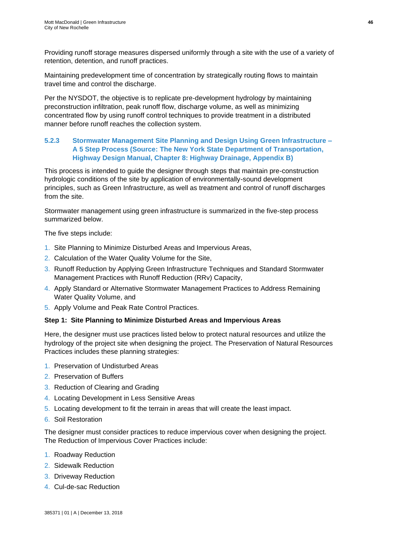Providing runoff storage measures dispersed uniformly through a site with the use of a variety of retention, detention, and runoff practices.

Maintaining predevelopment time of concentration by strategically routing flows to maintain travel time and control the discharge.

Per the NYSDOT, the objective is to replicate pre-development hydrology by maintaining preconstruction infiltration, peak runoff flow, discharge volume, as well as minimizing concentrated flow by using runoff control techniques to provide treatment in a distributed manner before runoff reaches the collection system.

### **5.2.3 Stormwater Management Site Planning and Design Using Green Infrastructure – A 5 Step Process (Source: The New York State Department of Transportation, Highway Design Manual, Chapter 8: Highway Drainage, Appendix B)**

This process is intended to guide the designer through steps that maintain pre-construction hydrologic conditions of the site by application of environmentally-sound development principles, such as Green Infrastructure, as well as treatment and control of runoff discharges from the site.

Stormwater management using green infrastructure is summarized in the five-step process summarized below.

The five steps include:

- 1. Site Planning to Minimize Disturbed Areas and Impervious Areas,
- 2. Calculation of the Water Quality Volume for the Site,
- 3. Runoff Reduction by Applying Green Infrastructure Techniques and Standard Stormwater Management Practices with Runoff Reduction (RRv) Capacity,
- 4. Apply Standard or Alternative Stormwater Management Practices to Address Remaining Water Quality Volume, and
- 5. Apply Volume and Peak Rate Control Practices.

#### **Step 1: Site Planning to Minimize Disturbed Areas and Impervious Areas**

Here, the designer must use practices listed below to protect natural resources and utilize the hydrology of the project site when designing the project. The Preservation of Natural Resources Practices includes these planning strategies:

- 1. Preservation of Undisturbed Areas
- 2. Preservation of Buffers
- 3. Reduction of Clearing and Grading
- 4. Locating Development in Less Sensitive Areas
- 5. Locating development to fit the terrain in areas that will create the least impact.
- 6. Soil Restoration

The designer must consider practices to reduce impervious cover when designing the project. The Reduction of Impervious Cover Practices include:

- 1. Roadway Reduction
- 2. Sidewalk Reduction
- 3. Driveway Reduction
- 4. Cul-de-sac Reduction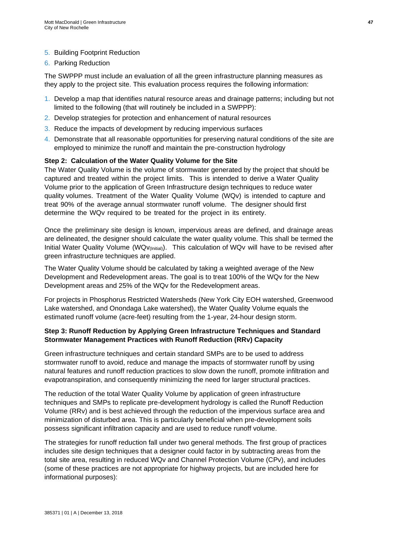#### 5. Building Footprint Reduction

6. Parking Reduction

The SWPPP must include an evaluation of all the green infrastructure planning measures as they apply to the project site. This evaluation process requires the following information:

- 1. Develop a map that identifies natural resource areas and drainage patterns; including but not limited to the following (that will routinely be included in a SWPPP):
- 2. Develop strategies for protection and enhancement of natural resources
- 3. Reduce the impacts of development by reducing impervious surfaces
- 4. Demonstrate that all reasonable opportunities for preserving natural conditions of the site are employed to minimize the runoff and maintain the pre-construction hydrology

#### **Step 2: Calculation of the Water Quality Volume for the Site**

The Water Quality Volume is the volume of stormwater generated by the project that should be captured and treated within the project limits. This is intended to derive a Water Quality Volume prior to the application of Green Infrastructure design techniques to reduce water quality volumes. Treatment of the Water Quality Volume (WQv) is intended to capture and treat 90% of the average annual stormwater runoff volume. The designer should first determine the WQv required to be treated for the project in its entirety.

Once the preliminary site design is known, impervious areas are defined, and drainage areas are delineated, the designer should calculate the water quality volume. This shall be termed the Initial Water Quality Volume (WQv(Initial)). This calculation of WQv will have to be revised after green infrastructure techniques are applied.

The Water Quality Volume should be calculated by taking a weighted average of the New Development and Redevelopment areas. The goal is to treat 100% of the WQv for the New Development areas and 25% of the WQv for the Redevelopment areas.

For projects in Phosphorus Restricted Watersheds (New York City EOH watershed, Greenwood Lake watershed, and Onondaga Lake watershed), the Water Quality Volume equals the estimated runoff volume (acre-feet) resulting from the 1-year, 24-hour design storm.

#### **Step 3: Runoff Reduction by Applying Green Infrastructure Techniques and Standard Stormwater Management Practices with Runoff Reduction (RRv) Capacity**

Green infrastructure techniques and certain standard SMPs are to be used to address stormwater runoff to avoid, reduce and manage the impacts of stormwater runoff by using natural features and runoff reduction practices to slow down the runoff, promote infiltration and evapotranspiration, and consequently minimizing the need for larger structural practices.

The reduction of the total Water Quality Volume by application of green infrastructure techniques and SMPs to replicate pre-development hydrology is called the Runoff Reduction Volume (RRv) and is best achieved through the reduction of the impervious surface area and minimization of disturbed area. This is particularly beneficial when pre-development soils possess significant infiltration capacity and are used to reduce runoff volume.

The strategies for runoff reduction fall under two general methods. The first group of practices includes site design techniques that a designer could factor in by subtracting areas from the total site area, resulting in reduced WQv and Channel Protection Volume (CPv), and includes (some of these practices are not appropriate for highway projects, but are included here for informational purposes):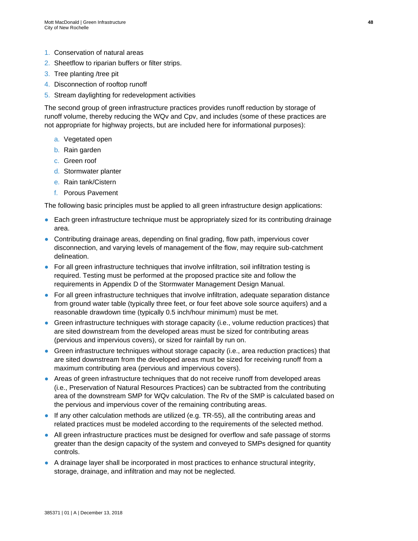- 1. Conservation of natural areas
- 2. Sheetflow to riparian buffers or filter strips.
- 3. Tree planting /tree pit
- 4. Disconnection of rooftop runoff
- 5. Stream daylighting for redevelopment activities

The second group of green infrastructure practices provides runoff reduction by storage of runoff volume, thereby reducing the WQv and Cpv, and includes (some of these practices are not appropriate for highway projects, but are included here for informational purposes):

- a. Vegetated open
- b. Rain garden
- c. Green roof
- d. Stormwater planter
- e. Rain tank/Cistern
- f. Porous Pavement

The following basic principles must be applied to all green infrastructure design applications:

- Each green infrastructure technique must be appropriately sized for its contributing drainage area.
- Contributing drainage areas, depending on final grading, flow path, impervious cover disconnection, and varying levels of management of the flow, may require sub-catchment delineation.
- For all green infrastructure techniques that involve infiltration, soil infiltration testing is required. Testing must be performed at the proposed practice site and follow the requirements in Appendix D of the Stormwater Management Design Manual.
- For all green infrastructure techniques that involve infiltration, adequate separation distance from ground water table (typically three feet, or four feet above sole source aquifers) and a reasonable drawdown time (typically 0.5 inch/hour minimum) must be met.
- Green infrastructure techniques with storage capacity (i.e., volume reduction practices) that are sited downstream from the developed areas must be sized for contributing areas (pervious and impervious covers), or sized for rainfall by run on.
- Green infrastructure techniques without storage capacity (i.e., area reduction practices) that are sited downstream from the developed areas must be sized for receiving runoff from a maximum contributing area (pervious and impervious covers).
- Areas of green infrastructure techniques that do not receive runoff from developed areas (i.e., Preservation of Natural Resources Practices) can be subtracted from the contributing area of the downstream SMP for WQv calculation. The Rv of the SMP is calculated based on the pervious and impervious cover of the remaining contributing areas.
- If any other calculation methods are utilized (e.g. TR-55), all the contributing areas and related practices must be modeled according to the requirements of the selected method.
- All green infrastructure practices must be designed for overflow and safe passage of storms greater than the design capacity of the system and conveyed to SMPs designed for quantity controls.
- A drainage layer shall be incorporated in most practices to enhance structural integrity, storage, drainage, and infiltration and may not be neglected.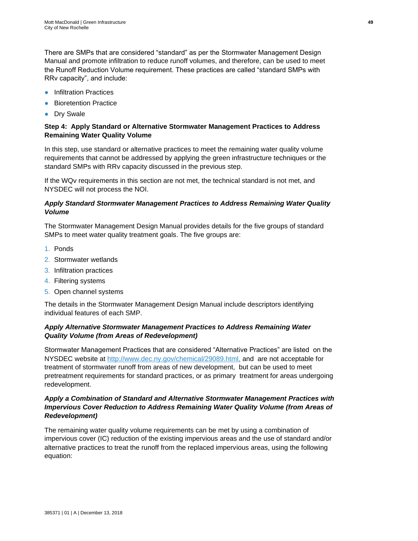There are SMPs that are considered "standard" as per the Stormwater Management Design Manual and promote infiltration to reduce runoff volumes, and therefore, can be used to meet the Runoff Reduction Volume requirement. These practices are called "standard SMPs with RRv capacity", and include:

- Infiltration Practices
- Bioretention Practice
- Drv Swale

#### **Step 4: Apply Standard or Alternative Stormwater Management Practices to Address Remaining Water Quality Volume**

In this step, use standard or alternative practices to meet the remaining water quality volume requirements that cannot be addressed by applying the green infrastructure techniques or the standard SMPs with RRv capacity discussed in the previous step.

If the WQv requirements in this section are not met, the technical standard is not met, and NYSDEC will not process the NOI.

### *Apply Standard Stormwater Management Practices to Address Remaining Water Quality Volume*

The Stormwater Management Design Manual provides details for the five groups of standard SMPs to meet water quality treatment goals. The five groups are:

- 1. Ponds
- 2. Stormwater wetlands
- 3. Infiltration practices
- 4. Filtering systems
- 5. Open channel systems

The details in the Stormwater Management Design Manual include descriptors identifying individual features of each SMP.

### *Apply Alternative Stormwater Management Practices to Address Remaining Water Quality Volume (from Areas of Redevelopment)*

Stormwater Management Practices that are considered "Alternative Practices" are listed on the NYSDEC website at [http://www.dec.ny.gov/chemical/29089.html,](http://www.dec.ny.gov/chemical/29089.html) and are not acceptable for treatment of stormwater runoff from areas of new development, but can be used to meet pretreatment requirements for standard practices, or as primary treatment for areas undergoing redevelopment.

### *Apply a Combination of Standard and Alternative Stormwater Management Practices with Impervious Cover Reduction to Address Remaining Water Quality Volume (from Areas of Redevelopment)*

The remaining water quality volume requirements can be met by using a combination of impervious cover (IC) reduction of the existing impervious areas and the use of standard and/or alternative practices to treat the runoff from the replaced impervious areas, using the following equation: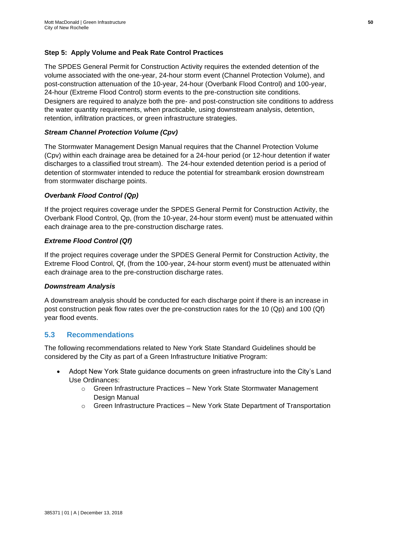#### **Step 5: Apply Volume and Peak Rate Control Practices**

The SPDES General Permit for Construction Activity requires the extended detention of the volume associated with the one-year, 24-hour storm event (Channel Protection Volume), and post-construction attenuation of the 10-year, 24-hour (Overbank Flood Control) and 100-year, 24-hour (Extreme Flood Control) storm events to the pre-construction site conditions. Designers are required to analyze both the pre- and post-construction site conditions to address the water quantity requirements, when practicable, using downstream analysis, detention, retention, infiltration practices, or green infrastructure strategies.

#### *Stream Channel Protection Volume (Cpv)*

The Stormwater Management Design Manual requires that the Channel Protection Volume (Cpv) within each drainage area be detained for a 24-hour period (or 12-hour detention if water discharges to a classified trout stream). The 24-hour extended detention period is a period of detention of stormwater intended to reduce the potential for streambank erosion downstream from stormwater discharge points.

#### *Overbank Flood Control (Qp)*

If the project requires coverage under the SPDES General Permit for Construction Activity, the Overbank Flood Control, Qp, (from the 10-year, 24-hour storm event) must be attenuated within each drainage area to the pre-construction discharge rates.

#### *Extreme Flood Control (Qf)*

If the project requires coverage under the SPDES General Permit for Construction Activity, the Extreme Flood Control, Qf, (from the 100-year, 24-hour storm event) must be attenuated within each drainage area to the pre-construction discharge rates.

#### *Downstream Analysis*

A downstream analysis should be conducted for each discharge point if there is an increase in post construction peak flow rates over the pre-construction rates for the 10 (Qp) and 100 (Qf) year flood events.

### **5.3 Recommendations**

The following recommendations related to New York State Standard Guidelines should be considered by the City as part of a Green Infrastructure Initiative Program:

- Adopt New York State guidance documents on green infrastructure into the City's Land Use Ordinances:
	- o Green Infrastructure Practices New York State Stormwater Management Design Manual
	- o Green Infrastructure Practices New York State Department of Transportation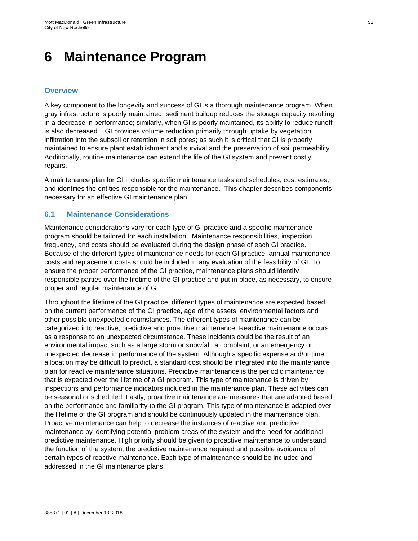## **6 Maintenance Program**

## **Overview**

A key component to the longevity and success of GI is a thorough maintenance program. When gray infrastructure is poorly maintained, sediment buildup reduces the storage capacity resulting in a decrease in performance; similarly, when GI is poorly maintained, its ability to reduce runoff is also decreased. GI provides volume reduction primarily through uptake by vegetation, infiltration into the subsoil or retention in soil pores; as such it is critical that GI is properly maintained to ensure plant establishment and survival and the preservation of soil permeability. Additionally, routine maintenance can extend the life of the GI system and prevent costly repairs.

A maintenance plan for GI includes specific maintenance tasks and schedules, cost estimates, and identifies the entities responsible for the maintenance. This chapter describes components necessary for an effective GI maintenance plan.

## **6.1 Maintenance Considerations**

Maintenance considerations vary for each type of GI practice and a specific maintenance program should be tailored for each installation. Maintenance responsibilities, inspection frequency, and costs should be evaluated during the design phase of each GI practice. Because of the different types of maintenance needs for each GI practice, annual maintenance costs and replacement costs should be included in any evaluation of the feasibility of GI. To ensure the proper performance of the GI practice, maintenance plans should identify responsible parties over the lifetime of the GI practice and put in place, as necessary, to ensure proper and regular maintenance of GI.

Throughout the lifetime of the GI practice, different types of maintenance are expected based on the current performance of the GI practice, age of the assets, environmental factors and other possible unexpected circumstances. The different types of maintenance can be categorized into reactive, predictive and proactive maintenance. Reactive maintenance occurs as a response to an unexpected circumstance. These incidents could be the result of an environmental impact such as a large storm or snowfall, a complaint, or an emergency or unexpected decrease in performance of the system. Although a specific expense and/or time allocation may be difficult to predict, a standard cost should be integrated into the maintenance plan for reactive maintenance situations. Predictive maintenance is the periodic maintenance that is expected over the lifetime of a GI program. This type of maintenance is driven by inspections and performance indicators included in the maintenance plan. These activities can be seasonal or scheduled. Lastly, proactive maintenance are measures that are adapted based on the performance and familiarity to the GI program. This type of maintenance is adapted over the lifetime of the GI program and should be continuously updated in the maintenance plan. Proactive maintenance can help to decrease the instances of reactive and predictive maintenance by identifying potential problem areas of the system and the need for additional predictive maintenance. High priority should be given to proactive maintenance to understand the function of the system, the predictive maintenance required and possible avoidance of certain types of reactive maintenance. Each type of maintenance should be included and addressed in the GI maintenance plans.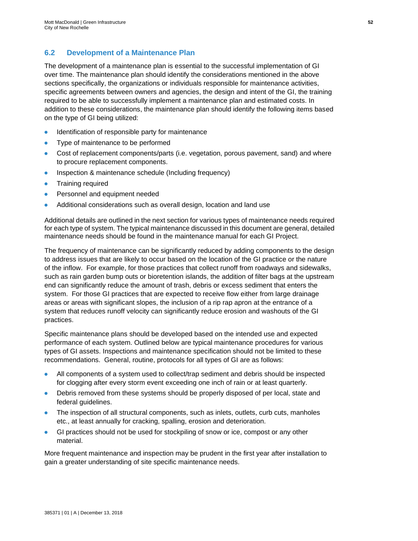## **6.2 Development of a Maintenance Plan**

The development of a maintenance plan is essential to the successful implementation of GI over time. The maintenance plan should identify the considerations mentioned in the above sections specifically, the organizations or individuals responsible for maintenance activities, specific agreements between owners and agencies, the design and intent of the GI, the training required to be able to successfully implement a maintenance plan and estimated costs. In addition to these considerations, the maintenance plan should identify the following items based on the type of GI being utilized:

- Identification of responsible party for maintenance
- Type of maintenance to be performed
- Cost of replacement components/parts (i.e. vegetation, porous pavement, sand) and where to procure replacement components.
- Inspection & maintenance schedule (Including frequency)
- **Training required**
- Personnel and equipment needed
- Additional considerations such as overall design, location and land use

Additional details are outlined in the next section for various types of maintenance needs required for each type of system. The typical maintenance discussed in this document are general, detailed maintenance needs should be found in the maintenance manual for each GI Project.

The frequency of maintenance can be significantly reduced by adding components to the design to address issues that are likely to occur based on the location of the GI practice or the nature of the inflow. For example, for those practices that collect runoff from roadways and sidewalks, such as rain garden bump outs or bioretention islands, the addition of filter bags at the upstream end can significantly reduce the amount of trash, debris or excess sediment that enters the system. For those GI practices that are expected to receive flow either from large drainage areas or areas with significant slopes, the inclusion of a rip rap apron at the entrance of a system that reduces runoff velocity can significantly reduce erosion and washouts of the GI practices.

Specific maintenance plans should be developed based on the intended use and expected performance of each system. Outlined below are typical maintenance procedures for various types of GI assets. Inspections and maintenance specification should not be limited to these recommendations. General, routine, protocols for all types of GI are as follows:

- All components of a system used to collect/trap sediment and debris should be inspected for clogging after every storm event exceeding one inch of rain or at least quarterly.
- Debris removed from these systems should be properly disposed of per local, state and federal guidelines.
- The inspection of all structural components, such as inlets, outlets, curb cuts, manholes etc., at least annually for cracking, spalling, erosion and deterioration.
- GI practices should not be used for stockpiling of snow or ice, compost or any other material.

More frequent maintenance and inspection may be prudent in the first year after installation to gain a greater understanding of site specific maintenance needs.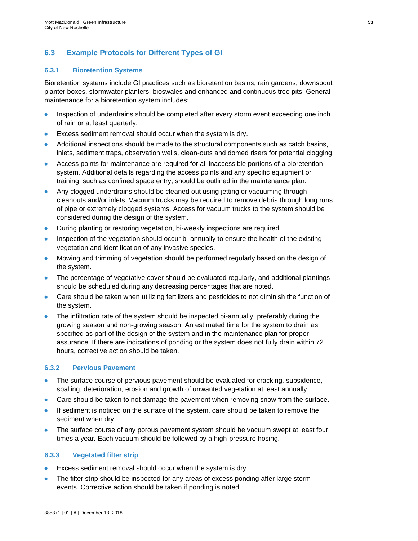## **6.3 Example Protocols for Different Types of GI**

## **6.3.1 Bioretention Systems**

Bioretention systems include GI practices such as bioretention basins, rain gardens, downspout planter boxes, stormwater planters, bioswales and enhanced and continuous tree pits. General maintenance for a bioretention system includes:

- Inspection of underdrains should be completed after every storm event exceeding one inch of rain or at least quarterly.
- Excess sediment removal should occur when the system is dry.
- Additional inspections should be made to the structural components such as catch basins, inlets, sediment traps, observation wells, clean-outs and domed risers for potential clogging.
- Access points for maintenance are required for all inaccessible portions of a bioretention system. Additional details regarding the access points and any specific equipment or training, such as confined space entry, should be outlined in the maintenance plan.
- Any clogged underdrains should be cleaned out using jetting or vacuuming through cleanouts and/or inlets. Vacuum trucks may be required to remove debris through long runs of pipe or extremely clogged systems. Access for vacuum trucks to the system should be considered during the design of the system.
- During planting or restoring vegetation, bi-weekly inspections are required.
- Inspection of the vegetation should occur bi-annually to ensure the health of the existing vegetation and identification of any invasive species.
- Mowing and trimming of vegetation should be performed regularly based on the design of the system.
- The percentage of vegetative cover should be evaluated regularly, and additional plantings should be scheduled during any decreasing percentages that are noted.
- Care should be taken when utilizing fertilizers and pesticides to not diminish the function of the system.
- The infiltration rate of the system should be inspected bi-annually, preferably during the growing season and non-growing season. An estimated time for the system to drain as specified as part of the design of the system and in the maintenance plan for proper assurance. If there are indications of ponding or the system does not fully drain within 72 hours, corrective action should be taken.

### **6.3.2 Pervious Pavement**

- The surface course of pervious pavement should be evaluated for cracking, subsidence, spalling, deterioration, erosion and growth of unwanted vegetation at least annually.
- Care should be taken to not damage the pavement when removing snow from the surface.
- If sediment is noticed on the surface of the system, care should be taken to remove the sediment when dry.
- The surface course of any porous pavement system should be vacuum swept at least four times a year. Each vacuum should be followed by a high-pressure hosing.

### **6.3.3 Vegetated filter strip**

- Excess sediment removal should occur when the system is dry.
- The filter strip should be inspected for any areas of excess ponding after large storm events. Corrective action should be taken if ponding is noted.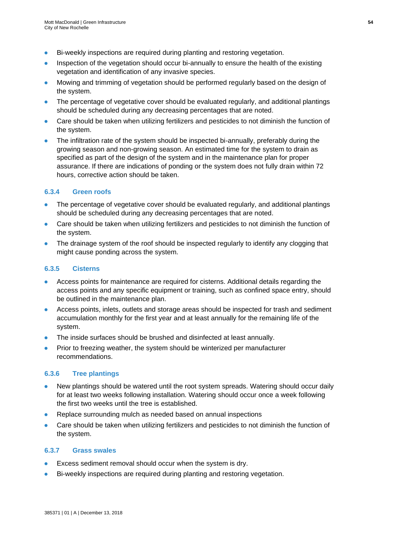- Bi-weekly inspections are required during planting and restoring vegetation.
- Inspection of the vegetation should occur bi-annually to ensure the health of the existing vegetation and identification of any invasive species.
- Mowing and trimming of vegetation should be performed regularly based on the design of the system.
- The percentage of vegetative cover should be evaluated regularly, and additional plantings should be scheduled during any decreasing percentages that are noted.
- Care should be taken when utilizing fertilizers and pesticides to not diminish the function of the system.
- The infiltration rate of the system should be inspected bi-annually, preferably during the growing season and non-growing season. An estimated time for the system to drain as specified as part of the design of the system and in the maintenance plan for proper assurance. If there are indications of ponding or the system does not fully drain within 72 hours, corrective action should be taken.

### **6.3.4 Green roofs**

- The percentage of vegetative cover should be evaluated regularly, and additional plantings should be scheduled during any decreasing percentages that are noted.
- Care should be taken when utilizing fertilizers and pesticides to not diminish the function of the system.
- The drainage system of the roof should be inspected regularly to identify any clogging that might cause ponding across the system.

#### **6.3.5 Cisterns**

- Access points for maintenance are required for cisterns. Additional details regarding the access points and any specific equipment or training, such as confined space entry, should be outlined in the maintenance plan.
- Access points, inlets, outlets and storage areas should be inspected for trash and sediment accumulation monthly for the first year and at least annually for the remaining life of the system.
- The inside surfaces should be brushed and disinfected at least annually.
- Prior to freezing weather, the system should be winterized per manufacturer recommendations.

#### **6.3.6 Tree plantings**

- New plantings should be watered until the root system spreads. Watering should occur daily for at least two weeks following installation. Watering should occur once a week following the first two weeks until the tree is established.
- Replace surrounding mulch as needed based on annual inspections
- Care should be taken when utilizing fertilizers and pesticides to not diminish the function of the system.

### **6.3.7 Grass swales**

- Excess sediment removal should occur when the system is dry.
- Bi-weekly inspections are required during planting and restoring vegetation.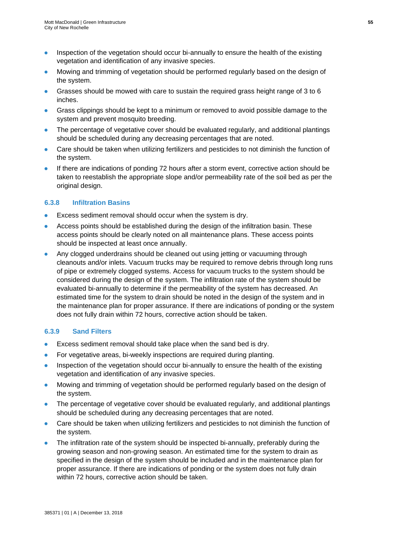- Inspection of the vegetation should occur bi-annually to ensure the health of the existing vegetation and identification of any invasive species.
- Mowing and trimming of vegetation should be performed regularly based on the design of the system.
- Grasses should be mowed with care to sustain the required grass height range of 3 to 6 inches.
- Grass clippings should be kept to a minimum or removed to avoid possible damage to the system and prevent mosquito breeding.
- The percentage of vegetative cover should be evaluated regularly, and additional plantings should be scheduled during any decreasing percentages that are noted.
- Care should be taken when utilizing fertilizers and pesticides to not diminish the function of the system.
- If there are indications of ponding 72 hours after a storm event, corrective action should be taken to reestablish the appropriate slope and/or permeability rate of the soil bed as per the original design.

### **6.3.8 Infiltration Basins**

- **Excess sediment removal should occur when the system is dry.**
- Access points should be established during the design of the infiltration basin. These access points should be clearly noted on all maintenance plans. These access points should be inspected at least once annually.
- Any clogged underdrains should be cleaned out using jetting or vacuuming through cleanouts and/or inlets. Vacuum trucks may be required to remove debris through long runs of pipe or extremely clogged systems. Access for vacuum trucks to the system should be considered during the design of the system. The infiltration rate of the system should be evaluated bi-annually to determine if the permeability of the system has decreased. An estimated time for the system to drain should be noted in the design of the system and in the maintenance plan for proper assurance. If there are indications of ponding or the system does not fully drain within 72 hours, corrective action should be taken.

### **6.3.9 Sand Filters**

- Excess sediment removal should take place when the sand bed is dry.
- For vegetative areas, bi-weekly inspections are required during planting.
- Inspection of the vegetation should occur bi-annually to ensure the health of the existing vegetation and identification of any invasive species.
- Mowing and trimming of vegetation should be performed regularly based on the design of the system.
- The percentage of vegetative cover should be evaluated regularly, and additional plantings should be scheduled during any decreasing percentages that are noted.
- Care should be taken when utilizing fertilizers and pesticides to not diminish the function of the system.
- The infiltration rate of the system should be inspected bi-annually, preferably during the growing season and non-growing season. An estimated time for the system to drain as specified in the design of the system should be included and in the maintenance plan for proper assurance. If there are indications of ponding or the system does not fully drain within 72 hours, corrective action should be taken.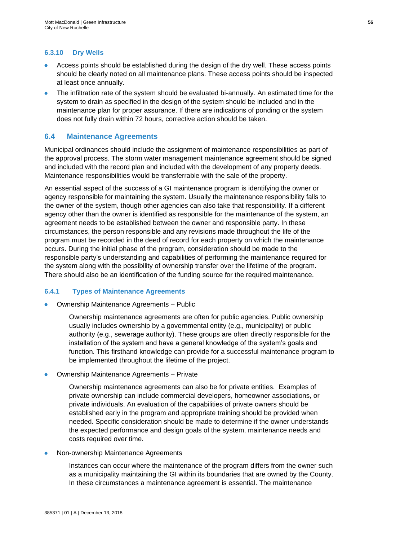### **6.3.10 Dry Wells**

- Access points should be established during the design of the dry well. These access points should be clearly noted on all maintenance plans. These access points should be inspected at least once annually.
- The infiltration rate of the system should be evaluated bi-annually. An estimated time for the system to drain as specified in the design of the system should be included and in the maintenance plan for proper assurance. If there are indications of ponding or the system does not fully drain within 72 hours, corrective action should be taken.

#### **6.4 Maintenance Agreements**

Municipal ordinances should include the assignment of maintenance responsibilities as part of the approval process. The storm water management maintenance agreement should be signed and included with the record plan and included with the development of any property deeds. Maintenance responsibilities would be transferrable with the sale of the property.

An essential aspect of the success of a GI maintenance program is identifying the owner or agency responsible for maintaining the system. Usually the maintenance responsibility falls to the owner of the system, though other agencies can also take that responsibility. If a different agency other than the owner is identified as responsible for the maintenance of the system, an agreement needs to be established between the owner and responsible party. In these circumstances, the person responsible and any revisions made throughout the life of the program must be recorded in the deed of record for each property on which the maintenance occurs. During the initial phase of the program, consideration should be made to the responsible party's understanding and capabilities of performing the maintenance required for the system along with the possibility of ownership transfer over the lifetime of the program. There should also be an identification of the funding source for the required maintenance.

#### **6.4.1 Types of Maintenance Agreements**

Ownership Maintenance Agreements - Public

Ownership maintenance agreements are often for public agencies. Public ownership usually includes ownership by a governmental entity (e.g., municipality) or public authority (e.g., sewerage authority). These groups are often directly responsible for the installation of the system and have a general knowledge of the system's goals and function. This firsthand knowledge can provide for a successful maintenance program to be implemented throughout the lifetime of the project.

Ownership Maintenance Agreements - Private

Ownership maintenance agreements can also be for private entities. Examples of private ownership can include commercial developers, homeowner associations, or private individuals. An evaluation of the capabilities of private owners should be established early in the program and appropriate training should be provided when needed. Specific consideration should be made to determine if the owner understands the expected performance and design goals of the system, maintenance needs and costs required over time.

Non-ownership Maintenance Agreements

Instances can occur where the maintenance of the program differs from the owner such as a municipality maintaining the GI within its boundaries that are owned by the County. In these circumstances a maintenance agreement is essential. The maintenance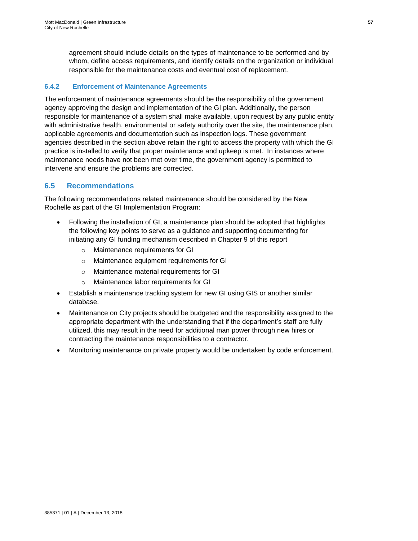agreement should include details on the types of maintenance to be performed and by whom, define access requirements, and identify details on the organization or individual responsible for the maintenance costs and eventual cost of replacement.

### **6.4.2 Enforcement of Maintenance Agreements**

The enforcement of maintenance agreements should be the responsibility of the government agency approving the design and implementation of the GI plan. Additionally, the person responsible for maintenance of a system shall make available, upon request by any public entity with administrative health, environmental or safety authority over the site, the maintenance plan, applicable agreements and documentation such as inspection logs. These government agencies described in the section above retain the right to access the property with which the GI practice is installed to verify that proper maintenance and upkeep is met. In instances where maintenance needs have not been met over time, the government agency is permitted to intervene and ensure the problems are corrected.

## **6.5 Recommendations**

The following recommendations related maintenance should be considered by the New Rochelle as part of the GI Implementation Program:

- Following the installation of GI, a maintenance plan should be adopted that highlights the following key points to serve as a guidance and supporting documenting for initiating any GI funding mechanism described in Chapter 9 of this report
	- o Maintenance requirements for GI
	- o Maintenance equipment requirements for GI
	- o Maintenance material requirements for GI
	- o Maintenance labor requirements for GI
- Establish a maintenance tracking system for new GI using GIS or another similar database.
- Maintenance on City projects should be budgeted and the responsibility assigned to the appropriate department with the understanding that if the department's staff are fully utilized, this may result in the need for additional man power through new hires or contracting the maintenance responsibilities to a contractor.
- Monitoring maintenance on private property would be undertaken by code enforcement.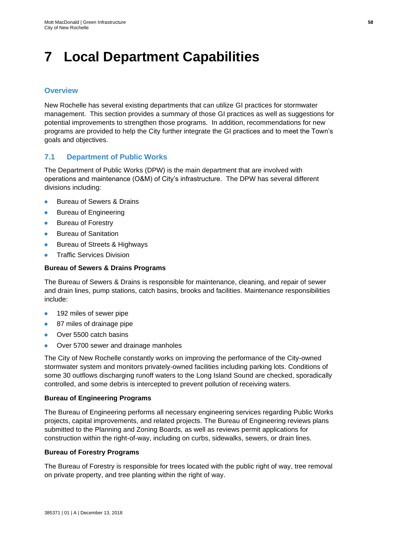## **7 Local Department Capabilities**

## **Overview**

New Rochelle has several existing departments that can utilize GI practices for stormwater management. This section provides a summary of those GI practices as well as suggestions for potential improvements to strengthen those programs. In addition, recommendations for new programs are provided to help the City further integrate the GI practices and to meet the Town's goals and objectives.

## **7.1 Department of Public Works**

The Department of Public Works (DPW) is the main department that are involved with operations and maintenance (O&M) of City's infrastructure.The DPW has several different divisions including:

- Bureau of Sewers & Drains
- Bureau of Engineering
- Bureau of Forestry
- **•** Bureau of Sanitation
- Bureau of Streets & Highways
- **Traffic Services Division**

#### **Bureau of Sewers & Drains Programs**

The Bureau of Sewers & Drains is responsible for maintenance, cleaning, and repair of sewer and drain lines, pump stations, catch basins, brooks and facilities. Maintenance responsibilities include:

- 192 miles of sewer pipe
- 87 miles of drainage pipe
- Over 5500 catch basins
- Over 5700 sewer and drainage manholes

The City of New Rochelle constantly works on improving the performance of the City-owned stormwater system and monitors privately-owned facilities including parking lots. Conditions of some 30 outflows discharging runoff waters to the Long Island Sound are checked, sporadically controlled, and some debris is intercepted to prevent pollution of receiving waters.

#### **Bureau of Engineering Programs**

The Bureau of Engineering performs all necessary engineering services regarding Public Works projects, capital improvements, and related projects. The Bureau of Engineering reviews plans submitted to the Planning and Zoning Boards, as well as reviews permit applications for construction within the right-of-way, including on curbs, sidewalks, sewers, or drain lines.

#### **Bureau of Forestry Programs**

The Bureau of Forestry is responsible for trees located with the public right of way, tree removal on private property, and tree planting within the right of way.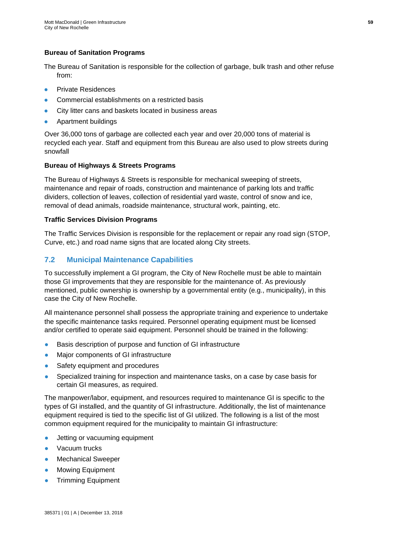### **Bureau of Sanitation Programs**

The Bureau of Sanitation is responsible for the collection of garbage, bulk trash and other refuse from:

- Private Residences
- Commercial establishments on a restricted basis
- City litter cans and baskets located in business areas
- Apartment buildings

Over 36,000 tons of garbage are collected each year and over 20,000 tons of material is recycled each year. Staff and equipment from this Bureau are also used to plow streets during snowfall

#### **Bureau of Highways & Streets Programs**

The Bureau of Highways & Streets is responsible for mechanical sweeping of streets, maintenance and repair of roads, construction and maintenance of parking lots and traffic dividers, collection of leaves, collection of residential yard waste, control of snow and ice, removal of dead animals, roadside maintenance, structural work, painting, etc.

#### **Traffic Services Division Programs**

The Traffic Services Division is responsible for the replacement or repair any road sign (STOP, Curve, etc.) and road name signs that are located along City streets.

## **7.2 Municipal Maintenance Capabilities**

To successfully implement a GI program, the City of New Rochelle must be able to maintain those GI improvements that they are responsible for the maintenance of. As previously mentioned, public ownership is ownership by a governmental entity (e.g., municipality), in this case the City of New Rochelle.

All maintenance personnel shall possess the appropriate training and experience to undertake the specific maintenance tasks required. Personnel operating equipment must be licensed and/or certified to operate said equipment. Personnel should be trained in the following:

- Basis description of purpose and function of GI infrastructure
- Major components of GI infrastructure
- Safety equipment and procedures
- Specialized training for inspection and maintenance tasks, on a case by case basis for certain GI measures, as required.

The manpower/labor, equipment, and resources required to maintenance GI is specific to the types of GI installed, and the quantity of GI infrastructure. Additionally, the list of maintenance equipment required is tied to the specific list of GI utilized. The following is a list of the most common equipment required for the municipality to maintain GI infrastructure:

- Jetting or vacuuming equipment
- Vacuum trucks
- **Mechanical Sweeper**
- **Mowing Equipment**
- **Trimming Equipment**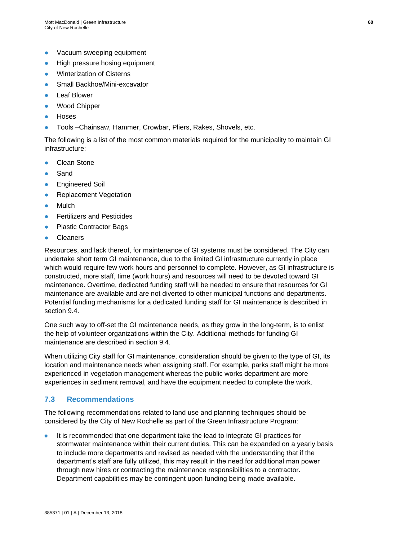- Vacuum sweeping equipment
- High pressure hosing equipment
- **Winterization of Cisterns**
- Small Backhoe/Mini-excavator
- **Leaf Blower**
- Wood Chipper
- **Hoses**
- Tools –Chainsaw, Hammer, Crowbar, Pliers, Rakes, Shovels, etc.

The following is a list of the most common materials required for the municipality to maintain GI infrastructure:

- **Clean Stone**
- **Sand**
- **Engineered Soil**
- **Replacement Vegetation**
- **Mulch**
- **Fertilizers and Pesticides**
- **Plastic Contractor Bags**
- **Cleaners**

Resources, and lack thereof, for maintenance of GI systems must be considered. The City can undertake short term GI maintenance, due to the limited GI infrastructure currently in place which would require few work hours and personnel to complete. However, as GI infrastructure is constructed, more staff, time (work hours) and resources will need to be devoted toward GI maintenance. Overtime, dedicated funding staff will be needed to ensure that resources for GI maintenance are available and are not diverted to other municipal functions and departments. Potential funding mechanisms for a dedicated funding staff for GI maintenance is described in section 9.4.

One such way to off-set the GI maintenance needs, as they grow in the long-term, is to enlist the help of volunteer organizations within the City. Additional methods for funding GI maintenance are described in section 9.4.

When utilizing City staff for GI maintenance, consideration should be given to the type of GI, its location and maintenance needs when assigning staff. For example, parks staff might be more experienced in vegetation management whereas the public works department are more experiences in sediment removal, and have the equipment needed to complete the work.

## **7.3 Recommendations**

The following recommendations related to land use and planning techniques should be considered by the City of New Rochelle as part of the Green Infrastructure Program:

● It is recommended that one department take the lead to integrate GI practices for stormwater maintenance within their current duties. This can be expanded on a yearly basis to include more departments and revised as needed with the understanding that if the department's staff are fully utilized, this may result in the need for additional man power through new hires or contracting the maintenance responsibilities to a contractor. Department capabilities may be contingent upon funding being made available.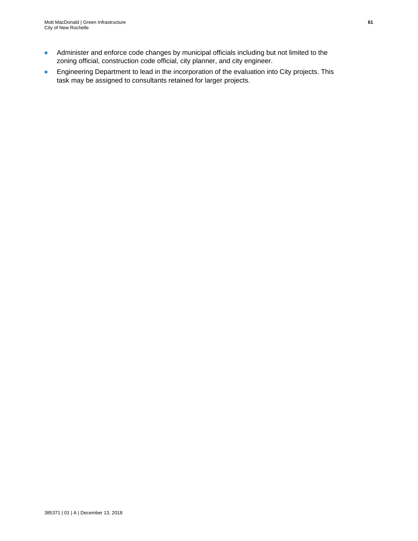- Administer and enforce code changes by municipal officials including but not limited to the zoning official, construction code official, city planner, and city engineer.
- Engineering Department to lead in the incorporation of the evaluation into City projects. This task may be assigned to consultants retained for larger projects.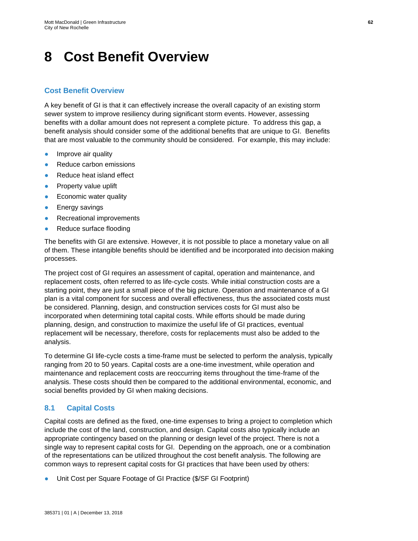## **8 Cost Benefit Overview**

## **Cost Benefit Overview**

A key benefit of GI is that it can effectively increase the overall capacity of an existing storm sewer system to improve resiliency during significant storm events. However, assessing benefits with a dollar amount does not represent a complete picture. To address this gap, a benefit analysis should consider some of the additional benefits that are unique to GI. Benefits that are most valuable to the community should be considered. For example, this may include:

- Improve air quality
- Reduce carbon emissions
- Reduce heat island effect
- Property value uplift
- Economic water quality
- **Energy savings**
- Recreational improvements
- Reduce surface flooding

The benefits with GI are extensive. However, it is not possible to place a monetary value on all of them. These intangible benefits should be identified and be incorporated into decision making processes.

The project cost of GI requires an assessment of capital, operation and maintenance, and replacement costs, often referred to as life-cycle costs. While initial construction costs are a starting point, they are just a small piece of the big picture. Operation and maintenance of a GI plan is a vital component for success and overall effectiveness, thus the associated costs must be considered. Planning, design, and construction services costs for GI must also be incorporated when determining total capital costs. While efforts should be made during planning, design, and construction to maximize the useful life of GI practices, eventual replacement will be necessary, therefore, costs for replacements must also be added to the analysis.

To determine GI life-cycle costs a time-frame must be selected to perform the analysis, typically ranging from 20 to 50 years. Capital costs are a one-time investment, while operation and maintenance and replacement costs are reoccurring items throughout the time-frame of the analysis. These costs should then be compared to the additional environmental, economic, and social benefits provided by GI when making decisions.

## **8.1 Capital Costs**

Capital costs are defined as the fixed, one-time expenses to bring a project to completion which include the cost of the land, construction, and design. Capital costs also typically include an appropriate contingency based on the planning or design level of the project. There is not a single way to represent capital costs for GI. Depending on the approach, one or a combination of the representations can be utilized throughout the cost benefit analysis. The following are common ways to represent capital costs for GI practices that have been used by others:

● Unit Cost per Square Footage of GI Practice (\$/SF GI Footprint)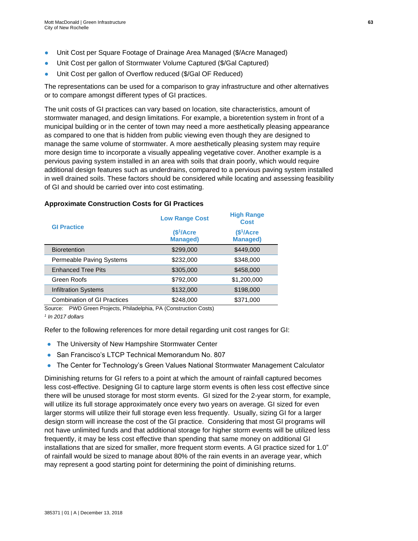- Unit Cost per Square Footage of Drainage Area Managed (\$/Acre Managed)
- Unit Cost per gallon of Stormwater Volume Captured (\$/Gal Captured)
- Unit Cost per gallon of Overflow reduced (\$/Gal OF Reduced)

The representations can be used for a comparison to gray infrastructure and other alternatives or to compare amongst different types of GI practices.

The unit costs of GI practices can vary based on location, site characteristics, amount of stormwater managed, and design limitations. For example, a bioretention system in front of a municipal building or in the center of town may need a more aesthetically pleasing appearance as compared to one that is hidden from public viewing even though they are designed to manage the same volume of stormwater. A more aesthetically pleasing system may require more design time to incorporate a visually appealing vegetative cover. Another example is a pervious paving system installed in an area with soils that drain poorly, which would require additional design features such as underdrains, compared to a pervious paving system installed in well drained soils. These factors should be considered while locating and assessing feasibility of GI and should be carried over into cost estimating.

| <b>GI Practice</b>                 | <b>Low Range Cost</b>                    | <b>High Range</b><br><b>Cost</b>         |
|------------------------------------|------------------------------------------|------------------------------------------|
|                                    | \$ <sup>1</sup> /Acre<br><b>Managed)</b> | \$ <sup>1</sup> /Acre<br><b>Managed)</b> |
| <b>Bioretention</b>                | \$299,000                                | \$449,000                                |
| Permeable Paving Systems           | \$232,000                                | \$348,000                                |
| <b>Enhanced Tree Pits</b>          | \$305,000                                | \$458,000                                |
| Green Roofs                        | \$792,000                                | \$1,200,000                              |
| <b>Infiltration Systems</b>        | \$132,000                                | \$198,000                                |
| <b>Combination of GI Practices</b> | \$248,000                                | \$371,000                                |

#### **Approximate Construction Costs for GI Practices**

Source: PWD Green Projects, Philadelphia, PA (Construction Costs)

*1 In 2017 dollars*

Refer to the following references for more detail regarding unit cost ranges for GI:

- The University of New Hampshire Stormwater Center
- San Francisco's LTCP Technical Memorandum No. 807
- The Center for Technology's Green Values National Stormwater Management Calculator

Diminishing returns for GI refers to a point at which the amount of rainfall captured becomes less cost-effective. Designing GI to capture large storm events is often less cost effective since there will be unused storage for most storm events. GI sized for the 2-year storm, for example, will utilize its full storage approximately once every two years on average. GI sized for even larger storms will utilize their full storage even less frequently. Usually, sizing GI for a larger design storm will increase the cost of the GI practice. Considering that most GI programs will not have unlimited funds and that additional storage for higher storm events will be utilized less frequently, it may be less cost effective than spending that same money on additional GI installations that are sized for smaller, more frequent storm events. A GI practice sized for 1.0" of rainfall would be sized to manage about 80% of the rain events in an average year, which may represent a good starting point for determining the point of diminishing returns.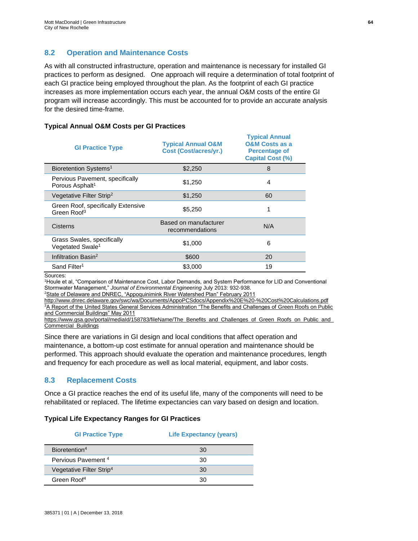## **8.2 Operation and Maintenance Costs**

As with all constructed infrastructure, operation and maintenance is necessary for installed GI practices to perform as designed. One approach will require a determination of total footprint of each GI practice being employed throughout the plan. As the footprint of each GI practice increases as more implementation occurs each year, the annual O&M costs of the entire GI program will increase accordingly. This must be accounted for to provide an accurate analysis for the desired time-frame.

#### **Typical Annual O&M Costs per GI Practices**

| <b>GI Practice Type</b>                                        | <b>Typical Annual O&amp;M</b><br><b>Cost (Cost/acres/yr.)</b> | <b>Typical Annual</b><br><b>O&amp;M Costs as a</b><br><b>Percentage of</b><br><b>Capital Cost (%)</b> |
|----------------------------------------------------------------|---------------------------------------------------------------|-------------------------------------------------------------------------------------------------------|
| Bioretention Systems <sup>1</sup>                              | \$2,250                                                       | 8                                                                                                     |
| Pervious Pavement, specifically<br>Porous Asphalt <sup>1</sup> | \$1,250                                                       | 4                                                                                                     |
| Vegetative Filter Strip <sup>2</sup>                           | \$1,250                                                       | 60                                                                                                    |
| Green Roof, specifically Extensive<br>Green Roof <sup>3</sup>  | \$5.250                                                       | 1                                                                                                     |
| Cisterns                                                       | Based on manufacturer<br>recommendations                      | N/A                                                                                                   |
| Grass Swales, specifically<br>Vegetated Swale <sup>1</sup>     | \$1,000                                                       | 6                                                                                                     |
| Infiltration Basin <sup>2</sup>                                | \$600                                                         | 20                                                                                                    |
| Sand Filter <sup>1</sup>                                       | \$3,000                                                       | 19                                                                                                    |

Sources:

<sup>1</sup>Houle et al, "Comparison of Maintenance Cost, Labor Demands, and System Performance for LID and Conventional Stormwater Management," *Journal of Environmental Engineering* July 2013: 932-938.

<sup>2</sup>State of Delaware and DNREC, "Appoquinimink River Watershed Plan" February 2011

<http://www.dnrec.delaware.gov/swc/wa/Documents/AppoPCSdocs/Appendix%20E%20-%20Cost%20Calculations.pdf> <sup>3</sup>A Report of the United States General Services Administration "The Benefits and Challenges of Green Roofs on Public [and Commercial Buildings" May 2011](file:///C:/Users/gou77771/Desktop/GI%20Guidance%20for%20CSO%20Permitees_Draft_20170209/A%20Report%20of%20the%20United%20States%20General%20Services%20Administration) 

[https://www.gsa.gov/portal/mediaId/158783/fileName/The\\_Benefits\\_and\\_Challenges\\_of\\_Green\\_Roofs\\_on\\_Public\\_and\\_](file:///C:/Users/gou77771/Desktop/GI%20Guidance%20for%20CSO%20Permitees_Draft_20170209/A%20Report%20of%20the%20United%20States%20General%20Services%20Administration) [Commercial\\_Buildings](file:///C:/Users/gou77771/Desktop/GI%20Guidance%20for%20CSO%20Permitees_Draft_20170209/A%20Report%20of%20the%20United%20States%20General%20Services%20Administration)

Since there are variations in GI design and local conditions that affect operation and maintenance, a bottom-up cost estimate for annual operation and maintenance should be performed. This approach should evaluate the operation and maintenance procedures, length and frequency for each procedure as well as local material, equipment, and labor costs.

## **8.3 Replacement Costs**

Once a GI practice reaches the end of its useful life, many of the components will need to be rehabilitated or replaced. The lifetime expectancies can vary based on design and location.

### **Typical Life Expectancy Ranges for GI Practices**

| <b>GI Practice Type</b>              | <b>Life Expectancy (years)</b> |
|--------------------------------------|--------------------------------|
| Bioretention <sup>4</sup>            | 30                             |
| Pervious Pavement <sup>4</sup>       | 30                             |
| Vegetative Filter Strip <sup>4</sup> | 30                             |
| Green Roof <sup>4</sup>              | 30                             |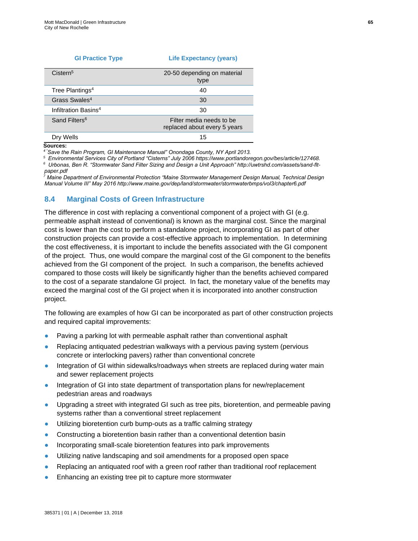| <b>GI Practice Type</b>          | <b>Life Expectancy (years)</b>                           |
|----------------------------------|----------------------------------------------------------|
| Cistern <sup>5</sup>             | 20-50 depending on material<br>type                      |
| Tree Plantings <sup>4</sup>      | 40                                                       |
| Grass Swales <sup>4</sup>        | 30                                                       |
| Infiltration Basins <sup>4</sup> | 30                                                       |
| Sand Filters <sup>6</sup>        | Filter media needs to be<br>replaced about every 5 years |
| Drv Wells                        | 15                                                       |

#### **Sources:**

*4 "Save the Rain Program, GI Maintenance Manual" Onondaga County, NY April 2013.*

*<sup>5</sup>Environmental Services City of Portland "Cisterns" July 2006 [https://www.portlandoregon.gov/bes/article/127468.](https://www.portlandoregon.gov/bes/article/127468)*

*6 Urbonas, Ben R. "Stormwater Sand Filter Sizing and Design a Unit Approach" http://uwtrshd.com/assets/sand-fltpaper.pdf*

*<sup>7</sup> Maine Department of Environmental Protection "Maine Stormwater Management Design Manual, Technical Design Manual Volume III" May 2016 http://www.maine.gov/dep/land/stormwater/stormwaterbmps/vol3/chapter6.pdf*

#### **8.4 Marginal Costs of Green Infrastructure**

The difference in cost with replacing a conventional component of a project with GI (e.g. permeable asphalt instead of conventional) is known as the marginal cost. Since the marginal cost is lower than the cost to perform a standalone project, incorporating GI as part of other construction projects can provide a cost-effective approach to implementation. In determining the cost effectiveness, it is important to include the benefits associated with the GI component of the project. Thus, one would compare the marginal cost of the GI component to the benefits achieved from the GI component of the project. In such a comparison, the benefits achieved compared to those costs will likely be significantly higher than the benefits achieved compared to the cost of a separate standalone GI project. In fact, the monetary value of the benefits may exceed the marginal cost of the GI project when it is incorporated into another construction project.

The following are examples of how GI can be incorporated as part of other construction projects and required capital improvements:

- Paving a parking lot with permeable asphalt rather than conventional asphalt
- Replacing antiquated pedestrian walkways with a pervious paving system (pervious concrete or interlocking pavers) rather than conventional concrete
- Integration of GI within sidewalks/roadways when streets are replaced during water main and sewer replacement projects
- Integration of GI into state department of transportation plans for new/replacement pedestrian areas and roadways
- Upgrading a street with integrated GI such as tree pits, bioretention, and permeable paving systems rather than a conventional street replacement
- Utilizing bioretention curb bump-outs as a traffic calming strategy
- Constructing a bioretention basin rather than a conventional detention basin
- Incorporating small-scale bioretention features into park improvements
- Utilizing native landscaping and soil amendments for a proposed open space
- Replacing an antiquated roof with a green roof rather than traditional roof replacement
- Enhancing an existing tree pit to capture more stormwater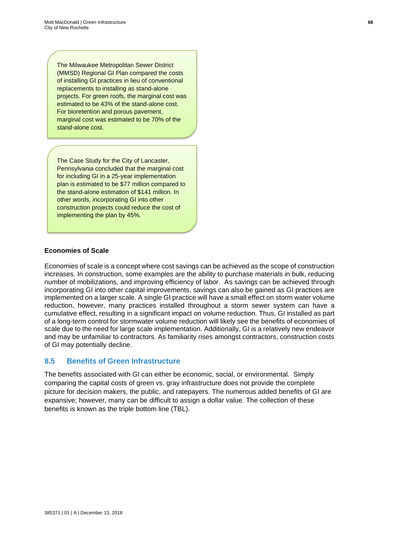The Milwaukee Metropolitan Sewer District (MMSD) Regional GI Plan compared the costs of installing GI practices in lieu of conventional replacements to installing as stand-alone projects. For green roofs, the marginal cost was estimated to be 43% of the stand-alone cost. For bioretention and porous pavement, marginal cost was estimated to be 70% of the stand-alone cost.

The Case Study for the City of Lancaster, Pennsylvania concluded that the marginal cost for including GI in a 25-year implementation plan is estimated to be \$77 million compared to the stand-alone estimation of \$141 million. In other words, incorporating GI into other construction projects could reduce the cost of implementing the plan by 45%.

#### **Economies of Scale**

Economies of scale is a concept where cost savings can be achieved as the scope of construction increases. In construction, some examples are the ability to purchase materials in bulk, reducing number of mobilizations, and improving efficiency of labor. As savings can be achieved through incorporating GI into other capital improvements, savings can also be gained as GI practices are implemented on a larger scale. A single GI practice will have a small effect on storm water volume reduction, however, many practices installed throughout a storm sewer system can have a cumulative effect, resulting in a significant impact on volume reduction. Thus, GI installed as part of a long-term control for stormwater volume reduction will likely see the benefits of economies of scale due to the need for large scale implementation. Additionally, GI is a relatively new endeavor and may be unfamiliar to contractors. As familiarity rises amongst contractors, construction costs of GI may potentially decline.

#### **8.5 Benefits of Green Infrastructure**

The benefits associated with GI can either be economic, social, or environmental. Simply comparing the capital costs of green vs. gray infrastructure does not provide the complete picture for decision makers, the public, and ratepayers. The numerous added benefits of GI are expansive; however, many can be difficult to assign a dollar value. The collection of these benefits is known as the triple bottom line (TBL).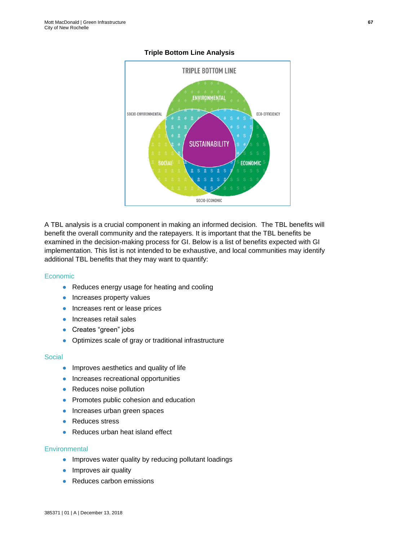

#### **Triple Bottom Line Analysis**

A TBL analysis is a crucial component in making an informed decision. The TBL benefits will benefit the overall community and the ratepayers. It is important that the TBL benefits be examined in the decision-making process for GI. Below is a list of benefits expected with GI implementation. This list is not intended to be exhaustive, and local communities may identify additional TBL benefits that they may want to quantify:

## Economic

- Reduces energy usage for heating and cooling
- Increases property values
- Increases rent or lease prices
- Increases retail sales
- Creates "green" jobs
- Optimizes scale of gray or traditional infrastructure

#### **Social**

- Improves aesthetics and quality of life
- Increases recreational opportunities
- Reduces noise pollution
- Promotes public cohesion and education
- Increases urban green spaces
- Reduces stress
- Reduces urban heat island effect

#### **Environmental**

- Improves water quality by reducing pollutant loadings
- Improves air quality
- Reduces carbon emissions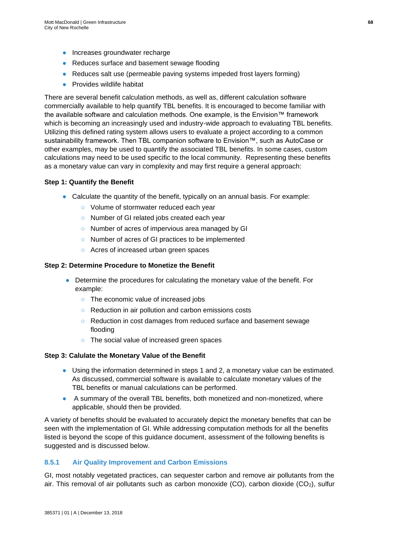- Increases groundwater recharge
- Reduces surface and basement sewage flooding
- Reduces salt use (permeable paving systems impeded frost layers forming)
- Provides wildlife habitat

There are several benefit calculation methods, as well as, different calculation software commercially available to help quantify TBL benefits. It is encouraged to become familiar with the available software and calculation methods. One example, is the Envision™ framework which is becoming an increasingly used and industry-wide approach to evaluating TBL benefits. Utilizing this defined rating system allows users to evaluate a project according to a common sustainability framework. Then TBL companion software to Envision™, such as AutoCase or other examples, may be used to quantify the associated TBL benefits. In some cases, custom calculations may need to be used specific to the local community. Representing these benefits as a monetary value can vary in complexity and may first require a general approach:

#### **Step 1: Quantify the Benefit**

- Calculate the quantity of the benefit, typically on an annual basis. For example:
	- Volume of stormwater reduced each year
	- Number of GI related jobs created each year
	- Number of acres of impervious area managed by GI
	- Number of acres of GI practices to be implemented
	- Acres of increased urban green spaces

#### **Step 2: Determine Procedure to Monetize the Benefit**

- Determine the procedures for calculating the monetary value of the benefit. For example:
	- The economic value of increased jobs
	- Reduction in air pollution and carbon emissions costs
	- Reduction in cost damages from reduced surface and basement sewage flooding
	- The social value of increased green spaces

#### **Step 3: Calulate the Monetary Value of the Benefit**

- Using the information determined in steps 1 and 2, a monetary value can be estimated. As discussed, commercial software is available to calculate monetary values of the TBL benefits or manual calculations can be performed.
- A summary of the overall TBL benefits, both monetized and non-monetized, where applicable, should then be provided.

A variety of benefits should be evaluated to accurately depict the monetary benefits that can be seen with the implementation of GI. While addressing computation methods for all the benefits listed is beyond the scope of this guidance document, assessment of the following benefits is suggested and is discussed below.

## **8.5.1 Air Quality Improvement and Carbon Emissions**

GI, most notably vegetated practices, can sequester carbon and remove air pollutants from the air. This removal of air pollutants such as carbon monoxide (CO), carbon dioxide  $(CO<sub>2</sub>)$ , sulfur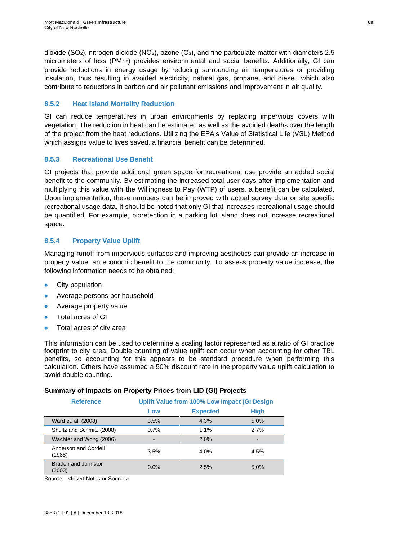dioxide (SO<sub>2</sub>), nitrogen dioxide (NO<sub>2</sub>), ozone (O<sub>3</sub>), and fine particulate matter with diameters 2.5 micrometers of less (PM2.5) provides environmental and social benefits. Additionally, GI can provide reductions in energy usage by reducing surrounding air temperatures or providing insulation, thus resulting in avoided electricity, natural gas, propane, and diesel; which also contribute to reductions in carbon and air pollutant emissions and improvement in air quality.

## **8.5.2 Heat Island Mortality Reduction**

GI can reduce temperatures in urban environments by replacing impervious covers with vegetation. The reduction in heat can be estimated as well as the avoided deaths over the length of the project from the heat reductions. Utilizing the EPA's Value of Statistical Life (VSL) Method which assigns value to lives saved, a financial benefit can be determined.

## **8.5.3 Recreational Use Benefit**

GI projects that provide additional green space for recreational use provide an added social benefit to the community. By estimating the increased total user days after implementation and multiplying this value with the Willingness to Pay (WTP) of users, a benefit can be calculated. Upon implementation, these numbers can be improved with actual survey data or site specific recreational usage data. It should be noted that only GI that increases recreational usage should be quantified. For example, bioretention in a parking lot island does not increase recreational space.

## **8.5.4 Property Value Uplift**

Managing runoff from impervious surfaces and improving aesthetics can provide an increase in property value; an economic benefit to the community. To assess property value increase, the following information needs to be obtained:

- **City population**
- Average persons per household
- Average property value
- Total acres of GI
- Total acres of city area

This information can be used to determine a scaling factor represented as a ratio of GI practice footprint to city area. Double counting of value uplift can occur when accounting for other TBL benefits, so accounting for this appears to be standard procedure when performing this calculation. Others have assumed a 50% discount rate in the property value uplift calculation to avoid double counting.

## **Summary of Impacts on Property Prices from LID (GI) Projects**

| <b>Reference</b>               | Uplift Value from 100% Low Impact (GI Design |                 |             |  |
|--------------------------------|----------------------------------------------|-----------------|-------------|--|
|                                | Low                                          | <b>Expected</b> | <b>High</b> |  |
| Ward et. al. (2008)            | 3.5%                                         | 4.3%            | 5.0%        |  |
| Shultz and Schmitz (2008)      | 0.7%                                         | $1.1\%$         | 2.7%        |  |
| Wachter and Wong (2006)        | ۰                                            | 2.0%            |             |  |
| Anderson and Cordell<br>(1988) | 3.5%                                         | 4.0%            | 4.5%        |  |
| Braden and Johnston<br>(2003)  | 0.0%                                         | 2.5%            | 5.0%        |  |

Source: <Insert Notes or Source>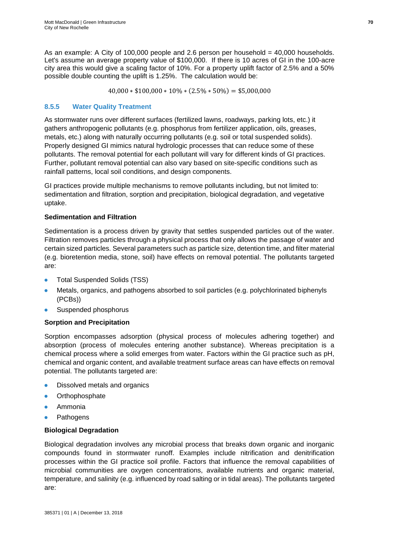As an example: A City of 100,000 people and 2.6 person per household = 40,000 households. Let's assume an average property value of \$100,000. If there is 10 acres of GI in the 100-acre city area this would give a scaling factor of 10%. For a property uplift factor of 2.5% and a 50% possible double counting the uplift is 1.25%. The calculation would be:

 $40,000 * $100,000 * 10\% * (2.5\% * 50\%) = $5,000,000$ 

## **8.5.5 Water Quality Treatment**

As stormwater runs over different surfaces (fertilized lawns, roadways, parking lots, etc.) it gathers anthropogenic pollutants (e.g. phosphorus from fertilizer application, oils, greases, metals, etc.) along with naturally occurring pollutants (e.g. soil or total suspended solids). Properly designed GI mimics natural hydrologic processes that can reduce some of these pollutants. The removal potential for each pollutant will vary for different kinds of GI practices. Further, pollutant removal potential can also vary based on site-specific conditions such as rainfall patterns, local soil conditions, and design components.

GI practices provide multiple mechanisms to remove pollutants including, but not limited to: sedimentation and filtration, sorption and precipitation, biological degradation, and vegetative uptake.

## **Sedimentation and Filtration**

Sedimentation is a process driven by gravity that settles suspended particles out of the water. Filtration removes particles through a physical process that only allows the passage of water and certain sized particles. Several parameters such as particle size, detention time, and filter material (e.g. bioretention media, stone, soil) have effects on removal potential. The pollutants targeted are:

- Total Suspended Solids (TSS)
- Metals, organics, and pathogens absorbed to soil particles (e.g. polychlorinated biphenyls (PCBs))
- Suspended phosphorus

## **Sorption and Precipitation**

Sorption encompasses adsorption (physical process of molecules adhering together) and absorption (process of molecules entering another substance). Whereas precipitation is a chemical process where a solid emerges from water. Factors within the GI practice such as pH, chemical and organic content, and available treatment surface areas can have effects on removal potential. The pollutants targeted are:

- Dissolved metals and organics
- Orthophosphate
- **Ammonia**
- Pathogens

## **Biological Degradation**

Biological degradation involves any microbial process that breaks down organic and inorganic compounds found in stormwater runoff. Examples include nitrification and denitrification processes within the GI practice soil profile. Factors that influence the removal capabilities of microbial communities are oxygen concentrations, available nutrients and organic material, temperature, and salinity (e.g. influenced by road salting or in tidal areas). The pollutants targeted are: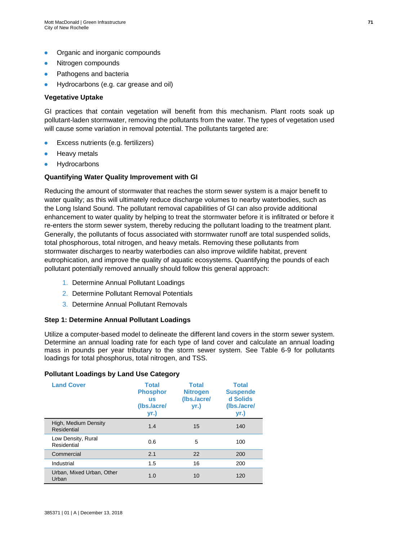- Organic and inorganic compounds
- Nitrogen compounds
- Pathogens and bacteria
- Hydrocarbons (e.g. car grease and oil)

#### **Vegetative Uptake**

GI practices that contain vegetation will benefit from this mechanism. Plant roots soak up pollutant-laden stormwater, removing the pollutants from the water. The types of vegetation used will cause some variation in removal potential. The pollutants targeted are:

- Excess nutrients (e.g. fertilizers)
- **Heavy metals**
- Hydrocarbons

#### **Quantifying Water Quality Improvement with GI**

Reducing the amount of stormwater that reaches the storm sewer system is a major benefit to water quality; as this will ultimately reduce discharge volumes to nearby waterbodies, such as the Long Island Sound. The pollutant removal capabilities of GI can also provide additional enhancement to water quality by helping to treat the stormwater before it is infiltrated or before it re-enters the storm sewer system, thereby reducing the pollutant loading to the treatment plant. Generally, the pollutants of focus associated with stormwater runoff are total suspended solids, total phosphorous, total nitrogen, and heavy metals. Removing these pollutants from stormwater discharges to nearby waterbodies can also improve wildlife habitat, prevent eutrophication, and improve the quality of aquatic ecosystems. Quantifying the pounds of each pollutant potentially removed annually should follow this general approach:

- 1. Determine Annual Pollutant Loadings
- 2. Determine Pollutant Removal Potentials
- 3. Determine Annual Pollutant Removals

#### **Step 1: Determine Annual Pollutant Loadings**

Utilize a computer-based model to delineate the different land covers in the storm sewer system. Determine an annual loading rate for each type of land cover and calculate an annual loading mass in pounds per year tributary to the storm sewer system. See Table 6-9 for pollutants loadings for total phosphorus, total nitrogen, and TSS.

#### **Pollutant Loadings by Land Use Category**

| <b>Land Cover</b>                   | <b>Total</b><br><b>Phosphor</b><br><b>US</b><br>(lbs./acre/<br>yr.) | <b>Total</b><br><b>Nitrogen</b><br>(Ibs./acre/<br>yr.) | <b>Total</b><br><b>Suspende</b><br>d Solids<br>(Ibs./acre/<br>yr.) |
|-------------------------------------|---------------------------------------------------------------------|--------------------------------------------------------|--------------------------------------------------------------------|
| High, Medium Density<br>Residential | 1.4                                                                 | 15                                                     | 140                                                                |
| Low Density, Rural<br>Residential   | 0.6                                                                 | 5                                                      | 100                                                                |
| Commercial                          | 2.1                                                                 | 22                                                     | 200                                                                |
| Industrial                          | 1.5                                                                 | 16                                                     | 200                                                                |
| Urban, Mixed Urban, Other<br>Urban  | 1.0                                                                 | 10                                                     | 120                                                                |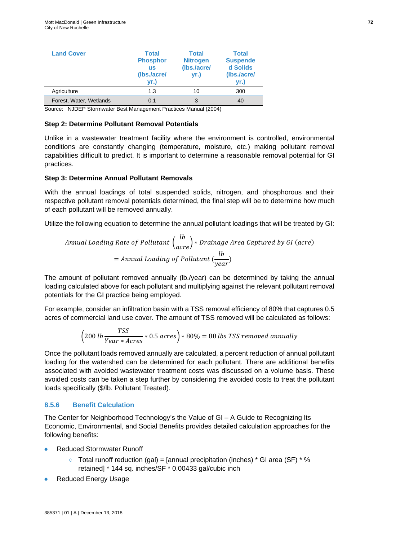| <b>Land Cover</b>       | <b>Total</b><br><b>Phosphor</b><br><b>us</b><br>(Ibs./acre/<br>yr.) | <b>Total</b><br><b>Nitrogen</b><br>(Ibs./acre/<br>yr.) | <b>Total</b><br><b>Suspende</b><br>d Solids<br>(Ibs./acre/<br>yr.) |
|-------------------------|---------------------------------------------------------------------|--------------------------------------------------------|--------------------------------------------------------------------|
| Agriculture             | 1.3                                                                 | 10                                                     | 300                                                                |
| Forest, Water, Wetlands | 0.1                                                                 | 3                                                      | 40                                                                 |

Source: NJDEP Stormwater Best Management Practices Manual (2004)

#### **Step 2: Determine Pollutant Removal Potentials**

Unlike in a wastewater treatment facility where the environment is controlled, environmental conditions are constantly changing (temperature, moisture, etc.) making pollutant removal capabilities difficult to predict. It is important to determine a reasonable removal potential for GI practices.

#### **Step 3: Determine Annual Pollutant Removals**

With the annual loadings of total suspended solids, nitrogen, and phosphorous and their respective pollutant removal potentials determined, the final step will be to determine how much of each pollutant will be removed annually.

Utilize the following equation to determine the annual pollutant loadings that will be treated by GI:

Annual loading Rate of Pollutant 
$$
\left(\frac{lb}{acre}\right) * Drainage Area Captured by GI (acre)
$$
  
= Annual loading of Pollutant  $\left(\frac{lb}{year}\right)$ 

The amount of pollutant removed annually (lb./year) can be determined by taking the annual loading calculated above for each pollutant and multiplying against the relevant pollutant removal potentials for the GI practice being employed.

For example, consider an infiltration basin with a TSS removal efficiency of 80% that captures 0.5 acres of commercial land use cover. The amount of TSS removed will be calculated as follows:

$$
(200 lb \frac{TSS}{Year * Acres} * 0.5 acres) * 80\% = 80 lbs TSS removed annually
$$

Once the pollutant loads removed annually are calculated, a percent reduction of annual pollutant loading for the watershed can be determined for each pollutant. There are additional benefits associated with avoided wastewater treatment costs was discussed on a volume basis. These avoided costs can be taken a step further by considering the avoided costs to treat the pollutant loads specifically (\$/lb. Pollutant Treated).

#### **8.5.6 Benefit Calculation**

The Center for Neighborhood Technology's the Value of GI – A Guide to Recognizing Its Economic, Environmental, and Social Benefits provides detailed calculation approaches for the following benefits:

- **Reduced Stormwater Runoff** 
	- $\circ$  Total runoff reduction (gal) = [annual precipitation (inches) \* GI area (SF) \* % retained] \* 144 sq. inches/SF \* 0.00433 gal/cubic inch
- **Reduced Energy Usage**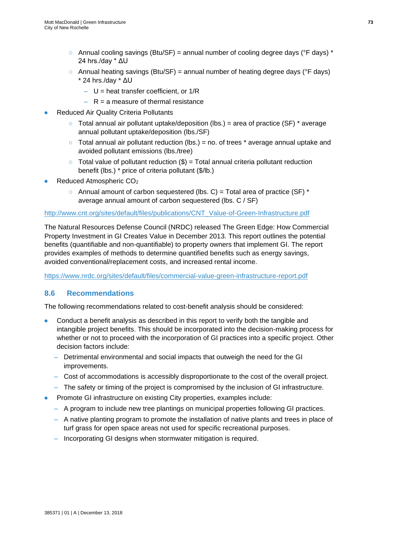- $\circ$  Annual cooling savings (Btu/SF) = annual number of cooling degree days (°F days) \* 24 hrs./day \* ΔU
- $\circ$  Annual heating savings (Btu/SF) = annual number of heating degree days (°F days) \* 24 hrs./day \* ΔU
	- $U$  = heat transfer coefficient, or 1/R
	- $-$  R = a measure of thermal resistance
- **Reduced Air Quality Criteria Pollutants** 
	- $\circ$  Total annual air pollutant uptake/deposition (lbs.) = area of practice (SF)  $*$  average annual pollutant uptake/deposition (lbs./SF)
	- $\circ$  Total annual air pollutant reduction (lbs.) = no. of trees  $*$  average annual uptake and avoided pollutant emissions (lbs./tree)
	- $\circ$  Total value of pollutant reduction  $(\$)$  = Total annual criteria pollutant reduction benefit (lbs.) \* price of criteria pollutant (\$/lb.)
- Reduced Atmospheric CO<sub>2</sub>
	- $\circ$  Annual amount of carbon sequestered (lbs. C) = Total area of practice (SF) \* average annual amount of carbon sequestered (lbs. C / SF)

#### [http://www.cnt.org/sites/default/files/publications/CNT\\_Value-of-Green-Infrastructure.pdf](http://www.cnt.org/sites/default/files/publications/CNT_Value-of-Green-Infrastructure.pdf)

The Natural Resources Defense Council (NRDC) released The Green Edge: How Commercial Property Investment in GI Creates Value in December 2013. This report outlines the potential benefits (quantifiable and non-quantifiable) to property owners that implement GI. The report provides examples of methods to determine quantified benefits such as energy savings, avoided conventional/replacement costs, and increased rental income.

<https://www.nrdc.org/sites/default/files/commercial-value-green-infrastructure-report.pdf>

## **8.6 Recommendations**

The following recommendations related to cost-benefit analysis should be considered:

- Conduct a benefit analysis as described in this report to verify both the tangible and intangible project benefits. This should be incorporated into the decision-making process for whether or not to proceed with the incorporation of GI practices into a specific project. Other decision factors include:
	- Detrimental environmental and social impacts that outweigh the need for the GI improvements.
	- Cost of accommodations is accessibly disproportionate to the cost of the overall project.
	- The safety or timing of the project is compromised by the inclusion of GI infrastructure.
- Promote GI infrastructure on existing City properties, examples include:
	- A program to include new tree plantings on municipal properties following GI practices.
	- A native planting program to promote the installation of native plants and trees in place of turf grass for open space areas not used for specific recreational purposes.
	- Incorporating GI designs when stormwater mitigation is required.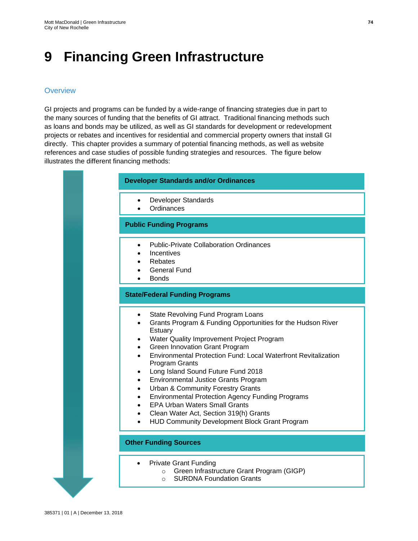## **9 Financing Green Infrastructure**

## **Overview**

GI projects and programs can be funded by a wide-range of financing strategies due in part to the many sources of funding that the benefits of GI attract. Traditional financing methods such as loans and bonds may be utilized, as well as GI standards for development or redevelopment projects or rebates and incentives for residential and commercial property owners that install GI directly. This chapter provides a summary of potential financing methods, as well as website references and case studies of possible funding strategies and resources. The figure below illustrates the different financing methods:

#### **Developer Standards and/or Ordinances**

- Developer Standards
- **Ordinances**

## **Public Funding Programs**

- Public-Private Collaboration Ordinances
- **Incentives**
- Rebates
- General Fund
- Bonds

## **State/Federal Funding Programs**

- State Revolving Fund Program Loans
- Grants Program & Funding Opportunities for the Hudson River **Estuary**
- Water Quality Improvement Project Program
- Green Innovation Grant Program
- Environmental Protection Fund: Local Waterfront Revitalization Program Grants
- Long Island Sound Future Fund 2018
- Environmental Justice Grants Program
- Urban & Community Forestry Grants
- Environmental Protection Agency Funding Programs
- EPA Urban Waters Small Grants
- Clean Water Act, Section 319(h) Grants
- HUD Community Development Block Grant Program

## **Other Funding Sources**

- Private Grant Funding
	- o Green Infrastructure Grant Program (GIGP)
	- o SURDNA Foundation Grants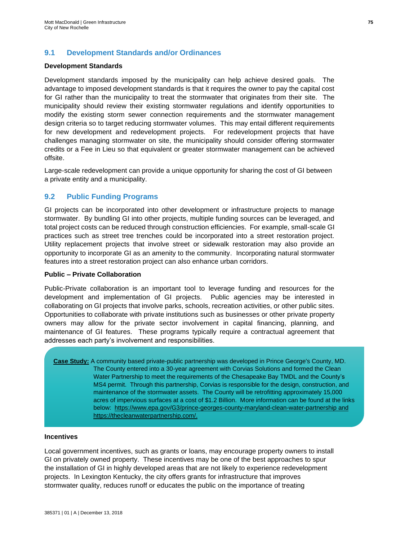## **9.1 Development Standards and/or Ordinances**

### **Development Standards**

Development standards imposed by the municipality can help achieve desired goals. The advantage to imposed development standards is that it requires the owner to pay the capital cost for GI rather than the municipality to treat the stormwater that originates from their site. The municipality should review their existing stormwater regulations and identify opportunities to modify the existing storm sewer connection requirements and the stormwater management design criteria so to target reducing stormwater volumes. This may entail different requirements for new development and redevelopment projects. For redevelopment projects that have challenges managing stormwater on site, the municipality should consider offering stormwater credits or a Fee in Lieu so that equivalent or greater stormwater management can be achieved offsite.

Large-scale redevelopment can provide a unique opportunity for sharing the cost of GI between a private entity and a municipality.

## **9.2 Public Funding Programs**

GI projects can be incorporated into other development or infrastructure projects to manage stormwater. By bundling GI into other projects, multiple funding sources can be leveraged, and total project costs can be reduced through construction efficiencies. For example, small-scale GI practices such as street tree trenches could be incorporated into a street restoration project. Utility replacement projects that involve street or sidewalk restoration may also provide an opportunity to incorporate GI as an amenity to the community. Incorporating natural stormwater features into a street restoration project can also enhance urban corridors.

#### **Public – Private Collaboration**

Public-Private collaboration is an important tool to leverage funding and resources for the development and implementation of GI projects. Public agencies may be interested in collaborating on GI projects that involve parks, schools, recreation activities, or other public sites. Opportunities to collaborate with private institutions such as businesses or other private property owners may allow for the private sector involvement in capital financing, planning, and maintenance of GI features. These programs typically require a contractual agreement that addresses each party's involvement and responsibilities.

**Case Study:** A community based private-public partnership was developed in Prince George's County, MD. The County entered into a 30-year agreement with Corvias Solutions and formed the Clean Water Partnership to meet the requirements of the Chesapeake Bay TMDL and the County's MS4 permit. Through this partnership, Corvias is responsible for the design, construction, and maintenance of the stormwater assets. The County will be retrofitting approximately 15,000 acres of impervious surfaces at a cost of \$1.2 Billion. More information can be found at the links below: <https://www.epa.gov/G3/prince-georges-county-maryland-clean-water-partnership> and [https://thecleanwaterpartnership.com/.](https://thecleanwaterpartnership.com/)

#### **Incentives**

Local government incentives, such as grants or loans, may encourage property owners to install GI on privately owned property. These incentives may be one of the best approaches to spur the installation of GI in highly developed areas that are not likely to experience redevelopment projects. In Lexington Kentucky, the city offers grants for infrastructure that improves stormwater quality, reduces runoff or educates the public on the importance of treating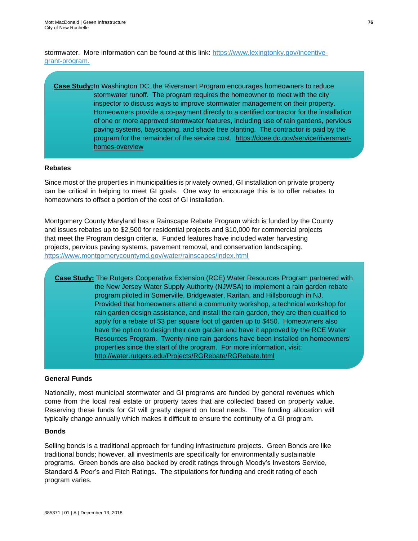stormwater. More information can be found at this link: [https://www.lexingtonky.gov/incentive](https://www.lexingtonky.gov/incentive-grant-program)[grant-program.](https://www.lexingtonky.gov/incentive-grant-program)

## **Case Study:**In Washington DC, the Riversmart Program encourages homeowners to reduce stormwater runoff. The program requires the homeowner to meet with the city inspector to discuss ways to improve stormwater management on their property. Homeowners provide a co-payment directly to a certified contractor for the installation of one or more approved stormwater features, including use of rain gardens, pervious paving systems, bayscaping, and shade tree planting. The contractor is paid by the program for the remainder of the service cost. [https://doee.dc.gov/service/riversmart](https://doee.dc.gov/service/riversmart-homes-overview)[homes-overview](https://doee.dc.gov/service/riversmart-homes-overview)

## **Rebates**

Since most of the properties in municipalities is privately owned, GI installation on private property can be critical in helping to meet GI goals. One way to encourage this is to offer rebates to homeowners to offset a portion of the cost of GI installation.

Montgomery County Maryland has a Rainscape Rebate Program which is funded by the County and issues rebates up to \$2,500 for residential projects and \$10,000 for commercial projects that meet the Program design criteria. Funded features have included water harvesting projects, pervious paving systems, pavement removal, and conservation landscaping. <https://www.montgomerycountymd.gov/water/rainscapes/index.html>

**Case Study:** The Rutgers Cooperative Extension (RCE) Water Resources Program partnered with the New Jersey Water Supply Authority (NJWSA) to implement a rain garden rebate program piloted in Somerville, Bridgewater, Raritan, and Hillsborough in NJ. Provided that homeowners attend a community workshop, a technical workshop for rain garden design assistance, and install the rain garden, they are then qualified to apply for a rebate of \$3 per square foot of garden up to \$450. Homeowners also have the option to design their own garden and have it approved by the RCE Water Resources Program. Twenty-nine rain gardens have been installed on homeowners' properties since the start of the program. For more information, visit: <http://water.rutgers.edu/Projects/RGRebate/RGRebate.html>

## **General Funds**

Nationally, most municipal stormwater and GI programs are funded by general revenues which come from the local real estate or property taxes that are collected based on property value. Reserving these funds for GI will greatly depend on local needs. The funding allocation will typically change annually which makes it difficult to ensure the continuity of a GI program.

#### **Bonds**

Selling bonds is a traditional approach for funding infrastructure projects. Green Bonds are like \traditional bonds; however, all investments are specifically for environmentally sustainable programs. Green bonds are also backed by credit ratings through Moody's Investors Service, Standard & Poor's and Fitch Ratings. The stipulations for funding and credit rating of each program varies.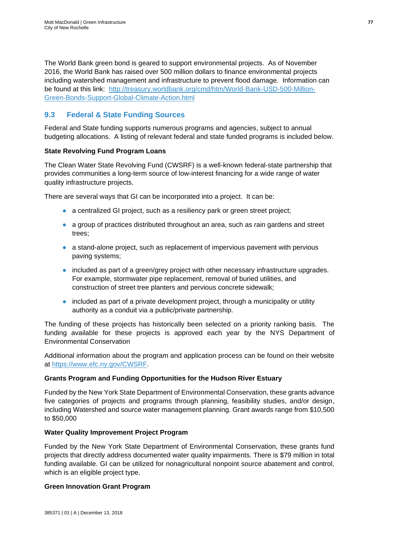The World Bank green bond is geared to support environmental projects. As of November 2016, the World Bank has raised over 500 million dollars to finance environmental projects including watershed management and infrastructure to prevent flood damage. Information can be found at this link: [http://treasury.worldbank.org/cmd/htm/World-Bank-USD-500-Million-](http://treasury.worldbank.org/cmd/htm/World-Bank-USD-500-Million-Green-Bonds-Support-Global-Climate-Action.html)[Green-Bonds-Support-Global-Climate-Action.html](http://treasury.worldbank.org/cmd/htm/World-Bank-USD-500-Million-Green-Bonds-Support-Global-Climate-Action.html) 

## **9.3 Federal & State Funding Sources**

Federal and State funding supports numerous programs and agencies, subject to annual budgeting allocations. A listing of relevant federal and state funded programs is included below.

## **State Revolving Fund Program Loans**

The Clean Water State Revolving Fund (CWSRF) is a well-known federal-state partnership that provides communities a long-term source of low-interest financing for a wide range of water quality infrastructure projects.

There are several ways that GI can be incorporated into a project. It can be:

- a centralized GI project, such as a resiliency park or green street project;
- a group of practices distributed throughout an area, such as rain gardens and street trees;
- a stand-alone project, such as replacement of impervious pavement with pervious paving systems;
- included as part of a green/grey project with other necessary infrastructure upgrades. For example, stormwater pipe replacement, removal of buried utilities, and construction of street tree planters and pervious concrete sidewalk;
- included as part of a private development project, through a municipality or utility authority as a conduit via a public/private partnership.

The funding of these projects has historically been selected on a priority ranking basis. The funding available for these projects is approved each year by the NYS Department of Environmental Conservation

Additional information about the program and application process can be found on their website at [https://www.efc.ny.gov/CWSRF.](https://www.efc.ny.gov/CWSRF)

## **Grants Program and Funding Opportunities for the Hudson River Estuary**

Funded by the New York State Department of Environmental Conservation, these grants advance five categories of projects and programs through planning, feasibility studies, and/or design, including Watershed and source water management planning. Grant awards range from \$10,500 to \$50,000

## **Water Quality Improvement Project Program**

Funded by the New York State Department of Environmental Conservation, these grants fund projects that directly address documented water quality impairments. There is \$79 million in total funding available. GI can be utilized for nonagricultural nonpoint source abatement and control, which is an eligible project type.

## **Green Innovation Grant Program**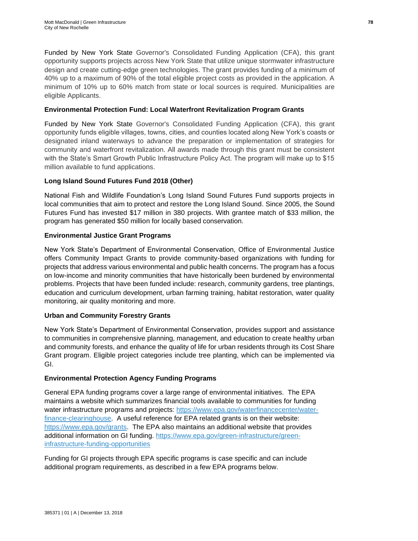Funded by New York State Governor's Consolidated Funding Application (CFA), this grant opportunity supports projects across New York State that utilize unique stormwater infrastructure design and create cutting-edge green technologies. The grant provides funding of a minimum of 40% up to a maximum of 90% of the total eligible project costs as provided in the application. A minimum of 10% up to 60% match from state or local sources is required. Municipalities are eligible Applicants.

## **Environmental Protection Fund: Local Waterfront Revitalization Program Grants**

Funded by New York State Governor's Consolidated Funding Application (CFA), this grant opportunity funds eligible villages, towns, cities, and counties located along New York's coasts or designated inland waterways to advance the preparation or implementation of strategies for community and waterfront revitalization. All awards made through this grant must be consistent with the State's Smart Growth Public Infrastructure Policy Act. The program will make up to \$15 million available to fund applications.

## **Long Island Sound Futures Fund 2018 (Other)**

National Fish and Wildlife Foundation's Long Island Sound Futures Fund supports projects in local communities that aim to protect and restore the Long Island Sound. Since 2005, the Sound Futures Fund has invested \$17 million in 380 projects. With grantee match of \$33 million, the program has generated \$50 million for locally based conservation.

## **Environmental Justice Grant Programs**

New York State's Department of Environmental Conservation, Office of Environmental Justice offers Community Impact Grants to provide community-based organizations with funding for projects that address various environmental and public health concerns. The program has a focus on low-income and minority communities that have historically been burdened by environmental problems. Projects that have been funded include: research, community gardens, tree plantings, education and curriculum development, urban farming training, habitat restoration, water quality monitoring, air quality monitoring and more.

## **Urban and Community Forestry Grants**

New York State's Department of Environmental Conservation, provides support and assistance to communities in comprehensive planning, management, and education to create healthy urban and community forests, and enhance the quality of life for urban residents through its Cost Share Grant program. Eligible project categories include tree planting, which can be implemented via GI.

## **Environmental Protection Agency Funding Programs**

General EPA funding programs cover a large range of environmental initiatives. The EPA maintains a website which summarizes financial tools available to communities for funding water infrastructure programs and projects: [https://www.epa.gov/waterfinancecenter/water](https://www.epa.gov/waterfinancecenter/water-finance-clearinghouse)[finance-clearinghouse.](https://www.epa.gov/waterfinancecenter/water-finance-clearinghouse) A useful reference for EPA related grants is on their website: [https://www.epa.gov/grants.](https://www.epa.gov/grants) The EPA also maintains an additional website that provides additional information on GI funding. [https://www.epa.gov/green-infrastructure/green](https://www.epa.gov/green-infrastructure/green-infrastructure-funding-opportunities)[infrastructure-funding-opportunities](https://www.epa.gov/green-infrastructure/green-infrastructure-funding-opportunities)

Funding for GI projects through EPA specific programs is case specific and can include additional program requirements, as described in a few EPA programs below.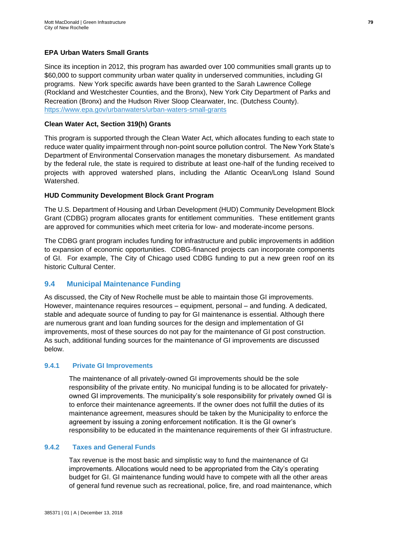## **EPA Urban Waters Small Grants**

Since its inception in 2012, this program has awarded over 100 communities small grants up to \$60,000 to support community urban water quality in underserved communities, including GI programs. New York specific awards have been granted to the Sarah Lawrence College (Rockland and Westchester Counties, and the Bronx), New York City Department of Parks and Recreation (Bronx) and the Hudson River Sloop Clearwater, Inc. (Dutchess County). <https://www.epa.gov/urbanwaters/urban-waters-small-grants>

### **Clean Water Act, Section 319(h) Grants**

This program is supported through the Clean Water Act, which allocates funding to each state to reduce water quality impairment through non-point source pollution control. The New York State's Department of Environmental Conservation manages the monetary disbursement. As mandated by the federal rule, the state is required to distribute at least one-half of the funding received to projects with approved watershed plans, including the Atlantic Ocean/Long Island Sound Watershed.

#### **HUD Community Development Block Grant Program**

The U.S. Department of Housing and Urban Development (HUD) Community Development Block Grant (CDBG) program allocates grants for entitlement communities. These entitlement grants are approved for communities which meet criteria for low- and moderate-income persons.

The CDBG grant program includes funding for infrastructure and public improvements in addition to expansion of economic opportunities. CDBG-financed projects can incorporate components of GI. For example, The City of Chicago used CDBG funding to put a new green roof on its historic Cultural Center.

## **9.4 Municipal Maintenance Funding**

As discussed, the City of New Rochelle must be able to maintain those GI improvements. However, maintenance requires resources – equipment, personal – and funding. A dedicated, stable and adequate source of funding to pay for GI maintenance is essential. Although there are numerous grant and loan funding sources for the design and implementation of GI improvements, most of these sources do not pay for the maintenance of GI post construction. As such, additional funding sources for the maintenance of GI improvements are discussed below.

#### **9.4.1 Private GI Improvements**

The maintenance of all privately-owned GI improvements should be the sole responsibility of the private entity. No municipal funding is to be allocated for privatelyowned GI improvements. The municipality's sole responsibility for privately owned GI is to enforce their maintenance agreements. If the owner does not fulfill the duties of its maintenance agreement, measures should be taken by the Municipality to enforce the agreement by issuing a zoning enforcement notification. It is the GI owner's responsibility to be educated in the maintenance requirements of their GI infrastructure.

## **9.4.2 Taxes and General Funds**

Tax revenue is the most basic and simplistic way to fund the maintenance of GI improvements. Allocations would need to be appropriated from the City's operating budget for GI. GI maintenance funding would have to compete with all the other areas of general fund revenue such as recreational, police, fire, and road maintenance, which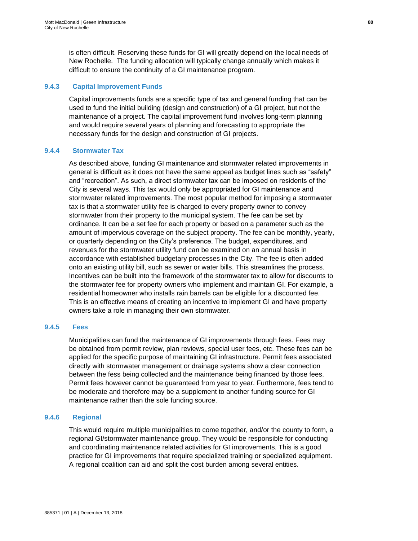is often difficult. Reserving these funds for GI will greatly depend on the local needs of New Rochelle. The funding allocation will typically change annually which makes it difficult to ensure the continuity of a GI maintenance program.

## **9.4.3 Capital Improvement Funds**

Capital improvements funds are a specific type of tax and general funding that can be used to fund the initial building (design and construction) of a GI project, but not the maintenance of a project. The capital improvement fund involves long-term planning and would require several years of planning and forecasting to appropriate the necessary funds for the design and construction of GI projects.

## **9.4.4 Stormwater Tax**

As described above, funding GI maintenance and stormwater related improvements in general is difficult as it does not have the same appeal as budget lines such as "safety" and "recreation". As such, a direct stormwater tax can be imposed on residents of the City is several ways. This tax would only be appropriated for GI maintenance and stormwater related improvements. The most popular method for imposing a stormwater tax is that a stormwater utility fee is charged to every property owner to convey stormwater from their property to the municipal system. The fee can be set by ordinance. It can be a set fee for each property or based on a parameter such as the amount of impervious coverage on the subject property. The fee can be monthly, yearly, or quarterly depending on the City's preference. The budget, expenditures, and revenues for the stormwater utility fund can be examined on an annual basis in accordance with established budgetary processes in the City. The fee is often added onto an existing utility bill, such as sewer or water bills. This streamlines the process. Incentives can be built into the framework of the stormwater tax to allow for discounts to the stormwater fee for property owners who implement and maintain GI. For example, a residential homeowner who installs rain barrels can be eligible for a discounted fee. This is an effective means of creating an incentive to implement GI and have property owners take a role in managing their own stormwater.

## **9.4.5 Fees**

Municipalities can fund the maintenance of GI improvements through fees. Fees may be obtained from permit review, plan reviews, special user fees, etc. These fees can be applied for the specific purpose of maintaining GI infrastructure. Permit fees associated directly with stormwater management or drainage systems show a clear connection between the fess being collected and the maintenance being financed by those fees. Permit fees however cannot be guaranteed from year to year. Furthermore, fees tend to be moderate and therefore may be a supplement to another funding source for GI maintenance rather than the sole funding source.

## **9.4.6 Regional**

This would require multiple municipalities to come together, and/or the county to form, a regional GI/stormwater maintenance group. They would be responsible for conducting and coordinating maintenance related activities for GI improvements. This is a good practice for GI improvements that require specialized training or specialized equipment. A regional coalition can aid and split the cost burden among several entities.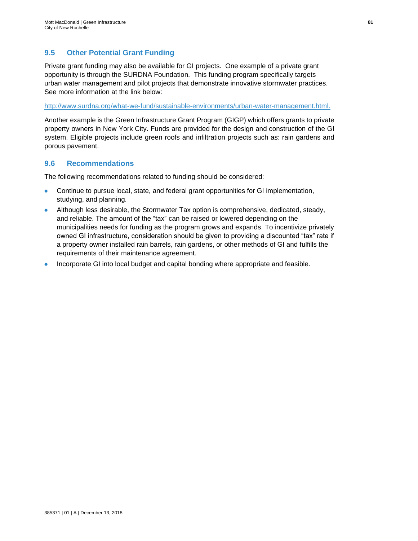## **9.5 Other Potential Grant Funding**

Private grant funding may also be available for GI projects. One example of a private grant opportunity is through the SURDNA Foundation. This funding program specifically targets urban water management and pilot projects that demonstrate innovative stormwater practices. See more information at the link below:

[http://www.surdna.org/what-we-fund/sustainable-environments/urban-water-management.html.](http://www.surdna.org/what-we-fund/sustainable-environments/urban-water-management.html)

Another example is the Green Infrastructure Grant Program (GIGP) which offers grants to private property owners in New York City. Funds are provided for the design and construction of the GI system. Eligible projects include green roofs and infiltration projects such as: rain gardens and porous pavement.

## **9.6 Recommendations**

The following recommendations related to funding should be considered:

- Continue to pursue local, state, and federal grant opportunities for GI implementation, studying, and planning.
- Although less desirable, the Stormwater Tax option is comprehensive, dedicated, steady, and reliable. The amount of the "tax" can be raised or lowered depending on the municipalities needs for funding as the program grows and expands. To incentivize privately owned GI infrastructure, consideration should be given to providing a discounted "tax" rate if a property owner installed rain barrels, rain gardens, or other methods of GI and fulfills the requirements of their maintenance agreement.
- Incorporate GI into local budget and capital bonding where appropriate and feasible.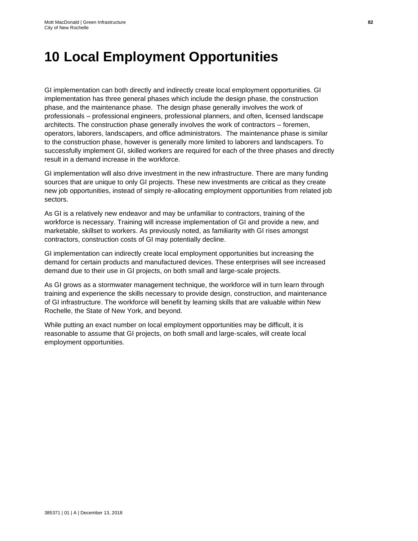## **10 Local Employment Opportunities**

GI implementation can both directly and indirectly create local employment opportunities. GI implementation has three general phases which include the design phase, the construction phase, and the maintenance phase. The design phase generally involves the work of professionals – professional engineers, professional planners, and often, licensed landscape architects. The construction phase generally involves the work of contractors – foremen, operators, laborers, landscapers, and office administrators. The maintenance phase is similar to the construction phase, however is generally more limited to laborers and landscapers. To successfully implement GI, skilled workers are required for each of the three phases and directly result in a demand increase in the workforce.

GI implementation will also drive investment in the new infrastructure. There are many funding sources that are unique to only GI projects. These new investments are critical as they create new job opportunities, instead of simply re-allocating employment opportunities from related job sectors.

As GI is a relatively new endeavor and may be unfamiliar to contractors, training of the workforce is necessary. Training will increase implementation of GI and provide a new, and marketable, skillset to workers. As previously noted, as familiarity with GI rises amongst contractors, construction costs of GI may potentially decline.

GI implementation can indirectly create local employment opportunities but increasing the demand for certain products and manufactured devices. These enterprises will see increased demand due to their use in GI projects, on both small and large-scale projects.

As GI grows as a stormwater management technique, the workforce will in turn learn through training and experience the skills necessary to provide design, construction, and maintenance of GI infrastructure. The workforce will benefit by learning skills that are valuable within New Rochelle, the State of New York, and beyond.

While putting an exact number on local employment opportunities may be difficult, it is reasonable to assume that GI projects, on both small and large-scales, will create local employment opportunities.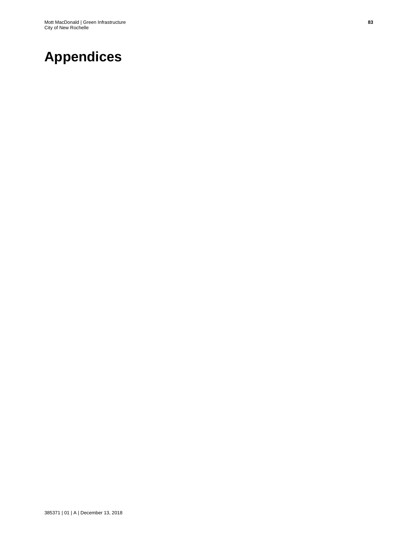## **Appendices**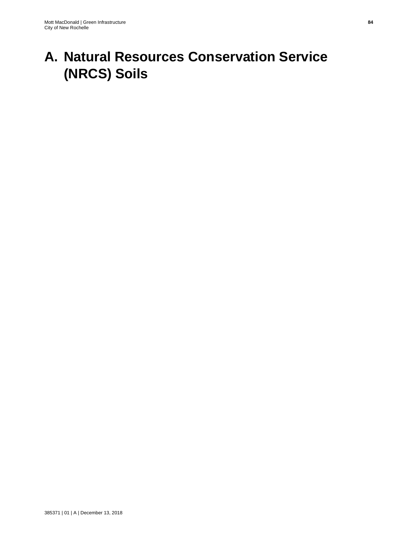# **A. Natural Resources Conservation Service (NRCS) Soils**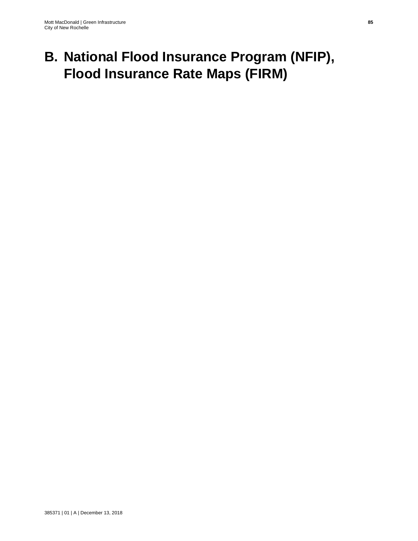# **B. National Flood Insurance Program (NFIP), Flood Insurance Rate Maps (FIRM)**